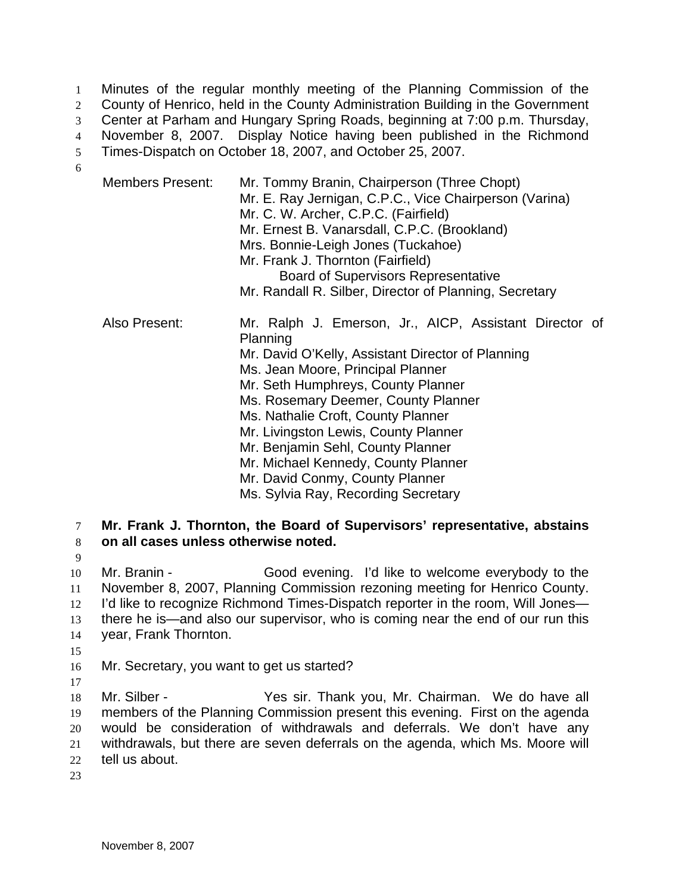Minutes of the regular monthly meeting of the Planning Commission of the 2 County of Henrico, held in the County Administration Building in the Government Center at Parham and Hungary Spring Roads, beginning at 7:00 p.m. Thursday, November 8, 2007. Display Notice having been published in the Richmond Times-Dispatch on October 18, 2007, and October 25, 2007. 6

| <b>Members Present:</b> | Mr. Tommy Branin, Chairperson (Three Chopt)<br>Mr. E. Ray Jernigan, C.P.C., Vice Chairperson (Varina)<br>Mr. C. W. Archer, C.P.C. (Fairfield)<br>Mr. Ernest B. Vanarsdall, C.P.C. (Brookland)<br>Mrs. Bonnie-Leigh Jones (Tuckahoe)<br>Mr. Frank J. Thornton (Fairfield)<br><b>Board of Supervisors Representative</b><br>Mr. Randall R. Silber, Director of Planning, Secretary                                                                                              |
|-------------------------|-------------------------------------------------------------------------------------------------------------------------------------------------------------------------------------------------------------------------------------------------------------------------------------------------------------------------------------------------------------------------------------------------------------------------------------------------------------------------------|
| Also Present:           | Mr. Ralph J. Emerson, Jr., AICP, Assistant Director of<br>Planning<br>Mr. David O'Kelly, Assistant Director of Planning<br>Ms. Jean Moore, Principal Planner<br>Mr. Seth Humphreys, County Planner<br>Ms. Rosemary Deemer, County Planner<br>Ms. Nathalie Croft, County Planner<br>Mr. Livingston Lewis, County Planner<br>Mr. Benjamin Sehl, County Planner<br>Mr. Michael Kennedy, County Planner<br>Mr. David Conmy, County Planner<br>Ms. Sylvia Ray, Recording Secretary |

7 **Mr. Frank J. Thornton, the Board of Supervisors' representative, abstains**  8 **on all cases unless otherwise noted.**

9 10 Mr. Branin - Good evening. I'd like to welcome everybody to the 11 November 8, 2007, Planning Commission rezoning meeting for Henrico County. 12 I'd like to recognize Richmond Times-Dispatch reporter in the room, Will Jones— 13 there he is—and also our supervisor, who is coming near the end of our run this 14 year, Frank Thornton. 15

16 Mr. Secretary, you want to get us started?

17 Mr. Silber - Yes sir. Thank you, Mr. Chairman. We do have all members of the Planning Commission present this evening. First on the agenda would be consideration of withdrawals and deferrals. We don't have any withdrawals, but there are seven deferrals on the agenda, which Ms. Moore will tell us about.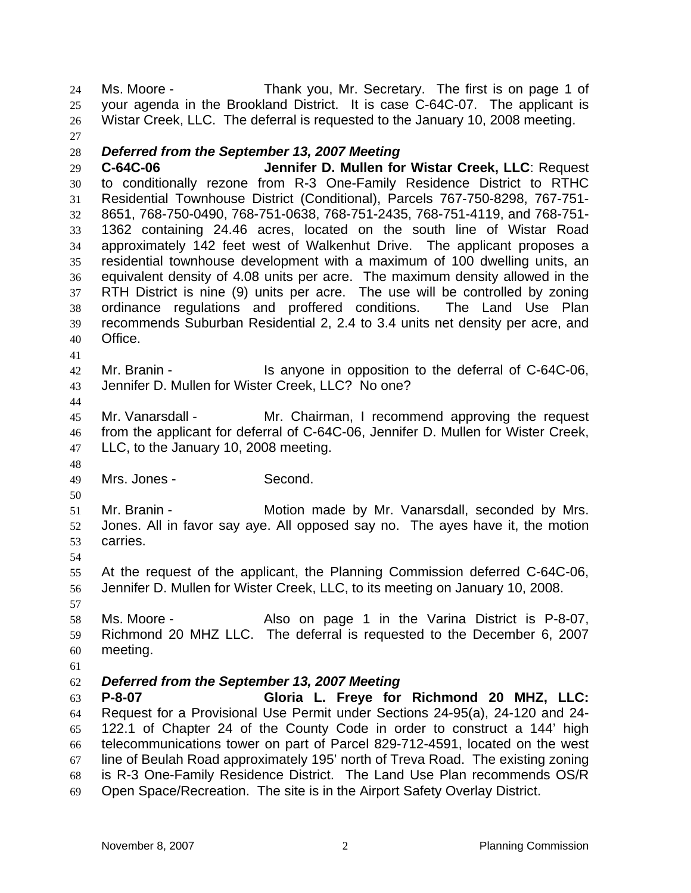Ms. Moore - Thank you, Mr. Secretary. The first is on page 1 of your agenda in the Brookland District. It is case C-64C-07. The applicant is Wistar Creek, LLC. The deferral is requested to the January 10, 2008 meeting.

#### *Deferred from the September 13, 2007 Meeting*

**C-64C-06 Jennifer D. Mullen for Wistar Creek, LLC**: Request to conditionally rezone from R-3 One-Family Residence District to RTHC Residential Townhouse District (Conditional), Parcels 767-750-8298, 767-751- 8651, 768-750-0490, 768-751-0638, 768-751-2435, 768-751-4119, and 768-751- 1362 containing 24.46 acres, located on the south line of Wistar Road approximately 142 feet west of Walkenhut Drive. The applicant proposes a residential townhouse development with a maximum of 100 dwelling units, an equivalent density of 4.08 units per acre. The maximum density allowed in the RTH District is nine (9) units per acre. The use will be controlled by zoning ordinance regulations and proffered conditions. The Land Use Plan recommends Suburban Residential 2, 2.4 to 3.4 units net density per acre, and Office.

- 
- 42 Mr. Branin Is anyone in opposition to the deferral of C-64C-06, Jennifer D. Mullen for Wister Creek, LLC? No one?
- 

Mr. Vanarsdall - Mr. Chairman, I recommend approving the request from the applicant for deferral of C-64C-06, Jennifer D. Mullen for Wister Creek, LLC, to the January 10, 2008 meeting.

Mrs. Jones - Second.

Mr. Branin - Motion made by Mr. Vanarsdall, seconded by Mrs. Jones. All in favor say aye. All opposed say no. The ayes have it, the motion carries.

At the request of the applicant, the Planning Commission deferred C-64C-06, Jennifer D. Mullen for Wister Creek, LLC, to its meeting on January 10, 2008.

Ms. Moore - Also on page 1 in the Varina District is P-8-07, Richmond 20 MHZ LLC. The deferral is requested to the December 6, 2007 meeting.

# *Deferred from the September 13, 2007 Meeting*

**P-8-07 Gloria L. Freye for Richmond 20 MHZ, LLC:** Request for a Provisional Use Permit under Sections 24-95(a), 24-120 and 24- 122.1 of Chapter 24 of the County Code in order to construct a 144' high telecommunications tower on part of Parcel 829-712-4591, located on the west line of Beulah Road approximately 195' north of Treva Road. The existing zoning is R-3 One-Family Residence District. The Land Use Plan recommends OS/R Open Space/Recreation. The site is in the Airport Safety Overlay District.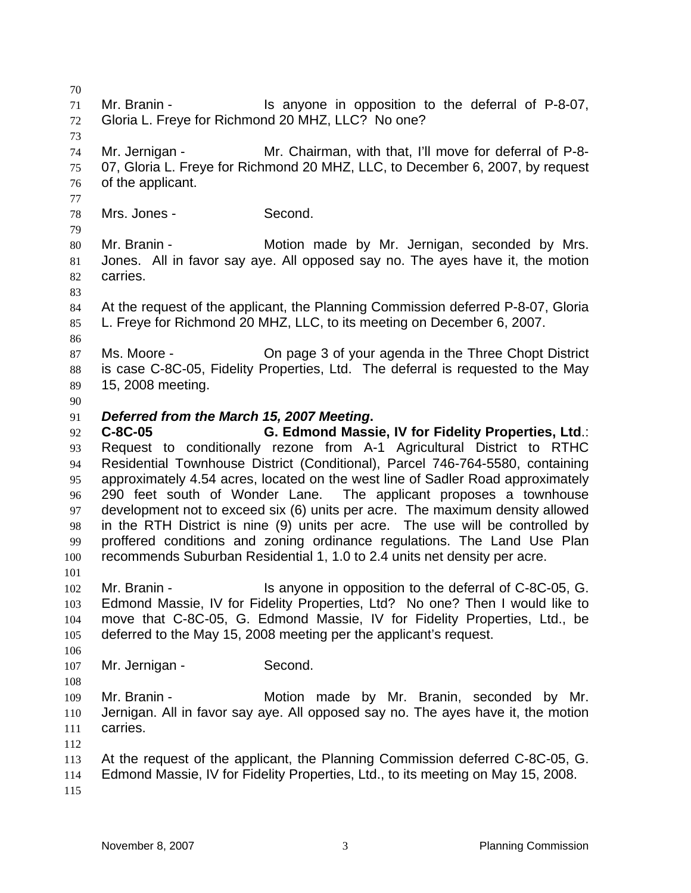Mr. Branin - Is anyone in opposition to the deferral of P-8-07, Gloria L. Freye for Richmond 20 MHZ, LLC? No one? Mr. Jernigan - Mr. Chairman, with that, I'll move for deferral of P-8- 07, Gloria L. Freye for Richmond 20 MHZ, LLC, to December 6, 2007, by request of the applicant. Mrs. Jones - Second. 80 Mr. Branin - **Motion made by Mr. Jernigan, seconded by Mrs.** Jones. All in favor say aye. All opposed say no. The ayes have it, the motion carries. At the request of the applicant, the Planning Commission deferred P-8-07, Gloria L. Freye for Richmond 20 MHZ, LLC, to its meeting on December 6, 2007. Ms. Moore - On page 3 of your agenda in the Three Chopt District is case C-8C-05, Fidelity Properties, Ltd. The deferral is requested to the May 15, 2008 meeting. *Deferred from the March 15, 2007 Meeting***. C-8C-05 G. Edmond Massie, IV for Fidelity Properties, Ltd**.: Request to conditionally rezone from A-1 Agricultural District to RTHC Residential Townhouse District (Conditional), Parcel 746-764-5580, containing approximately 4.54 acres, located on the west line of Sadler Road approximately 290 feet south of Wonder Lane. The applicant proposes a townhouse development not to exceed six (6) units per acre. The maximum density allowed in the RTH District is nine (9) units per acre. The use will be controlled by proffered conditions and zoning ordinance regulations. The Land Use Plan recommends Suburban Residential 1, 1.0 to 2.4 units net density per acre. Mr. Branin - Is anyone in opposition to the deferral of C-8C-05, G. Edmond Massie, IV for Fidelity Properties, Ltd? No one? Then I would like to move that C-8C-05, G. Edmond Massie, IV for Fidelity Properties, Ltd., be deferred to the May 15, 2008 meeting per the applicant's request. 107 Mr. Jernigan - Second. Mr. Branin - Motion made by Mr. Branin, seconded by Mr. Jernigan. All in favor say aye. All opposed say no. The ayes have it, the motion carries. At the request of the applicant, the Planning Commission deferred C-8C-05, G. Edmond Massie, IV for Fidelity Properties, Ltd., to its meeting on May 15, 2008.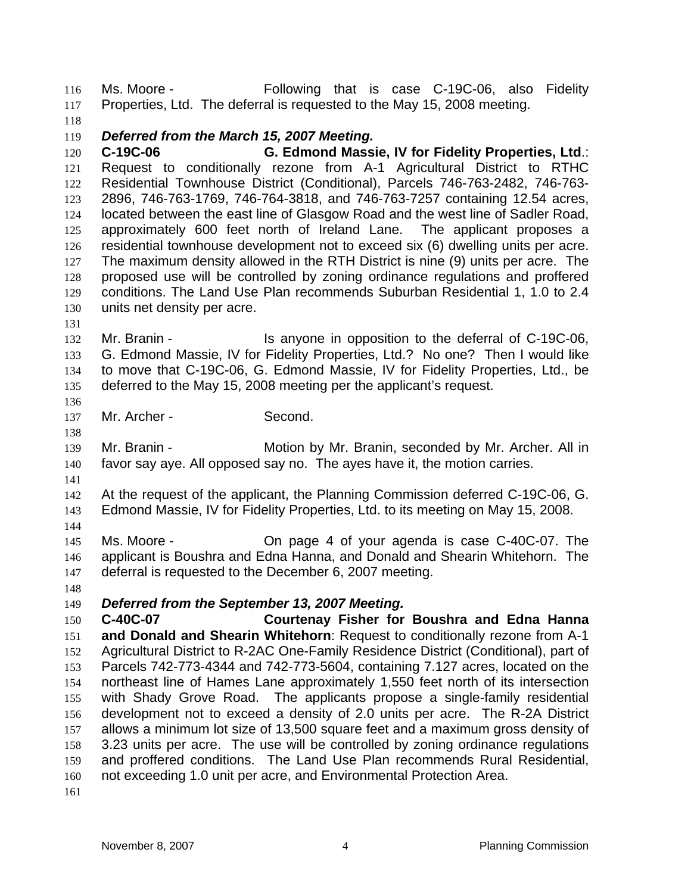Ms. Moore - Following that is case C-19C-06, also Fidelity Properties, Ltd. The deferral is requested to the May 15, 2008 meeting.

### *Deferred from the March 15, 2007 Meeting.*

**C-19C-06 G. Edmond Massie, IV for Fidelity Properties, Ltd**.: Request to conditionally rezone from A-1 Agricultural District to RTHC Residential Townhouse District (Conditional), Parcels 746-763-2482, 746-763- 2896, 746-763-1769, 746-764-3818, and 746-763-7257 containing 12.54 acres, located between the east line of Glasgow Road and the west line of Sadler Road, approximately 600 feet north of Ireland Lane. The applicant proposes a residential townhouse development not to exceed six (6) dwelling units per acre. The maximum density allowed in the RTH District is nine (9) units per acre. The proposed use will be controlled by zoning ordinance regulations and proffered conditions. The Land Use Plan recommends Suburban Residential 1, 1.0 to 2.4 units net density per acre.

132 Mr. Branin - Is anyone in opposition to the deferral of C-19C-06, G. Edmond Massie, IV for Fidelity Properties, Ltd.? No one? Then I would like to move that C-19C-06, G. Edmond Massie, IV for Fidelity Properties, Ltd., be deferred to the May 15, 2008 meeting per the applicant's request.

137 Mr. Archer - Second.

Mr. Branin - Motion by Mr. Branin, seconded by Mr. Archer. All in favor say aye. All opposed say no. The ayes have it, the motion carries.

At the request of the applicant, the Planning Commission deferred C-19C-06, G. Edmond Massie, IV for Fidelity Properties, Ltd. to its meeting on May 15, 2008.

Ms. Moore - On page 4 of your agenda is case C-40C-07. The applicant is Boushra and Edna Hanna, and Donald and Shearin Whitehorn. The deferral is requested to the December 6, 2007 meeting.

# *Deferred from the September 13, 2007 Meeting.*

**C-40C-07 Courtenay Fisher for Boushra and Edna Hanna and Donald and Shearin Whitehorn**: Request to conditionally rezone from A-1 Agricultural District to R-2AC One-Family Residence District (Conditional), part of Parcels 742-773-4344 and 742-773-5604, containing 7.127 acres, located on the northeast line of Hames Lane approximately 1,550 feet north of its intersection with Shady Grove Road. The applicants propose a single-family residential development not to exceed a density of 2.0 units per acre. The R-2A District allows a minimum lot size of 13,500 square feet and a maximum gross density of 3.23 units per acre. The use will be controlled by zoning ordinance regulations and proffered conditions. The Land Use Plan recommends Rural Residential, not exceeding 1.0 unit per acre, and Environmental Protection Area.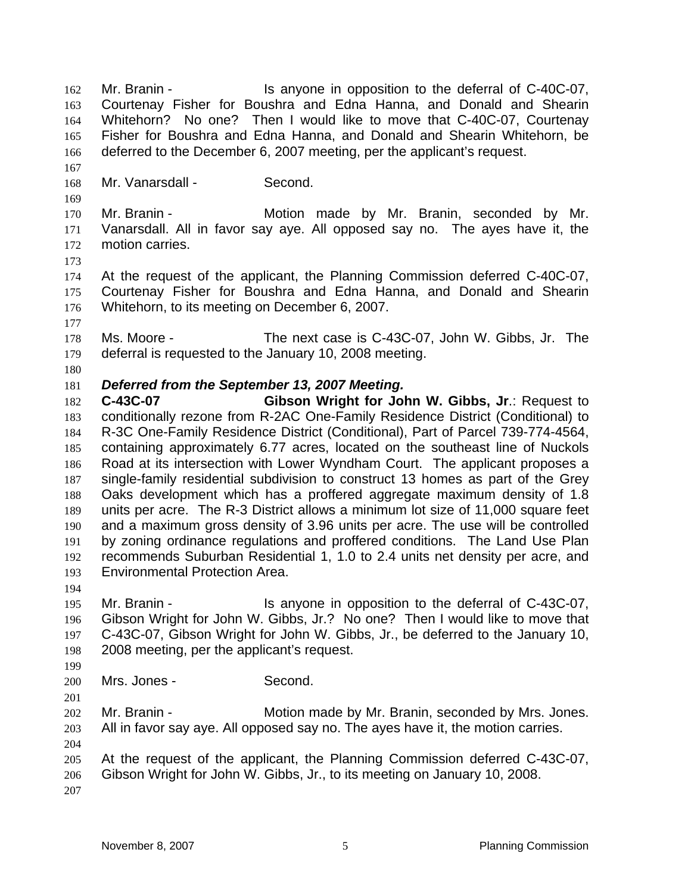Mr. Branin - Is anyone in opposition to the deferral of C-40C-07, Courtenay Fisher for Boushra and Edna Hanna, and Donald and Shearin Whitehorn? No one? Then I would like to move that C-40C-07, Courtenay Fisher for Boushra and Edna Hanna, and Donald and Shearin Whitehorn, be deferred to the December 6, 2007 meeting, per the applicant's request.

Mr. Vanarsdall - Second.

Mr. Branin - Motion made by Mr. Branin, seconded by Mr. Vanarsdall. All in favor say aye. All opposed say no. The ayes have it, the motion carries.

At the request of the applicant, the Planning Commission deferred C-40C-07, Courtenay Fisher for Boushra and Edna Hanna, and Donald and Shearin Whitehorn, to its meeting on December 6, 2007.

Ms. Moore - The next case is C-43C-07, John W. Gibbs, Jr. The deferral is requested to the January 10, 2008 meeting.

#### 

#### *Deferred from the September 13, 2007 Meeting.*

**C-43C-07 Gibson Wright for John W. Gibbs, Jr**.: Request to conditionally rezone from R-2AC One-Family Residence District (Conditional) to R-3C One-Family Residence District (Conditional), Part of Parcel 739-774-4564, containing approximately 6.77 acres, located on the southeast line of Nuckols Road at its intersection with Lower Wyndham Court. The applicant proposes a single-family residential subdivision to construct 13 homes as part of the Grey Oaks development which has a proffered aggregate maximum density of 1.8 units per acre. The R-3 District allows a minimum lot size of 11,000 square feet and a maximum gross density of 3.96 units per acre. The use will be controlled by zoning ordinance regulations and proffered conditions. The Land Use Plan recommends Suburban Residential 1, 1.0 to 2.4 units net density per acre, and Environmental Protection Area.

Mr. Branin - Is anyone in opposition to the deferral of C-43C-07, Gibson Wright for John W. Gibbs, Jr.? No one? Then I would like to move that C-43C-07, Gibson Wright for John W. Gibbs, Jr., be deferred to the January 10, 2008 meeting, per the applicant's request.

Mrs. Jones - Second.

Mr. Branin - Motion made by Mr. Branin, seconded by Mrs. Jones. All in favor say aye. All opposed say no. The ayes have it, the motion carries.

At the request of the applicant, the Planning Commission deferred C-43C-07, Gibson Wright for John W. Gibbs, Jr., to its meeting on January 10, 2008.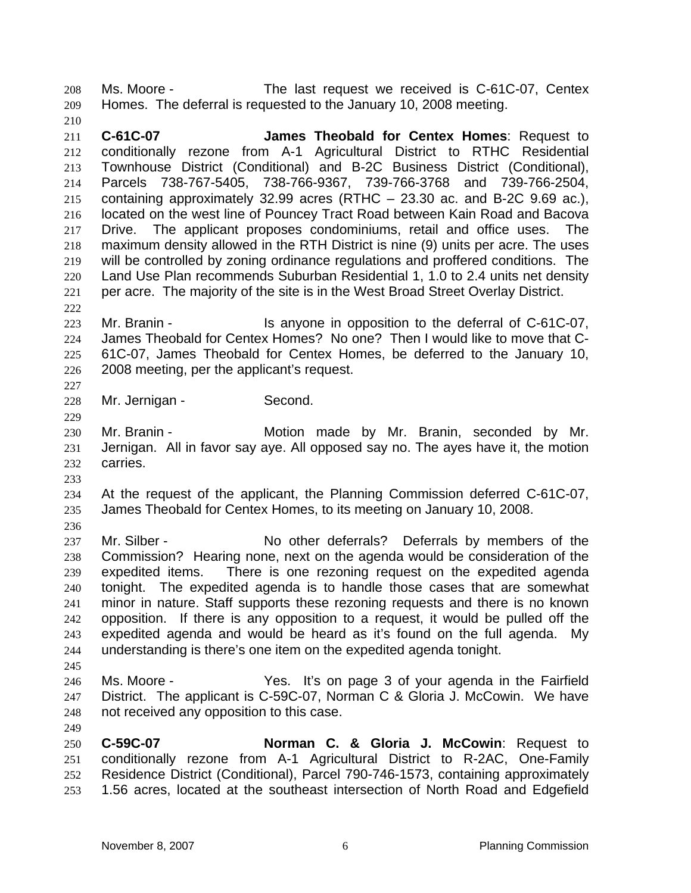Ms. Moore - The last request we received is C-61C-07, Centex Homes. The deferral is requested to the January 10, 2008 meeting.

 **C-61C-07 James Theobald for Centex Homes**: Request to conditionally rezone from A-1 Agricultural District to RTHC Residential Townhouse District (Conditional) and B-2C Business District (Conditional), Parcels 738-767-5405, 738-766-9367, 739-766-3768 and 739-766-2504, containing approximately 32.99 acres (RTHC – 23.30 ac. and B-2C 9.69 ac.), located on the west line of Pouncey Tract Road between Kain Road and Bacova Drive. The applicant proposes condominiums, retail and office uses. The maximum density allowed in the RTH District is nine (9) units per acre. The uses will be controlled by zoning ordinance regulations and proffered conditions. The Land Use Plan recommends Suburban Residential 1, 1.0 to 2.4 units net density per acre. The majority of the site is in the West Broad Street Overlay District.

223 Mr. Branin - Is anyone in opposition to the deferral of C-61C-07, James Theobald for Centex Homes? No one? Then I would like to move that C-61C-07, James Theobald for Centex Homes, be deferred to the January 10, 2008 meeting, per the applicant's request. 

Mr. Jernigan - Second.

Mr. Branin - Motion made by Mr. Branin, seconded by Mr. Jernigan. All in favor say aye. All opposed say no. The ayes have it, the motion carries.

- At the request of the applicant, the Planning Commission deferred C-61C-07, James Theobald for Centex Homes, to its meeting on January 10, 2008.
- 

237 Mr. Silber - No other deferrals? Deferrals by members of the Commission? Hearing none, next on the agenda would be consideration of the expedited items. There is one rezoning request on the expedited agenda tonight. The expedited agenda is to handle those cases that are somewhat minor in nature. Staff supports these rezoning requests and there is no known opposition. If there is any opposition to a request, it would be pulled off the expedited agenda and would be heard as it's found on the full agenda. My understanding is there's one item on the expedited agenda tonight.

Ms. Moore - Yes. It's on page 3 of your agenda in the Fairfield District. The applicant is C-59C-07, Norman C & Gloria J. McCowin. We have not received any opposition to this case.

**C-59C-07 Norman C. & Gloria J. McCowin**: Request to conditionally rezone from A-1 Agricultural District to R-2AC, One-Family Residence District (Conditional), Parcel 790-746-1573, containing approximately 1.56 acres, located at the southeast intersection of North Road and Edgefield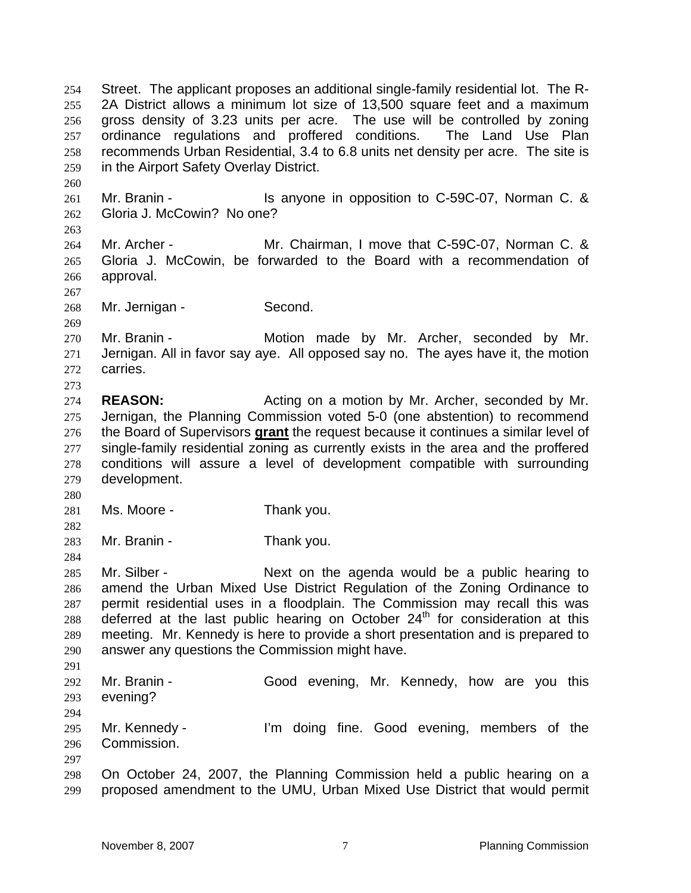Street. The applicant proposes an additional single-family residential lot. The R-2A District allows a minimum lot size of 13,500 square feet and a maximum gross density of 3.23 units per acre. The use will be controlled by zoning ordinance regulations and proffered conditions. The Land Use Plan recommends Urban Residential, 3.4 to 6.8 units net density per acre. The site is in the Airport Safety Overlay District.

Mr. Branin - Is anyone in opposition to C-59C-07, Norman C. & Gloria J. McCowin? No one?

Mr. Archer - Mr. Chairman, I move that C-59C-07, Norman C. & Gloria J. McCowin, be forwarded to the Board with a recommendation of approval.

Mr. Jernigan - Second.

Mr. Branin - Motion made by Mr. Archer, seconded by Mr. Jernigan. All in favor say aye. All opposed say no. The ayes have it, the motion carries.

- **REASON:** Acting on a motion by Mr. Archer, seconded by Mr. Jernigan, the Planning Commission voted 5-0 (one abstention) to recommend the Board of Supervisors **grant** the request because it continues a similar level of single-family residential zoning as currently exists in the area and the proffered conditions will assure a level of development compatible with surrounding development.
- 
- 281 Ms. Moore Thank you.
- 
- Mr. Branin Thank you.

Mr. Silber - Next on the agenda would be a public hearing to amend the Urban Mixed Use District Regulation of the Zoning Ordinance to permit residential uses in a floodplain. The Commission may recall this was 288 deferred at the last public hearing on October  $24<sup>th</sup>$  for consideration at this meeting. Mr. Kennedy is here to provide a short presentation and is prepared to answer any questions the Commission might have. 

Mr. Branin - Good evening, Mr. Kennedy, how are you this evening?

 Mr. Kennedy - I'm doing fine. Good evening, members of the Commission.

On October 24, 2007, the Planning Commission held a public hearing on a proposed amendment to the UMU, Urban Mixed Use District that would permit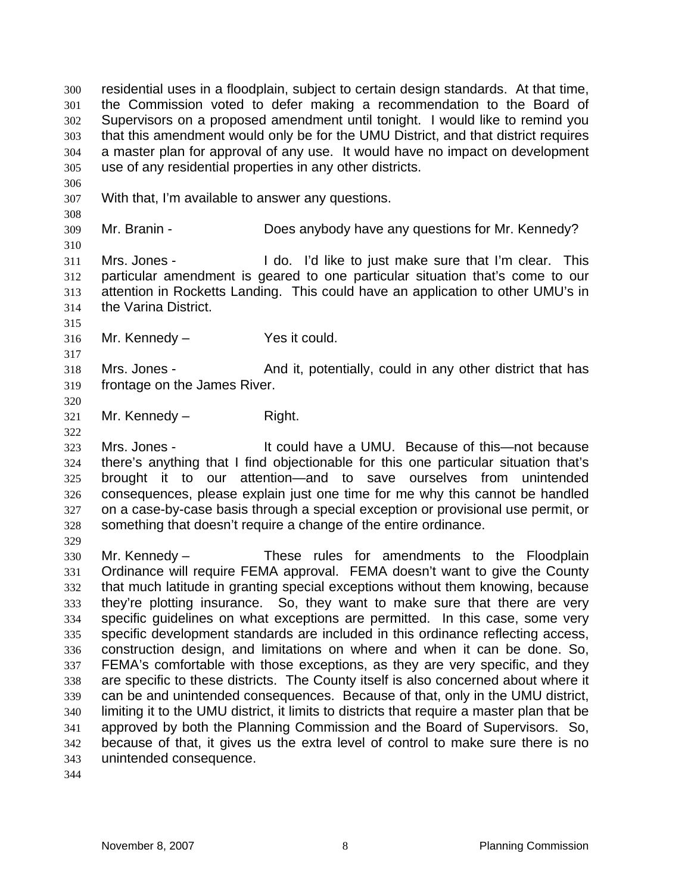residential uses in a floodplain, subject to certain design standards. At that time, the Commission voted to defer making a recommendation to the Board of Supervisors on a proposed amendment until tonight. I would like to remind you that this amendment would only be for the UMU District, and that district requires a master plan for approval of any use. It would have no impact on development use of any residential properties in any other districts. With that, I'm available to answer any questions. Mr. Branin - Does anybody have any questions for Mr. Kennedy? Mrs. Jones - I do. I'd like to just make sure that I'm clear. This particular amendment is geared to one particular situation that's come to our attention in Rocketts Landing. This could have an application to other UMU's in the Varina District. Mr. Kennedy – Yes it could. Mrs. Jones - And it, potentially, could in any other district that has frontage on the James River. Mr. Kennedy – Right. Mrs. Jones - It could have a UMU. Because of this—not because there's anything that I find objectionable for this one particular situation that's brought it to our attention—and to save ourselves from unintended consequences, please explain just one time for me why this cannot be handled on a case-by-case basis through a special exception or provisional use permit, or something that doesn't require a change of the entire ordinance. Mr. Kennedy – These rules for amendments to the Floodplain Ordinance will require FEMA approval. FEMA doesn't want to give the County that much latitude in granting special exceptions without them knowing, because they're plotting insurance. So, they want to make sure that there are very specific guidelines on what exceptions are permitted. In this case, some very specific development standards are included in this ordinance reflecting access, construction design, and limitations on where and when it can be done. So, FEMA's comfortable with those exceptions, as they are very specific, and they are specific to these districts. The County itself is also concerned about where it can be and unintended consequences. Because of that, only in the UMU district, limiting it to the UMU district, it limits to districts that require a master plan that be approved by both the Planning Commission and the Board of Supervisors. So, because of that, it gives us the extra level of control to make sure there is no unintended consequence.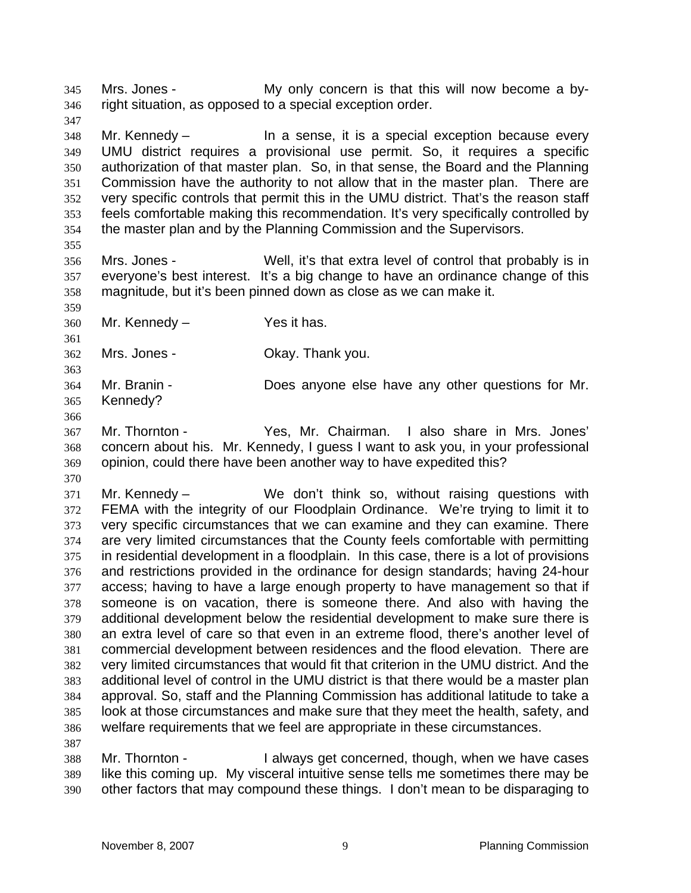Mrs. Jones - My only concern is that this will now become a by-right situation, as opposed to a special exception order.

Mr. Kennedy – In a sense, it is a special exception because every UMU district requires a provisional use permit. So, it requires a specific authorization of that master plan. So, in that sense, the Board and the Planning Commission have the authority to not allow that in the master plan. There are very specific controls that permit this in the UMU district. That's the reason staff feels comfortable making this recommendation. It's very specifically controlled by the master plan and by the Planning Commission and the Supervisors.

Mrs. Jones - Well, it's that extra level of control that probably is in everyone's best interest. It's a big change to have an ordinance change of this magnitude, but it's been pinned down as close as we can make it.

Mr. Kennedy – Yes it has.

Mrs. Jones - Okay. Thank you.

Mr. Branin - Does anyone else have any other questions for Mr. Kennedy?

Mr. Thornton - Yes, Mr. Chairman. I also share in Mrs. Jones' concern about his. Mr. Kennedy, I guess I want to ask you, in your professional opinion, could there have been another way to have expedited this?

 Mr. Kennedy – We don't think so, without raising questions with FEMA with the integrity of our Floodplain Ordinance. We're trying to limit it to very specific circumstances that we can examine and they can examine. There are very limited circumstances that the County feels comfortable with permitting in residential development in a floodplain. In this case, there is a lot of provisions and restrictions provided in the ordinance for design standards; having 24-hour access; having to have a large enough property to have management so that if someone is on vacation, there is someone there. And also with having the additional development below the residential development to make sure there is an extra level of care so that even in an extreme flood, there's another level of commercial development between residences and the flood elevation. There are very limited circumstances that would fit that criterion in the UMU district. And the additional level of control in the UMU district is that there would be a master plan approval. So, staff and the Planning Commission has additional latitude to take a look at those circumstances and make sure that they meet the health, safety, and welfare requirements that we feel are appropriate in these circumstances. 

Mr. Thornton - I always get concerned, though, when we have cases like this coming up. My visceral intuitive sense tells me sometimes there may be other factors that may compound these things. I don't mean to be disparaging to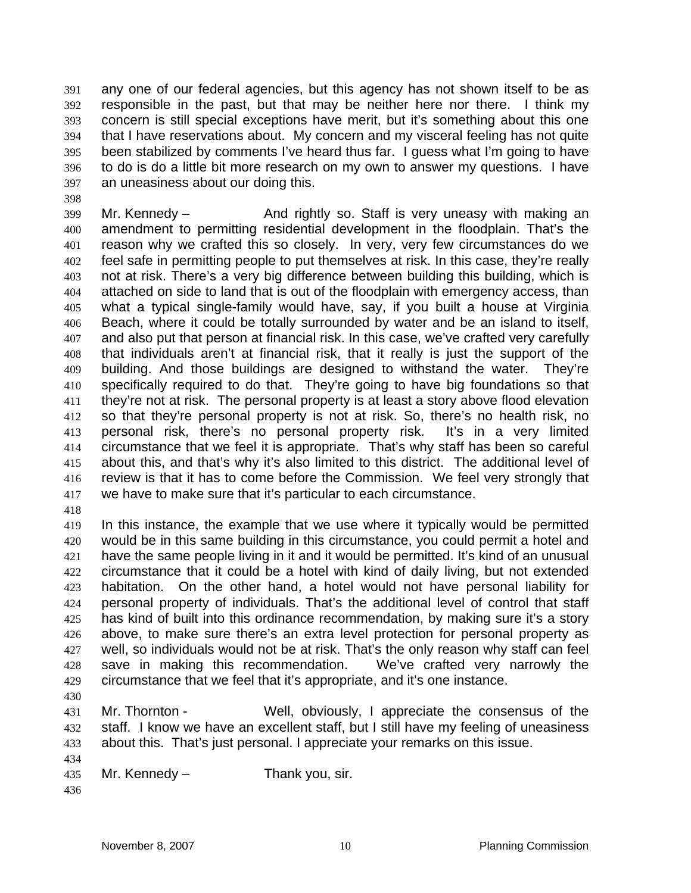any one of our federal agencies, but this agency has not shown itself to be as responsible in the past, but that may be neither here nor there. I think my concern is still special exceptions have merit, but it's something about this one that I have reservations about. My concern and my visceral feeling has not quite been stabilized by comments I've heard thus far. I guess what I'm going to have to do is do a little bit more research on my own to answer my questions. I have an uneasiness about our doing this.

Mr. Kennedy – And rightly so. Staff is very uneasy with making an amendment to permitting residential development in the floodplain. That's the reason why we crafted this so closely. In very, very few circumstances do we feel safe in permitting people to put themselves at risk. In this case, they're really not at risk. There's a very big difference between building this building, which is attached on side to land that is out of the floodplain with emergency access, than what a typical single-family would have, say, if you built a house at Virginia Beach, where it could be totally surrounded by water and be an island to itself, and also put that person at financial risk. In this case, we've crafted very carefully that individuals aren't at financial risk, that it really is just the support of the building. And those buildings are designed to withstand the water. They're specifically required to do that. They're going to have big foundations so that they're not at risk. The personal property is at least a story above flood elevation so that they're personal property is not at risk. So, there's no health risk, no personal risk, there's no personal property risk. It's in a very limited circumstance that we feel it is appropriate. That's why staff has been so careful about this, and that's why it's also limited to this district. The additional level of review is that it has to come before the Commission. We feel very strongly that we have to make sure that it's particular to each circumstance.

In this instance, the example that we use where it typically would be permitted would be in this same building in this circumstance, you could permit a hotel and have the same people living in it and it would be permitted. It's kind of an unusual circumstance that it could be a hotel with kind of daily living, but not extended habitation. On the other hand, a hotel would not have personal liability for personal property of individuals. That's the additional level of control that staff has kind of built into this ordinance recommendation, by making sure it's a story above, to make sure there's an extra level protection for personal property as well, so individuals would not be at risk. That's the only reason why staff can feel save in making this recommendation. We've crafted very narrowly the circumstance that we feel that it's appropriate, and it's one instance.

Mr. Thornton - Well, obviously, I appreciate the consensus of the staff. I know we have an excellent staff, but I still have my feeling of uneasiness about this. That's just personal. I appreciate your remarks on this issue. 

- Mr. Kennedy Thank you, sir.
-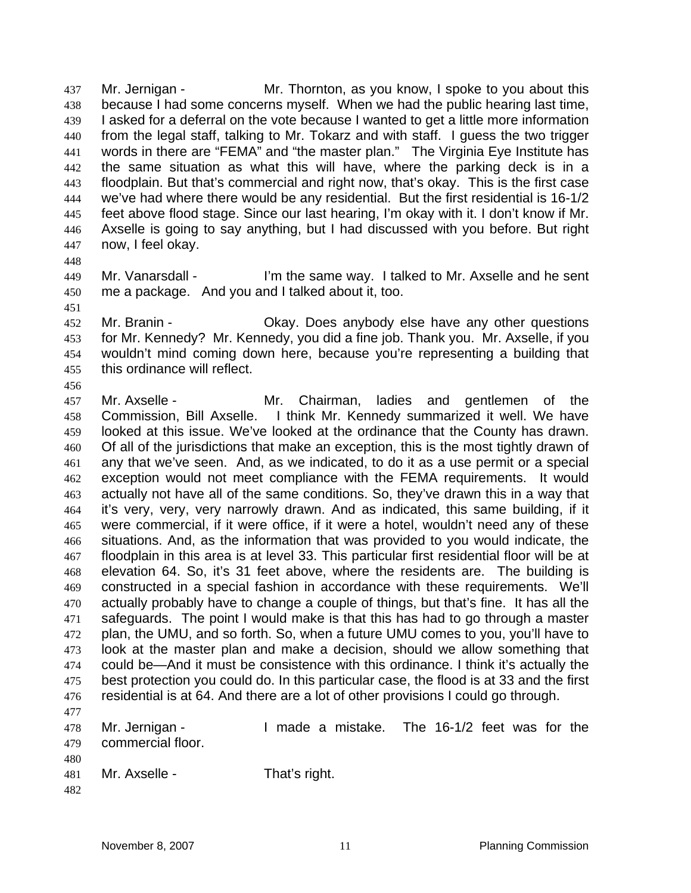Mr. Jernigan - Mr. Thornton, as you know, I spoke to you about this because I had some concerns myself. When we had the public hearing last time, I asked for a deferral on the vote because I wanted to get a little more information from the legal staff, talking to Mr. Tokarz and with staff. I guess the two trigger words in there are "FEMA" and "the master plan." The Virginia Eye Institute has the same situation as what this will have, where the parking deck is in a floodplain. But that's commercial and right now, that's okay. This is the first case we've had where there would be any residential. But the first residential is 16-1/2 feet above flood stage. Since our last hearing, I'm okay with it. I don't know if Mr. Axselle is going to say anything, but I had discussed with you before. But right now, I feel okay.

- 
- Mr. Vanarsdall I'm the same way. I talked to Mr. Axselle and he sent me a package. And you and I talked about it, too.
- 

Mr. Branin - Okay. Does anybody else have any other questions for Mr. Kennedy? Mr. Kennedy, you did a fine job. Thank you. Mr. Axselle, if you wouldn't mind coming down here, because you're representing a building that this ordinance will reflect.

- Mr. Axselle Mr. Chairman, ladies and gentlemen of the Commission, Bill Axselle. I think Mr. Kennedy summarized it well. We have looked at this issue. We've looked at the ordinance that the County has drawn. Of all of the jurisdictions that make an exception, this is the most tightly drawn of any that we've seen. And, as we indicated, to do it as a use permit or a special exception would not meet compliance with the FEMA requirements. It would actually not have all of the same conditions. So, they've drawn this in a way that it's very, very, very narrowly drawn. And as indicated, this same building, if it were commercial, if it were office, if it were a hotel, wouldn't need any of these situations. And, as the information that was provided to you would indicate, the floodplain in this area is at level 33. This particular first residential floor will be at elevation 64. So, it's 31 feet above, where the residents are. The building is constructed in a special fashion in accordance with these requirements. We'll actually probably have to change a couple of things, but that's fine. It has all the safeguards. The point I would make is that this has had to go through a master plan, the UMU, and so forth. So, when a future UMU comes to you, you'll have to look at the master plan and make a decision, should we allow something that could be—And it must be consistence with this ordinance. I think it's actually the best protection you could do. In this particular case, the flood is at 33 and the first residential is at 64. And there are a lot of other provisions I could go through.
- Mr. Jernigan I made a mistake. The 16-1/2 feet was for the commercial floor.
- Mr. Axselle - That's right.
-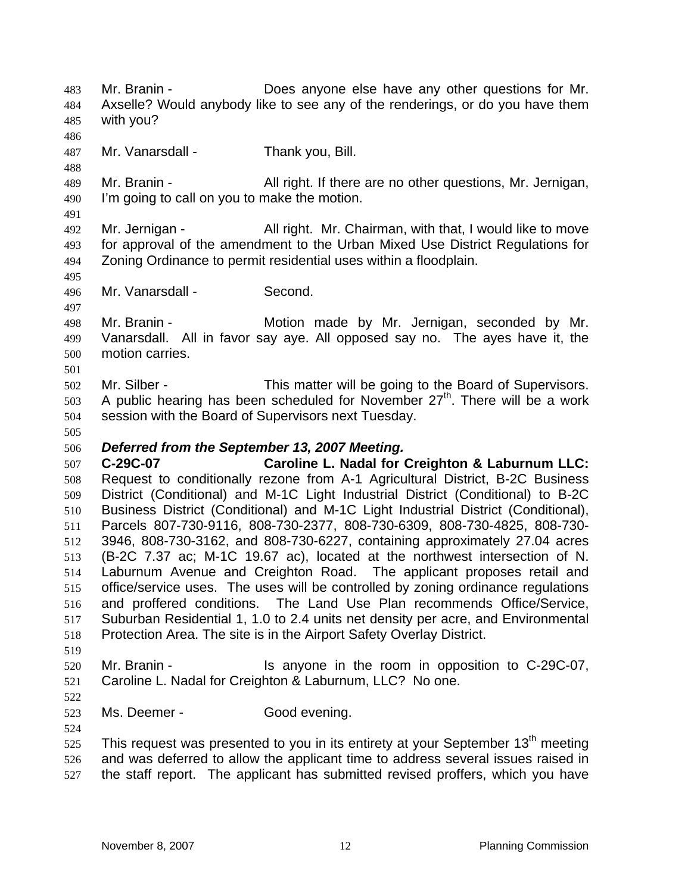Mr. Branin - Does anyone else have any other questions for Mr. Axselle? Would anybody like to see any of the renderings, or do you have them with you? Mr. Vanarsdall - Thank you, Bill. Mr. Branin - All right. If there are no other questions, Mr. Jernigan, I'm going to call on you to make the motion. Mr. Jernigan - All right. Mr. Chairman, with that, I would like to move for approval of the amendment to the Urban Mixed Use District Regulations for Zoning Ordinance to permit residential uses within a floodplain. Mr. Vanarsdall - Second. Mr. Branin - Motion made by Mr. Jernigan, seconded by Mr. Vanarsdall. All in favor say aye. All opposed say no. The ayes have it, the motion carries. Mr. Silber - This matter will be going to the Board of Supervisors. 503 A public hearing has been scheduled for November  $27<sup>th</sup>$ . There will be a work session with the Board of Supervisors next Tuesday. *Deferred from the September 13, 2007 Meeting.*  **C-29C-07 Caroline L. Nadal for Creighton & Laburnum LLC:** Request to conditionally rezone from A-1 Agricultural District, B-2C Business District (Conditional) and M-1C Light Industrial District (Conditional) to B-2C Business District (Conditional) and M-1C Light Industrial District (Conditional), Parcels 807-730-9116, 808-730-2377, 808-730-6309, 808-730-4825, 808-730- 3946, 808-730-3162, and 808-730-6227, containing approximately 27.04 acres (B-2C 7.37 ac; M-1C 19.67 ac), located at the northwest intersection of N. Laburnum Avenue and Creighton Road. The applicant proposes retail and office/service uses. The uses will be controlled by zoning ordinance regulations and proffered conditions. The Land Use Plan recommends Office/Service, Suburban Residential 1, 1.0 to 2.4 units net density per acre, and Environmental Protection Area. The site is in the Airport Safety Overlay District. Mr. Branin - Is anyone in the room in opposition to C-29C-07, Caroline L. Nadal for Creighton & Laburnum, LLC? No one. Ms. Deemer - Good evening. This request was presented to you in its entirety at your September 13<sup>th</sup> meeting and was deferred to allow the applicant time to address several issues raised in the staff report. The applicant has submitted revised proffers, which you have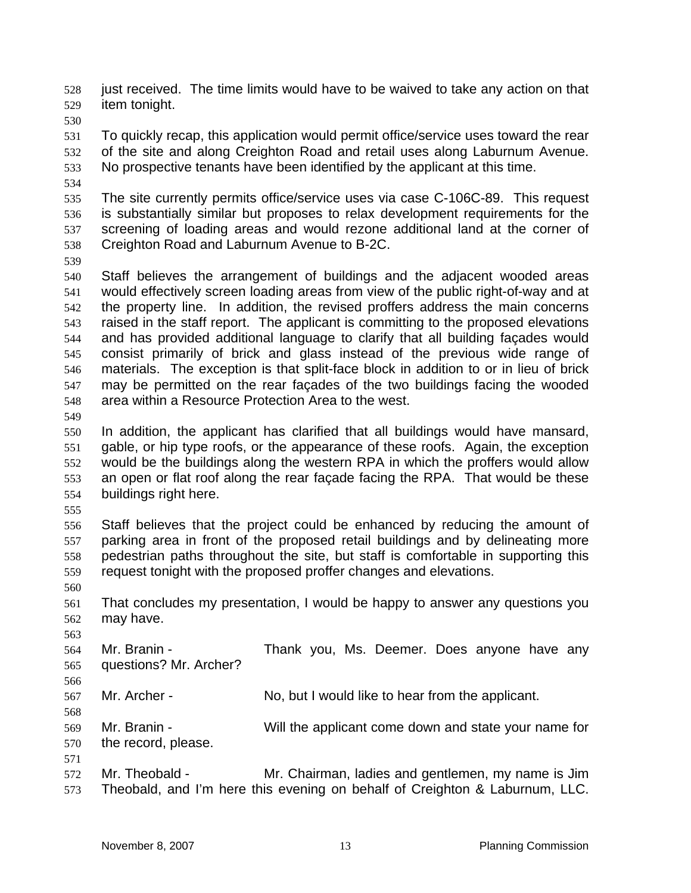just received. The time limits would have to be waived to take any action on that item tonight.

To quickly recap, this application would permit office/service uses toward the rear of the site and along Creighton Road and retail uses along Laburnum Avenue. No prospective tenants have been identified by the applicant at this time.

The site currently permits office/service uses via case C-106C-89. This request is substantially similar but proposes to relax development requirements for the screening of loading areas and would rezone additional land at the corner of Creighton Road and Laburnum Avenue to B-2C.

Staff believes the arrangement of buildings and the adjacent wooded areas would effectively screen loading areas from view of the public right-of-way and at the property line. In addition, the revised proffers address the main concerns raised in the staff report. The applicant is committing to the proposed elevations and has provided additional language to clarify that all building façades would consist primarily of brick and glass instead of the previous wide range of materials. The exception is that split-face block in addition to or in lieu of brick may be permitted on the rear façades of the two buildings facing the wooded area within a Resource Protection Area to the west.

In addition, the applicant has clarified that all buildings would have mansard, gable, or hip type roofs, or the appearance of these roofs. Again, the exception would be the buildings along the western RPA in which the proffers would allow an open or flat roof along the rear façade facing the RPA. That would be these buildings right here.

Staff believes that the project could be enhanced by reducing the amount of parking area in front of the proposed retail buildings and by delineating more pedestrian paths throughout the site, but staff is comfortable in supporting this request tonight with the proposed proffer changes and elevations.

 That concludes my presentation, I would be happy to answer any questions you may have.

 Mr. Branin - Thank you, Ms. Deemer. Does anyone have any questions? Mr. Archer? Mr. Archer - No, but I would like to hear from the applicant. 

Mr. Branin - Will the applicant come down and state your name for the record, please. 

Mr. Theobald - Mr. Chairman, ladies and gentlemen, my name is Jim Theobald, and I'm here this evening on behalf of Creighton & Laburnum, LLC.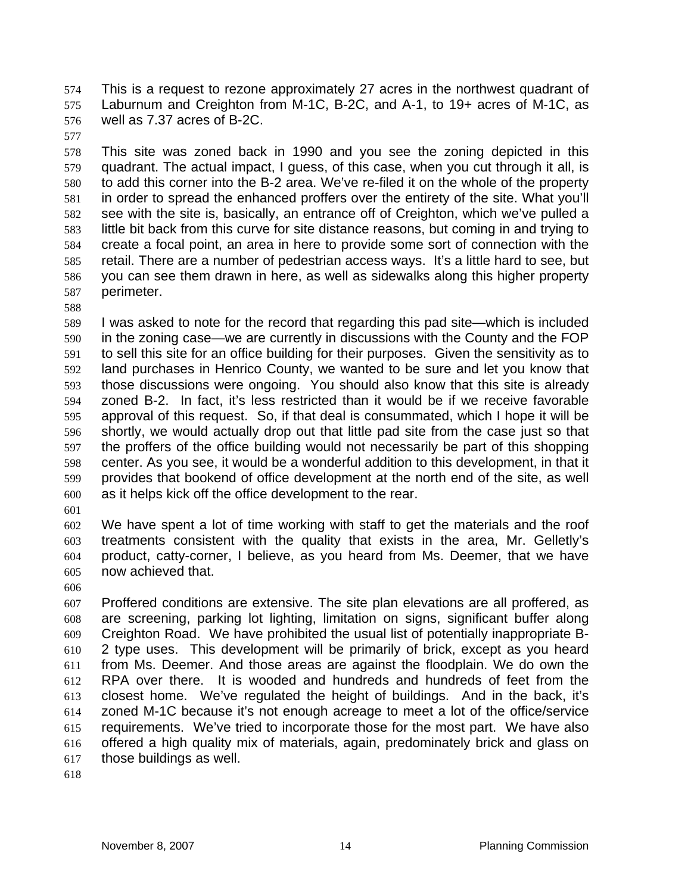This is a request to rezone approximately 27 acres in the northwest quadrant of Laburnum and Creighton from M-1C, B-2C, and A-1, to 19+ acres of M-1C, as well as 7.37 acres of B-2C.

This site was zoned back in 1990 and you see the zoning depicted in this quadrant. The actual impact, I guess, of this case, when you cut through it all, is to add this corner into the B-2 area. We've re-filed it on the whole of the property in order to spread the enhanced proffers over the entirety of the site. What you'll see with the site is, basically, an entrance off of Creighton, which we've pulled a little bit back from this curve for site distance reasons, but coming in and trying to create a focal point, an area in here to provide some sort of connection with the retail. There are a number of pedestrian access ways. It's a little hard to see, but you can see them drawn in here, as well as sidewalks along this higher property perimeter.

I was asked to note for the record that regarding this pad site—which is included in the zoning case—we are currently in discussions with the County and the FOP to sell this site for an office building for their purposes. Given the sensitivity as to land purchases in Henrico County, we wanted to be sure and let you know that those discussions were ongoing. You should also know that this site is already zoned B-2. In fact, it's less restricted than it would be if we receive favorable approval of this request. So, if that deal is consummated, which I hope it will be shortly, we would actually drop out that little pad site from the case just so that the proffers of the office building would not necessarily be part of this shopping center. As you see, it would be a wonderful addition to this development, in that it provides that bookend of office development at the north end of the site, as well as it helps kick off the office development to the rear.

We have spent a lot of time working with staff to get the materials and the roof treatments consistent with the quality that exists in the area, Mr. Gelletly's product, catty-corner, I believe, as you heard from Ms. Deemer, that we have now achieved that.

Proffered conditions are extensive. The site plan elevations are all proffered, as are screening, parking lot lighting, limitation on signs, significant buffer along Creighton Road. We have prohibited the usual list of potentially inappropriate B-2 type uses. This development will be primarily of brick, except as you heard from Ms. Deemer. And those areas are against the floodplain. We do own the RPA over there. It is wooded and hundreds and hundreds of feet from the closest home. We've regulated the height of buildings. And in the back, it's zoned M-1C because it's not enough acreage to meet a lot of the office/service requirements. We've tried to incorporate those for the most part. We have also offered a high quality mix of materials, again, predominately brick and glass on those buildings as well.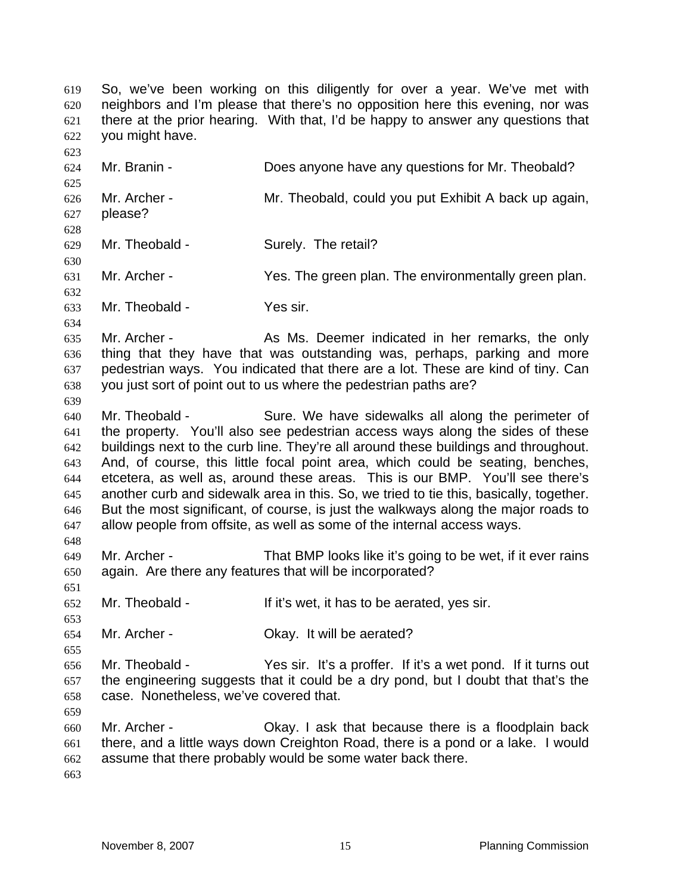So, we've been working on this diligently for over a year. We've met with neighbors and I'm please that there's no opposition here this evening, nor was there at the prior hearing. With that, I'd be happy to answer any questions that you might have.

Mr. Branin - Does anyone have any questions for Mr. Theobald? Mr. Archer - Mr. Theobald, could you put Exhibit A back up again, please? Mr. Theobald - Surely. The retail? Mr. Archer - Yes. The green plan. The environmentally green plan. Mr. Theobald - Yes sir. Mr. Archer - As Ms. Deemer indicated in her remarks, the only thing that they have that was outstanding was, perhaps, parking and more pedestrian ways. You indicated that there are a lot. These are kind of tiny. Can you just sort of point out to us where the pedestrian paths are? Mr. Theobald - Sure. We have sidewalks all along the perimeter of the property. You'll also see pedestrian access ways along the sides of these buildings next to the curb line. They're all around these buildings and throughout. And, of course, this little focal point area, which could be seating, benches, etcetera, as well as, around these areas. This is our BMP. You'll see there's another curb and sidewalk area in this. So, we tried to tie this, basically, together. But the most significant, of course, is just the walkways along the major roads to allow people from offsite, as well as some of the internal access ways. Mr. Archer - That BMP looks like it's going to be wet, if it ever rains again. Are there any features that will be incorporated? Mr. Theobald - If it's wet, it has to be aerated, yes sir. Mr. Archer - Okay. It will be aerated? Mr. Theobald - Yes sir. It's a proffer. If it's a wet pond. If it turns out the engineering suggests that it could be a dry pond, but I doubt that that's the case. Nonetheless, we've covered that. Mr. Archer - Okay. I ask that because there is a floodplain back there, and a little ways down Creighton Road, there is a pond or a lake. I would assume that there probably would be some water back there.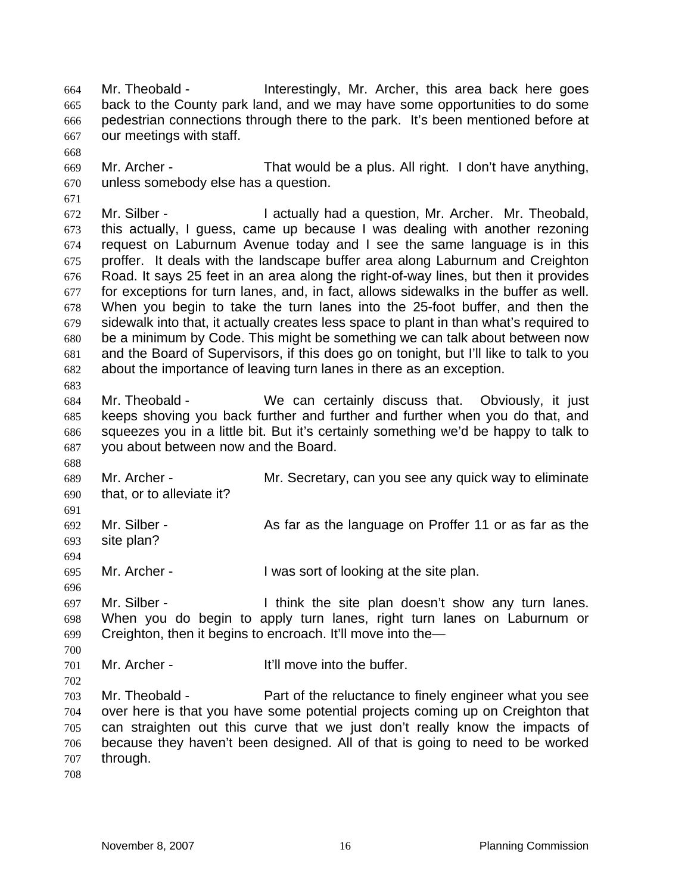Mr. Theobald - Interestingly, Mr. Archer, this area back here goes back to the County park land, and we may have some opportunities to do some pedestrian connections through there to the park. It's been mentioned before at our meetings with staff.

Mr. Archer - That would be a plus. All right. I don't have anything, unless somebody else has a question.

 Mr. Silber - I actually had a question, Mr. Archer. Mr. Theobald, this actually, I guess, came up because I was dealing with another rezoning request on Laburnum Avenue today and I see the same language is in this proffer. It deals with the landscape buffer area along Laburnum and Creighton Road. It says 25 feet in an area along the right-of-way lines, but then it provides for exceptions for turn lanes, and, in fact, allows sidewalks in the buffer as well. When you begin to take the turn lanes into the 25-foot buffer, and then the sidewalk into that, it actually creates less space to plant in than what's required to be a minimum by Code. This might be something we can talk about between now and the Board of Supervisors, if this does go on tonight, but I'll like to talk to you about the importance of leaving turn lanes in there as an exception.

Mr. Theobald - We can certainly discuss that. Obviously, it just keeps shoving you back further and further and further when you do that, and squeezes you in a little bit. But it's certainly something we'd be happy to talk to you about between now and the Board.

Mr. Archer - Mr. Secretary, can you see any quick way to eliminate that, or to alleviate it?

 Mr. Silber - As far as the language on Proffer 11 or as far as the site plan?

Mr. Archer - I was sort of looking at the site plan.

Mr. Silber - I think the site plan doesn't show any turn lanes. When you do begin to apply turn lanes, right turn lanes on Laburnum or Creighton, then it begins to encroach. It'll move into the—

Mr. Archer - It'll move into the buffer.

Mr. Theobald - Part of the reluctance to finely engineer what you see over here is that you have some potential projects coming up on Creighton that can straighten out this curve that we just don't really know the impacts of because they haven't been designed. All of that is going to need to be worked through.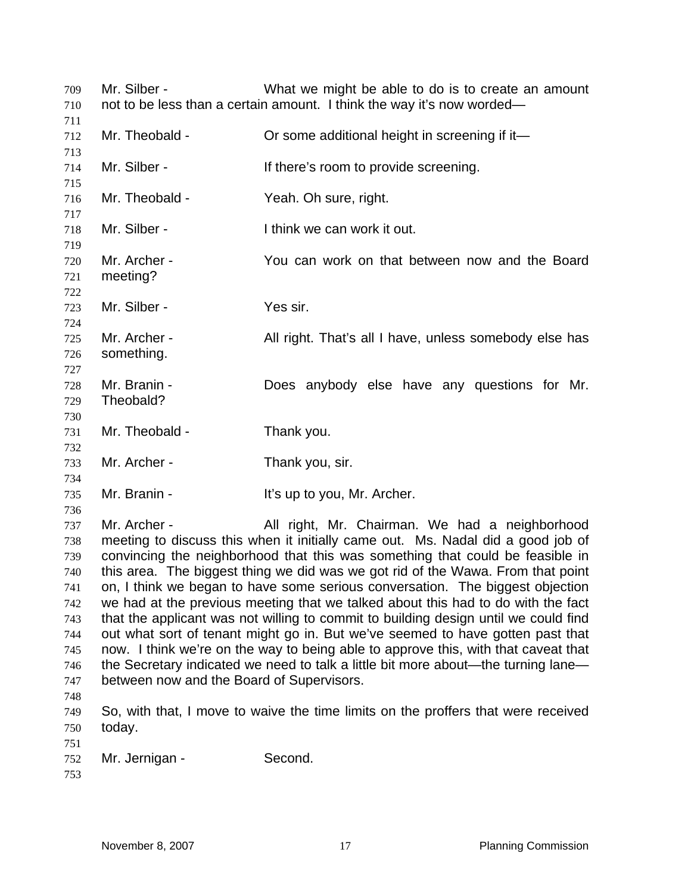Mr. Silber - What we might be able to do is to create an amount not to be less than a certain amount. I think the way it's now worded— 712 Mr. Theobald - **Or some additional height in screening if it—**  714 Mr. Silber - If there's room to provide screening. Mr. Theobald - Yeah. Oh sure, right. Mr. Silber - I think we can work it out. Mr. Archer - You can work on that between now and the Board meeting? Mr. Silber - Yes sir. Mr. Archer - All right. That's all I have, unless somebody else has something. Mr. Branin - Does anybody else have any questions for Mr. Theobald? Mr. Theobald - Thank you. Mr. Archer - Thank you, sir. 735 Mr. Branin - It's up to you, Mr. Archer. Mr. Archer - All right, Mr. Chairman. We had a neighborhood meeting to discuss this when it initially came out. Ms. Nadal did a good job of convincing the neighborhood that this was something that could be feasible in this area. The biggest thing we did was we got rid of the Wawa. From that point on, I think we began to have some serious conversation. The biggest objection we had at the previous meeting that we talked about this had to do with the fact that the applicant was not willing to commit to building design until we could find out what sort of tenant might go in. But we've seemed to have gotten past that now. I think we're on the way to being able to approve this, with that caveat that the Secretary indicated we need to talk a little bit more about—the turning lane— between now and the Board of Supervisors. So, with that, I move to waive the time limits on the proffers that were received today. Mr. Jernigan - Second.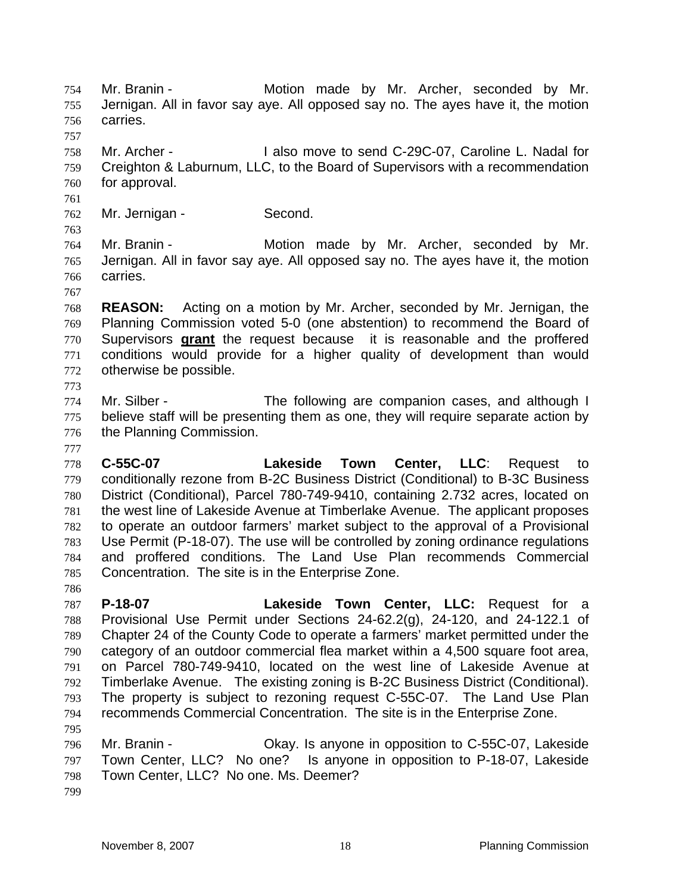Mr. Branin - Motion made by Mr. Archer, seconded by Mr. Jernigan. All in favor say aye. All opposed say no. The ayes have it, the motion carries.

Mr. Archer - I also move to send C-29C-07, Caroline L. Nadal for Creighton & Laburnum, LLC, to the Board of Supervisors with a recommendation for approval.

Mr. Jernigan - Second.

Mr. Branin - Motion made by Mr. Archer, seconded by Mr. Jernigan. All in favor say aye. All opposed say no. The ayes have it, the motion carries.

**REASON:** Acting on a motion by Mr. Archer, seconded by Mr. Jernigan, the Planning Commission voted 5-0 (one abstention) to recommend the Board of Supervisors **grant** the request becauseit is reasonable and the proffered conditions would provide for a higher quality of development than would otherwise be possible.

Mr. Silber - The following are companion cases, and although I believe staff will be presenting them as one, they will require separate action by the Planning Commission.

**C-55C-07 Lakeside Town Center, LLC**: Request to conditionally rezone from B-2C Business District (Conditional) to B-3C Business District (Conditional), Parcel 780-749-9410, containing 2.732 acres, located on the west line of Lakeside Avenue at Timberlake Avenue. The applicant proposes to operate an outdoor farmers' market subject to the approval of a Provisional Use Permit (P-18-07). The use will be controlled by zoning ordinance regulations and proffered conditions. The Land Use Plan recommends Commercial Concentration. The site is in the Enterprise Zone.

**P-18-07 Lakeside Town Center, LLC:** Request for a Provisional Use Permit under Sections 24-62.2(g), 24-120, and 24-122.1 of Chapter 24 of the County Code to operate a farmers' market permitted under the category of an outdoor commercial flea market within a 4,500 square foot area, on Parcel 780-749-9410, located on the west line of Lakeside Avenue at Timberlake Avenue. The existing zoning is B-2C Business District (Conditional). The property is subject to rezoning request C-55C-07. The Land Use Plan recommends Commercial Concentration. The site is in the Enterprise Zone. 

Mr. Branin - Okay. Is anyone in opposition to C-55C-07, Lakeside Town Center, LLC? No one? Is anyone in opposition to P-18-07, Lakeside Town Center, LLC? No one. Ms. Deemer?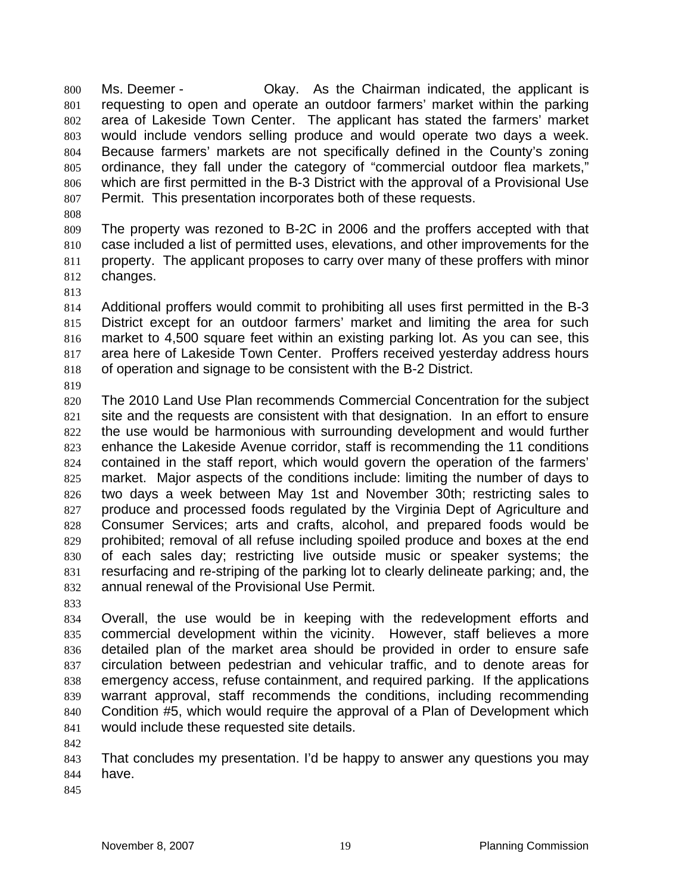Ms. Deemer - Okay. As the Chairman indicated, the applicant is requesting to open and operate an outdoor farmers' market within the parking area of Lakeside Town Center. The applicant has stated the farmers' market would include vendors selling produce and would operate two days a week. Because farmers' markets are not specifically defined in the County's zoning ordinance, they fall under the category of "commercial outdoor flea markets," which are first permitted in the B-3 District with the approval of a Provisional Use Permit. This presentation incorporates both of these requests.

The property was rezoned to B-2C in 2006 and the proffers accepted with that case included a list of permitted uses, elevations, and other improvements for the property. The applicant proposes to carry over many of these proffers with minor changes.

Additional proffers would commit to prohibiting all uses first permitted in the B-3 District except for an outdoor farmers' market and limiting the area for such market to 4,500 square feet within an existing parking lot. As you can see, this area here of Lakeside Town Center. Proffers received yesterday address hours of operation and signage to be consistent with the B-2 District.

The 2010 Land Use Plan recommends Commercial Concentration for the subject site and the requests are consistent with that designation. In an effort to ensure the use would be harmonious with surrounding development and would further enhance the Lakeside Avenue corridor, staff is recommending the 11 conditions contained in the staff report, which would govern the operation of the farmers' market. Major aspects of the conditions include: limiting the number of days to two days a week between May 1st and November 30th; restricting sales to 827 produce and processed foods regulated by the Virginia Dept of Agriculture and Consumer Services; arts and crafts, alcohol, and prepared foods would be prohibited; removal of all refuse including spoiled produce and boxes at the end of each sales day; restricting live outside music or speaker systems; the resurfacing and re-striping of the parking lot to clearly delineate parking; and, the annual renewal of the Provisional Use Permit.

Overall, the use would be in keeping with the redevelopment efforts and commercial development within the vicinity. However, staff believes a more detailed plan of the market area should be provided in order to ensure safe circulation between pedestrian and vehicular traffic, and to denote areas for emergency access, refuse containment, and required parking. If the applications warrant approval, staff recommends the conditions, including recommending Condition #5, which would require the approval of a Plan of Development which would include these requested site details.

That concludes my presentation. I'd be happy to answer any questions you may have.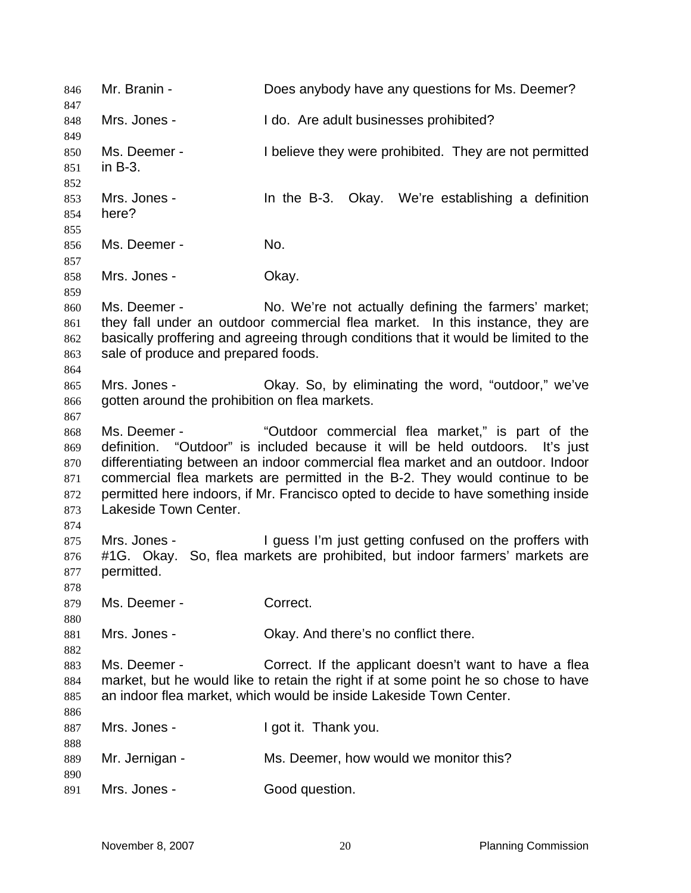Mr. Branin - Does anybody have any questions for Ms. Deemer? Mrs. Jones - I do. Are adult businesses prohibited? Ms. Deemer - I believe they were prohibited. They are not permitted in B-3. Mrs. Jones - In the B-3. Okay. We're establishing a definition here? Ms. Deemer - No. 858 Mrs. Jones - Ckay. Ms. Deemer - No. We're not actually defining the farmers' market; they fall under an outdoor commercial flea market. In this instance, they are basically proffering and agreeing through conditions that it would be limited to the sale of produce and prepared foods. Mrs. Jones - Okay. So, by eliminating the word, "outdoor," we've gotten around the prohibition on flea markets. Ms. Deemer - "Outdoor commercial flea market," is part of the definition. "Outdoor" is included because it will be held outdoors. It's just differentiating between an indoor commercial flea market and an outdoor. Indoor commercial flea markets are permitted in the B-2. They would continue to be permitted here indoors, if Mr. Francisco opted to decide to have something inside Lakeside Town Center. Mrs. Jones - I guess I'm just getting confused on the proffers with #1G. Okay. So, flea markets are prohibited, but indoor farmers' markets are permitted. 879 Ms. Deemer - Correct. 881 Mrs. Jones - Ckay. And there's no conflict there. Ms. Deemer - Correct. If the applicant doesn't want to have a flea market, but he would like to retain the right if at some point he so chose to have an indoor flea market, which would be inside Lakeside Town Center. 887 Mrs. Jones - I got it. Thank you. Mr. Jernigan - Ms. Deemer, how would we monitor this? 891 Mrs. Jones - Good question.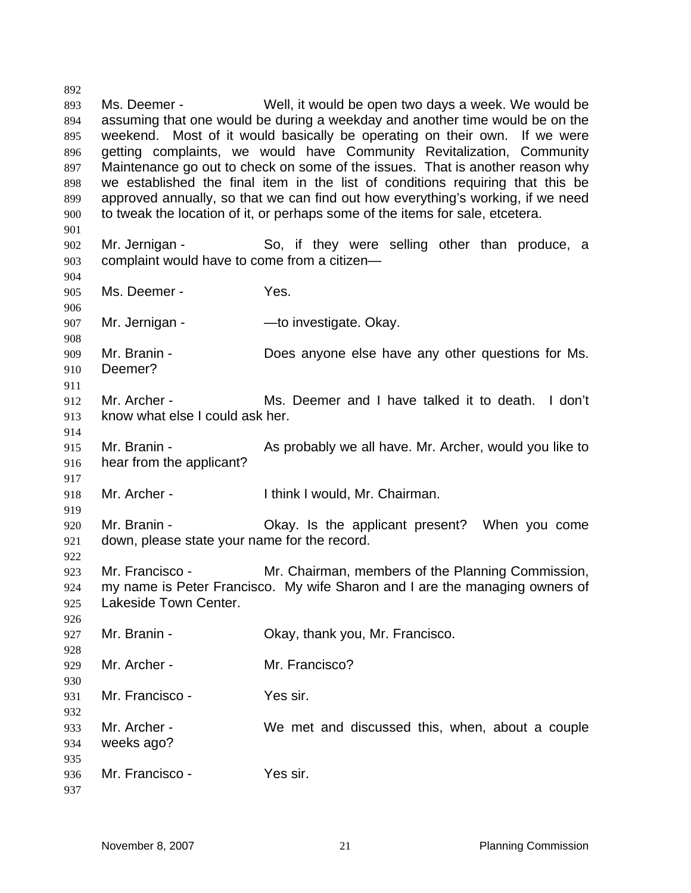Ms. Deemer - Well, it would be open two days a week. We would be assuming that one would be during a weekday and another time would be on the weekend. Most of it would basically be operating on their own. If we were getting complaints, we would have Community Revitalization, Community 897 Maintenance go out to check on some of the issues. That is another reason why we established the final item in the list of conditions requiring that this be approved annually, so that we can find out how everything's working, if we need to tweak the location of it, or perhaps some of the items for sale, etcetera. Mr. Jernigan - So, if they were selling other than produce, a complaint would have to come from a citizen— Ms. Deemer - Yes. 907 Mr. Jernigan - — — — to investigate. Okay. Mr. Branin - Does anyone else have any other questions for Ms. Deemer? Mr. Archer - Ms. Deemer and I have talked it to death. I don't know what else I could ask her. Mr. Branin - As probably we all have. Mr. Archer, would you like to hear from the applicant? Mr. Archer - I think I would, Mr. Chairman. Mr. Branin - Okay. Is the applicant present? When you come down, please state your name for the record. Mr. Francisco - Mr. Chairman, members of the Planning Commission, my name is Peter Francisco. My wife Sharon and I are the managing owners of Lakeside Town Center. 927 Mr. Branin - Ckay, thank you, Mr. Francisco. 929 Mr. Archer - Mr. Francisco? Mr. Francisco - Yes sir. Mr. Archer - We met and discussed this, when, about a couple weeks ago? Mr. Francisco - Yes sir.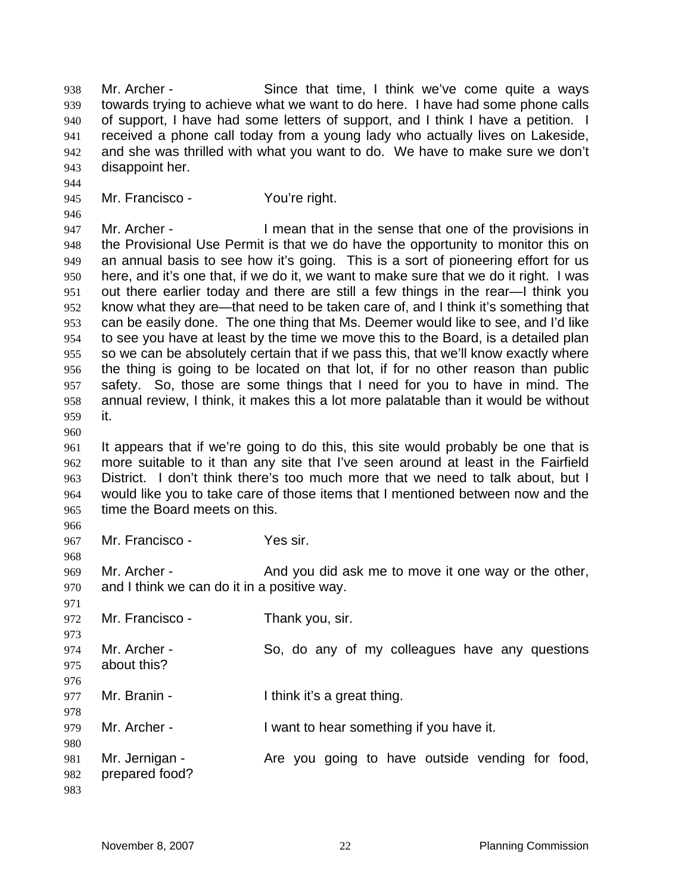Mr. Archer - Since that time, I think we've come quite a ways towards trying to achieve what we want to do here. I have had some phone calls of support, I have had some letters of support, and I think I have a petition. I received a phone call today from a young lady who actually lives on Lakeside, and she was thrilled with what you want to do. We have to make sure we don't disappoint her.

Mr. Francisco - You're right.

 Mr. Archer - I mean that in the sense that one of the provisions in the Provisional Use Permit is that we do have the opportunity to monitor this on an annual basis to see how it's going. This is a sort of pioneering effort for us here, and it's one that, if we do it, we want to make sure that we do it right. I was out there earlier today and there are still a few things in the rear—I think you know what they are—that need to be taken care of, and I think it's something that can be easily done. The one thing that Ms. Deemer would like to see, and I'd like to see you have at least by the time we move this to the Board, is a detailed plan so we can be absolutely certain that if we pass this, that we'll know exactly where the thing is going to be located on that lot, if for no other reason than public safety. So, those are some things that I need for you to have in mind. The annual review, I think, it makes this a lot more palatable than it would be without it.

It appears that if we're going to do this, this site would probably be one that is more suitable to it than any site that I've seen around at least in the Fairfield District. I don't think there's too much more that we need to talk about, but I would like you to take care of those items that I mentioned between now and the time the Board meets on this.

Mr. Francisco - Yes sir.

969 Mr. Archer - And you did ask me to move it one way or the other, and I think we can do it in a positive way.

 972 Mr. Francisco - Thank you, sir. Mr. Archer - So, do any of my colleagues have any questions about this? Mr. Branin - I think it's a great thing. Mr. Archer - I want to hear something if you have it. 981 Mr. Jernigan - Are you going to have outside vending for food, prepared food?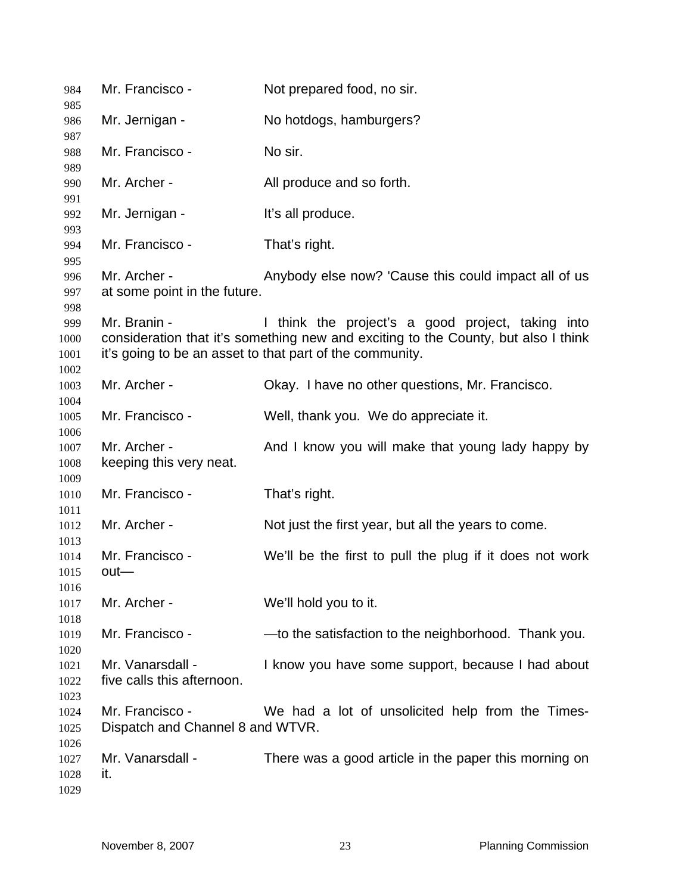| 984                          | Mr. Francisco -                                     | Not prepared food, no sir.                                                                                                                                                                          |
|------------------------------|-----------------------------------------------------|-----------------------------------------------------------------------------------------------------------------------------------------------------------------------------------------------------|
| 985<br>986                   | Mr. Jernigan -                                      | No hotdogs, hamburgers?                                                                                                                                                                             |
| 987<br>988                   | Mr. Francisco -                                     | No sir.                                                                                                                                                                                             |
| 989                          |                                                     |                                                                                                                                                                                                     |
| 990<br>991                   | Mr. Archer -                                        | All produce and so forth.                                                                                                                                                                           |
| 992                          | Mr. Jernigan -                                      | It's all produce.                                                                                                                                                                                   |
| 993<br>994                   | Mr. Francisco -                                     | That's right.                                                                                                                                                                                       |
| 995<br>996<br>997            | Mr. Archer -<br>at some point in the future.        | Anybody else now? 'Cause this could impact all of us                                                                                                                                                |
| 998<br>999<br>1000<br>1001   | Mr. Branin -                                        | I think the project's a good project, taking into<br>consideration that it's something new and exciting to the County, but also I think<br>it's going to be an asset to that part of the community. |
| 1002<br>1003<br>1004         | Mr. Archer -                                        | Okay. I have no other questions, Mr. Francisco.                                                                                                                                                     |
| 1005<br>1006                 | Mr. Francisco -                                     | Well, thank you. We do appreciate it.                                                                                                                                                               |
| 1007<br>1008<br>1009         | Mr. Archer -<br>keeping this very neat.             | And I know you will make that young lady happy by                                                                                                                                                   |
| 1010<br>1011                 | Mr. Francisco -                                     | That's right.                                                                                                                                                                                       |
| 1012<br>1013                 | Mr. Archer -                                        | Not just the first year, but all the years to come.                                                                                                                                                 |
| 1014<br>1015<br>1016         | Mr. Francisco -<br>out-                             | We'll be the first to pull the plug if it does not work                                                                                                                                             |
| 1017                         | Mr. Archer -                                        | We'll hold you to it.                                                                                                                                                                               |
| 1018<br>1019                 | Mr. Francisco -                                     | -to the satisfaction to the neighborhood. Thank you.                                                                                                                                                |
| 1020<br>1021<br>1022         | Mr. Vanarsdall -<br>five calls this afternoon.      | I know you have some support, because I had about                                                                                                                                                   |
| 1023<br>1024<br>1025<br>1026 | Mr. Francisco -<br>Dispatch and Channel 8 and WTVR. | We had a lot of unsolicited help from the Times-                                                                                                                                                    |
| 1027<br>1028<br>1029         | Mr. Vanarsdall -<br>it.                             | There was a good article in the paper this morning on                                                                                                                                               |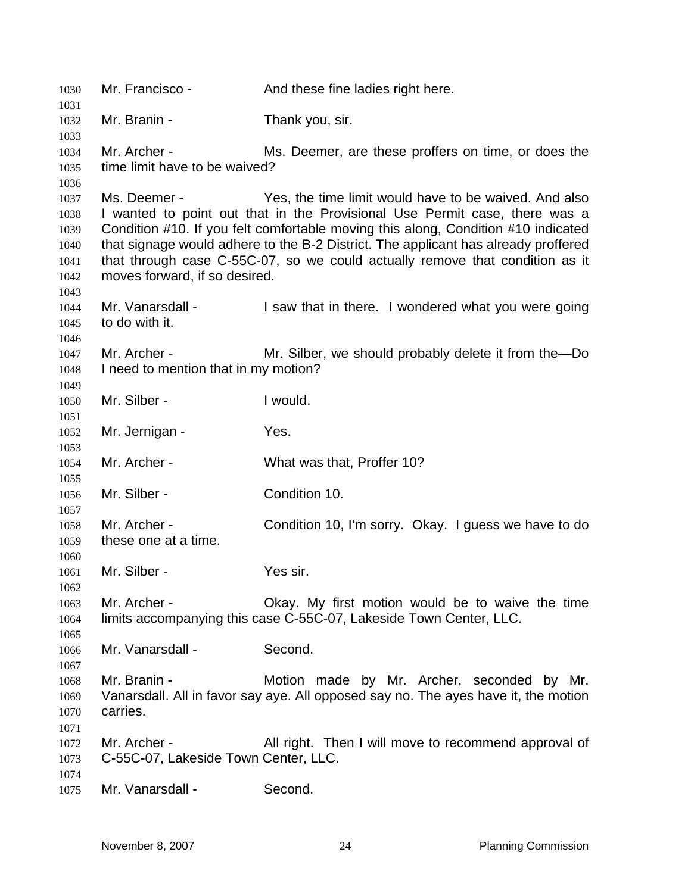| 1030         | Mr. Francisco -                                                                                                                                                 | And these fine ladies right here.                                                  |  |
|--------------|-----------------------------------------------------------------------------------------------------------------------------------------------------------------|------------------------------------------------------------------------------------|--|
| 1031<br>1032 | Mr. Branin -                                                                                                                                                    | Thank you, sir.                                                                    |  |
| 1033         |                                                                                                                                                                 |                                                                                    |  |
| 1034         | Mr. Archer -                                                                                                                                                    | Ms. Deemer, are these proffers on time, or does the                                |  |
| 1035         | time limit have to be waived?                                                                                                                                   |                                                                                    |  |
| 1036         |                                                                                                                                                                 |                                                                                    |  |
| 1037         | Ms. Deemer -                                                                                                                                                    | Yes, the time limit would have to be waived. And also                              |  |
| 1038         |                                                                                                                                                                 |                                                                                    |  |
| 1039         | I wanted to point out that in the Provisional Use Permit case, there was a<br>Condition #10. If you felt comfortable moving this along, Condition #10 indicated |                                                                                    |  |
| 1040         |                                                                                                                                                                 | that signage would adhere to the B-2 District. The applicant has already proffered |  |
| 1041         | that through case C-55C-07, so we could actually remove that condition as it                                                                                    |                                                                                    |  |
| 1042         | moves forward, if so desired.                                                                                                                                   |                                                                                    |  |
| 1043         |                                                                                                                                                                 |                                                                                    |  |
| 1044         | Mr. Vanarsdall -                                                                                                                                                | I saw that in there. I wondered what you were going                                |  |
| 1045         | to do with it.                                                                                                                                                  |                                                                                    |  |
| 1046         |                                                                                                                                                                 |                                                                                    |  |
| 1047         | Mr. Archer -                                                                                                                                                    | Mr. Silber, we should probably delete it from the-Do                               |  |
| 1048         | I need to mention that in my motion?                                                                                                                            |                                                                                    |  |
| 1049         |                                                                                                                                                                 |                                                                                    |  |
| 1050         | Mr. Silber -                                                                                                                                                    | I would.                                                                           |  |
| 1051         |                                                                                                                                                                 |                                                                                    |  |
| 1052         | Mr. Jernigan -                                                                                                                                                  | Yes.                                                                               |  |
| 1053         |                                                                                                                                                                 |                                                                                    |  |
| 1054         | Mr. Archer -                                                                                                                                                    | What was that, Proffer 10?                                                         |  |
| 1055         |                                                                                                                                                                 |                                                                                    |  |
| 1056         | Mr. Silber -                                                                                                                                                    | Condition 10.                                                                      |  |
| 1057         |                                                                                                                                                                 |                                                                                    |  |
| 1058         | Mr. Archer -                                                                                                                                                    | Condition 10, I'm sorry. Okay. I guess we have to do                               |  |
| 1059         | these one at a time.                                                                                                                                            |                                                                                    |  |
| 1060         |                                                                                                                                                                 |                                                                                    |  |
| 1061         | Mr. Silber -                                                                                                                                                    | Yes sir.                                                                           |  |
| 1062         |                                                                                                                                                                 |                                                                                    |  |
| 1063         | Mr. Archer -                                                                                                                                                    | Okay. My first motion would be to waive the time                                   |  |
| 1064         |                                                                                                                                                                 | limits accompanying this case C-55C-07, Lakeside Town Center, LLC.                 |  |
| 1065         |                                                                                                                                                                 |                                                                                    |  |
| 1066         | Mr. Vanarsdall -                                                                                                                                                | Second.                                                                            |  |
| 1067         |                                                                                                                                                                 |                                                                                    |  |
| 1068         | Mr. Branin -                                                                                                                                                    | Motion made by Mr. Archer, seconded by Mr.                                         |  |
| 1069         |                                                                                                                                                                 | Vanarsdall. All in favor say aye. All opposed say no. The ayes have it, the motion |  |
| 1070         | carries.                                                                                                                                                        |                                                                                    |  |
| 1071         |                                                                                                                                                                 |                                                                                    |  |
| 1072         | Mr. Archer -                                                                                                                                                    | All right. Then I will move to recommend approval of                               |  |
| 1073         | C-55C-07, Lakeside Town Center, LLC.                                                                                                                            |                                                                                    |  |
| 1074         |                                                                                                                                                                 |                                                                                    |  |
| 1075         | Mr. Vanarsdall -                                                                                                                                                | Second.                                                                            |  |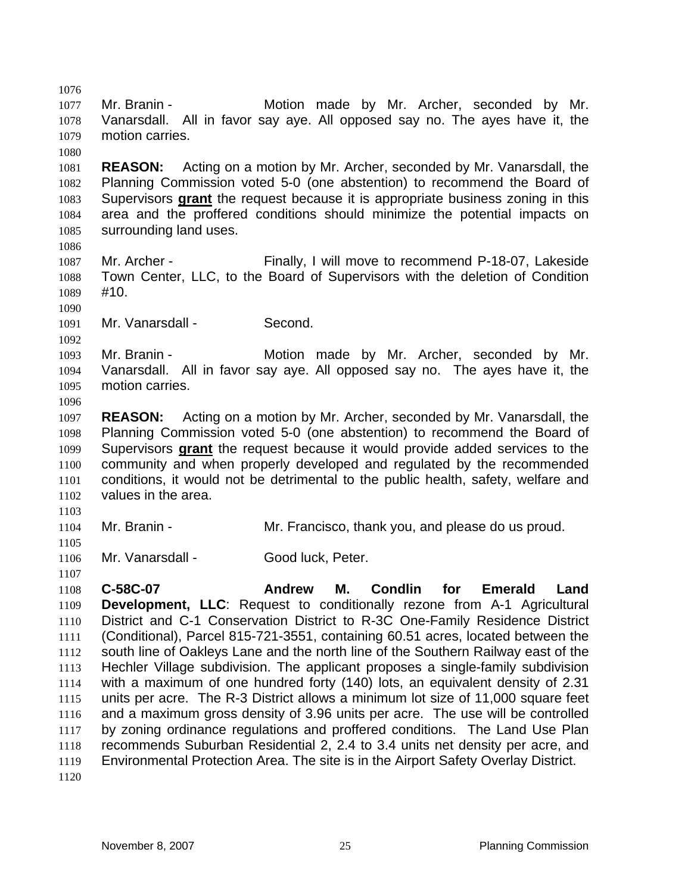Mr. Branin - Motion made by Mr. Archer, seconded by Mr. Vanarsdall. All in favor say aye. All opposed say no. The ayes have it, the motion carries. **REASON:** Acting on a motion by Mr. Archer, seconded by Mr. Vanarsdall, the Planning Commission voted 5-0 (one abstention) to recommend the Board of Supervisors **grant** the request because it is appropriate business zoning in this area and the proffered conditions should minimize the potential impacts on surrounding land uses. Mr. Archer - Finally, I will move to recommend P-18-07, Lakeside Town Center, LLC, to the Board of Supervisors with the deletion of Condition #10. Mr. Vanarsdall - Second. Mr. Branin - Motion made by Mr. Archer, seconded by Mr. Vanarsdall. All in favor say aye. All opposed say no. The ayes have it, the motion carries. **REASON:** Acting on a motion by Mr. Archer, seconded by Mr. Vanarsdall, the Planning Commission voted 5-0 (one abstention) to recommend the Board of Supervisors **grant** the request because it would provide added services to the community and when properly developed and regulated by the recommended conditions, it would not be detrimental to the public health, safety, welfare and values in the area. Mr. Branin - Mr. Francisco, thank you, and please do us proud. 1106 Mr. Vanarsdall - Good luck, Peter. **C-58C-07 Andrew M. Condlin for Emerald Land Development, LLC**: Request to conditionally rezone from A-1 Agricultural District and C-1 Conservation District to R-3C One-Family Residence District (Conditional), Parcel 815-721-3551, containing 60.51 acres, located between the south line of Oakleys Lane and the north line of the Southern Railway east of the Hechler Village subdivision. The applicant proposes a single-family subdivision with a maximum of one hundred forty (140) lots, an equivalent density of 2.31 units per acre. The R-3 District allows a minimum lot size of 11,000 square feet and a maximum gross density of 3.96 units per acre. The use will be controlled 1117 by zoning ordinance regulations and proffered conditions. The Land Use Plan recommends Suburban Residential 2, 2.4 to 3.4 units net density per acre, and Environmental Protection Area. The site is in the Airport Safety Overlay District.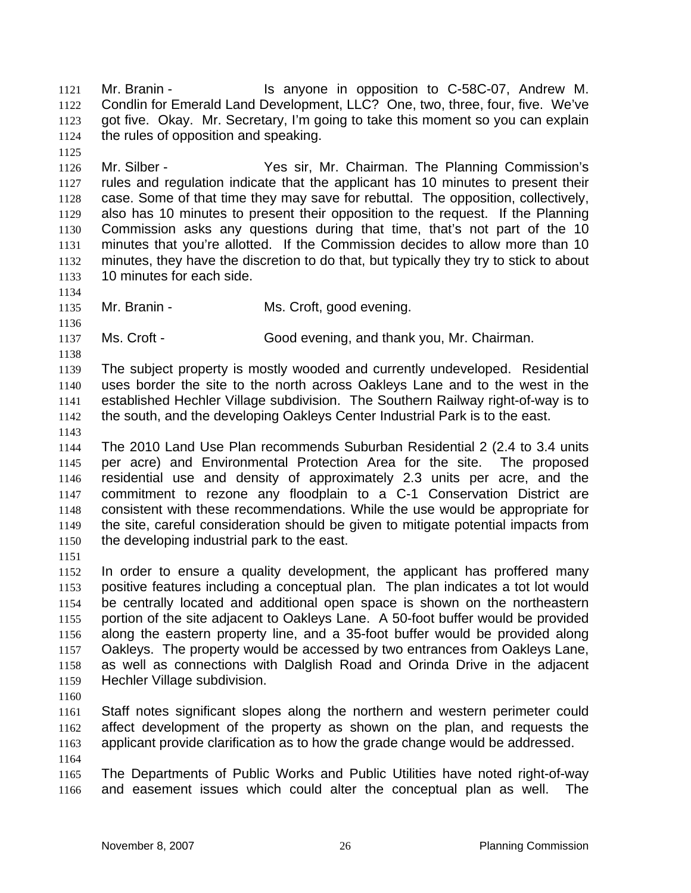Mr. Branin - Is anyone in opposition to C-58C-07, Andrew M. Condlin for Emerald Land Development, LLC? One, two, three, four, five. We've got five. Okay. Mr. Secretary, I'm going to take this moment so you can explain the rules of opposition and speaking.

- Mr. Silber Yes sir, Mr. Chairman. The Planning Commission's rules and regulation indicate that the applicant has 10 minutes to present their case. Some of that time they may save for rebuttal. The opposition, collectively, also has 10 minutes to present their opposition to the request. If the Planning Commission asks any questions during that time, that's not part of the 10 minutes that you're allotted. If the Commission decides to allow more than 10 minutes, they have the discretion to do that, but typically they try to stick to about 10 minutes for each side.
- 

- 1135 Mr. Branin Ms. Croft, good evening.
- Ms. Croft Good evening, and thank you, Mr. Chairman.

The subject property is mostly wooded and currently undeveloped. Residential uses border the site to the north across Oakleys Lane and to the west in the established Hechler Village subdivision. The Southern Railway right-of-way is to the south, and the developing Oakleys Center Industrial Park is to the east.

The 2010 Land Use Plan recommends Suburban Residential 2 (2.4 to 3.4 units per acre) and Environmental Protection Area for the site. The proposed residential use and density of approximately 2.3 units per acre, and the commitment to rezone any floodplain to a C-1 Conservation District are consistent with these recommendations. While the use would be appropriate for the site, careful consideration should be given to mitigate potential impacts from the developing industrial park to the east.

In order to ensure a quality development, the applicant has proffered many positive features including a conceptual plan. The plan indicates a tot lot would be centrally located and additional open space is shown on the northeastern portion of the site adjacent to Oakleys Lane. A 50-foot buffer would be provided along the eastern property line, and a 35-foot buffer would be provided along Oakleys. The property would be accessed by two entrances from Oakleys Lane, as well as connections with Dalglish Road and Orinda Drive in the adjacent Hechler Village subdivision.

Staff notes significant slopes along the northern and western perimeter could affect development of the property as shown on the plan, and requests the applicant provide clarification as to how the grade change would be addressed. 

The Departments of Public Works and Public Utilities have noted right-of-way and easement issues which could alter the conceptual plan as well. The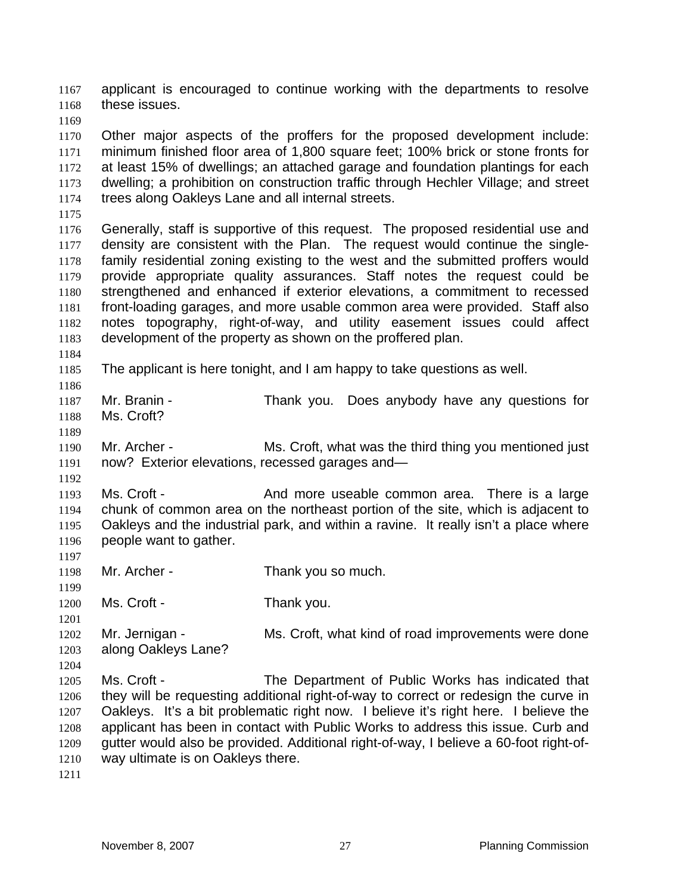applicant is encouraged to continue working with the departments to resolve these issues.

Other major aspects of the proffers for the proposed development include: minimum finished floor area of 1,800 square feet; 100% brick or stone fronts for at least 15% of dwellings; an attached garage and foundation plantings for each dwelling; a prohibition on construction traffic through Hechler Village; and street trees along Oakleys Lane and all internal streets.

Generally, staff is supportive of this request. The proposed residential use and density are consistent with the Plan. The request would continue the single-family residential zoning existing to the west and the submitted proffers would provide appropriate quality assurances. Staff notes the request could be strengthened and enhanced if exterior elevations, a commitment to recessed front-loading garages, and more usable common area were provided. Staff also notes topography, right-of-way, and utility easement issues could affect development of the property as shown on the proffered plan.

The applicant is here tonight, and I am happy to take questions as well.

Mr. Branin - Thank you. Does anybody have any questions for Ms. Croft?

Mr. Archer - Ms. Croft, what was the third thing you mentioned just now? Exterior elevations, recessed garages and—

1193 Ms. Croft - And more useable common area. There is a large chunk of common area on the northeast portion of the site, which is adjacent to Oakleys and the industrial park, and within a ravine. It really isn't a place where people want to gather.

Mr. Archer - Thank you so much.

1200 Ms. Croft - Thank you.

 Mr. Jernigan - Ms. Croft, what kind of road improvements were done along Oakleys Lane?

Ms. Croft - The Department of Public Works has indicated that they will be requesting additional right-of-way to correct or redesign the curve in Oakleys. It's a bit problematic right now. I believe it's right here. I believe the applicant has been in contact with Public Works to address this issue. Curb and gutter would also be provided. Additional right-of-way, I believe a 60-foot right-of-way ultimate is on Oakleys there.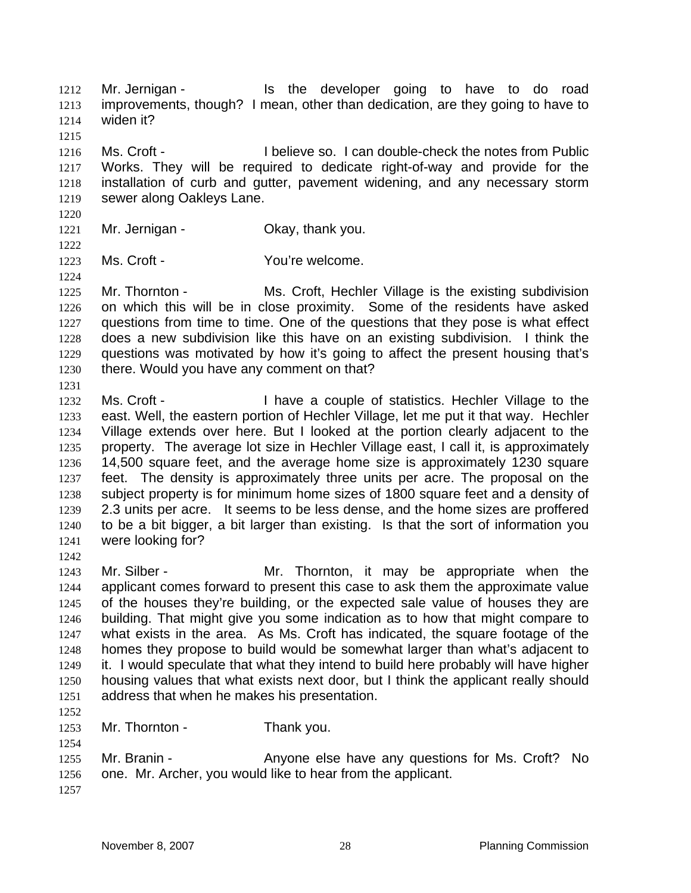1212 Mr. Jernigan - Is the developer going to have to do road improvements, though? I mean, other than dedication, are they going to have to widen it? 

Ms. Croft - I believe so. I can double-check the notes from Public Works. They will be required to dedicate right-of-way and provide for the installation of curb and gutter, pavement widening, and any necessary storm sewer along Oakleys Lane.

- 1221 Mr. Jernigan Ckay, thank you.
- 

Ms. Croft - You're welcome.

1225 Mr. Thornton - Ms. Croft, Hechler Village is the existing subdivision on which this will be in close proximity. Some of the residents have asked questions from time to time. One of the questions that they pose is what effect does a new subdivision like this have on an existing subdivision. I think the questions was motivated by how it's going to affect the present housing that's 1230 there. Would you have any comment on that? 

Ms. Croft - I have a couple of statistics. Hechler Village to the east. Well, the eastern portion of Hechler Village, let me put it that way. Hechler Village extends over here. But I looked at the portion clearly adjacent to the property. The average lot size in Hechler Village east, I call it, is approximately 14,500 square feet, and the average home size is approximately 1230 square feet. The density is approximately three units per acre. The proposal on the subject property is for minimum home sizes of 1800 square feet and a density of 2.3 units per acre. It seems to be less dense, and the home sizes are proffered to be a bit bigger, a bit larger than existing. Is that the sort of information you were looking for?

Mr. Silber - Mr. Thornton, it may be appropriate when the applicant comes forward to present this case to ask them the approximate value of the houses they're building, or the expected sale value of houses they are building. That might give you some indication as to how that might compare to what exists in the area. As Ms. Croft has indicated, the square footage of the homes they propose to build would be somewhat larger than what's adjacent to it. I would speculate that what they intend to build here probably will have higher housing values that what exists next door, but I think the applicant really should address that when he makes his presentation.

Mr. Thornton - Thank you.

Mr. Branin - Anyone else have any questions for Ms. Croft? No one. Mr. Archer, you would like to hear from the applicant.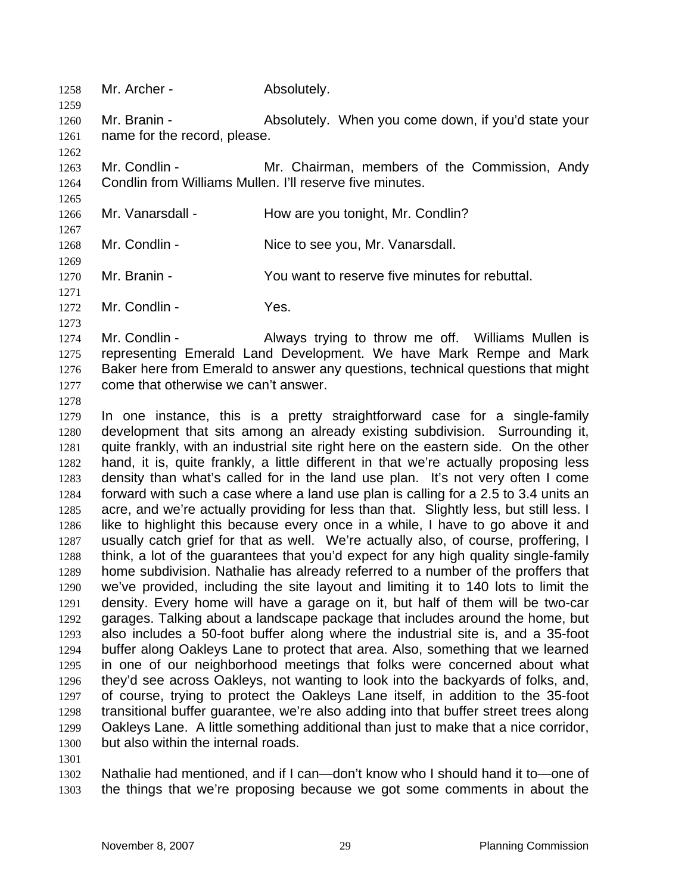Mr. Branin - Absolutely. When you come down, if you'd state your name for the record, please.

Mr. Condlin - Mr. Chairman, members of the Commission, Andy Condlin from Williams Mullen. I'll reserve five minutes.

- 1266 Mr. Vanarsdall How are you tonight, Mr. Condlin?
- Mr. Condlin Nice to see you, Mr. Vanarsdall.
- Mr. Branin You want to reserve five minutes for rebuttal.
- Mr. Condlin Yes.

1258 Mr. Archer - Absolutely.

1274 Mr. Condlin - Always trying to throw me off. Williams Mullen is representing Emerald Land Development. We have Mark Rempe and Mark Baker here from Emerald to answer any questions, technical questions that might come that otherwise we can't answer.

In one instance, this is a pretty straightforward case for a single-family development that sits among an already existing subdivision. Surrounding it, quite frankly, with an industrial site right here on the eastern side. On the other hand, it is, quite frankly, a little different in that we're actually proposing less density than what's called for in the land use plan. It's not very often I come forward with such a case where a land use plan is calling for a 2.5 to 3.4 units an acre, and we're actually providing for less than that. Slightly less, but still less. I like to highlight this because every once in a while, I have to go above it and usually catch grief for that as well. We're actually also, of course, proffering, I think, a lot of the guarantees that you'd expect for any high quality single-family home subdivision. Nathalie has already referred to a number of the proffers that we've provided, including the site layout and limiting it to 140 lots to limit the density. Every home will have a garage on it, but half of them will be two-car garages. Talking about a landscape package that includes around the home, but also includes a 50-foot buffer along where the industrial site is, and a 35-foot buffer along Oakleys Lane to protect that area. Also, something that we learned in one of our neighborhood meetings that folks were concerned about what they'd see across Oakleys, not wanting to look into the backyards of folks, and, of course, trying to protect the Oakleys Lane itself, in addition to the 35-foot transitional buffer guarantee, we're also adding into that buffer street trees along Oakleys Lane. A little something additional than just to make that a nice corridor, but also within the internal roads.

Nathalie had mentioned, and if I can—don't know who I should hand it to—one of the things that we're proposing because we got some comments in about the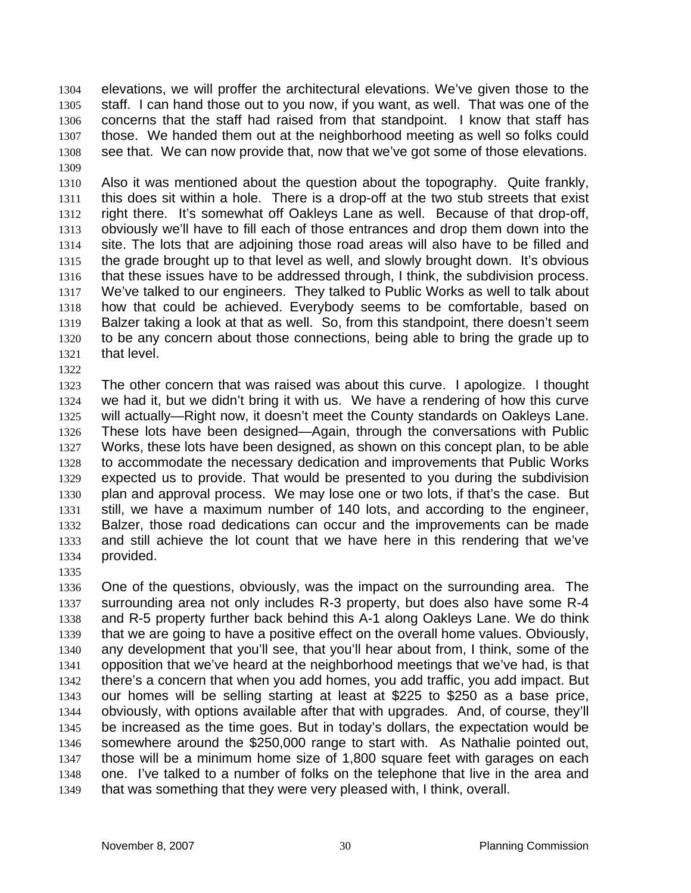elevations, we will proffer the architectural elevations. We've given those to the staff. I can hand those out to you now, if you want, as well. That was one of the concerns that the staff had raised from that standpoint. I know that staff has those. We handed them out at the neighborhood meeting as well so folks could see that. We can now provide that, now that we've got some of those elevations. 

Also it was mentioned about the question about the topography. Quite frankly, this does sit within a hole. There is a drop-off at the two stub streets that exist right there. It's somewhat off Oakleys Lane as well. Because of that drop-off, obviously we'll have to fill each of those entrances and drop them down into the site. The lots that are adjoining those road areas will also have to be filled and the grade brought up to that level as well, and slowly brought down. It's obvious that these issues have to be addressed through, I think, the subdivision process. We've talked to our engineers. They talked to Public Works as well to talk about how that could be achieved. Everybody seems to be comfortable, based on Balzer taking a look at that as well. So, from this standpoint, there doesn't seem to be any concern about those connections, being able to bring the grade up to that level.

The other concern that was raised was about this curve. I apologize. I thought we had it, but we didn't bring it with us. We have a rendering of how this curve will actually—Right now, it doesn't meet the County standards on Oakleys Lane. These lots have been designed—Again, through the conversations with Public Works, these lots have been designed, as shown on this concept plan, to be able to accommodate the necessary dedication and improvements that Public Works expected us to provide. That would be presented to you during the subdivision plan and approval process. We may lose one or two lots, if that's the case. But still, we have a maximum number of 140 lots, and according to the engineer, Balzer, those road dedications can occur and the improvements can be made and still achieve the lot count that we have here in this rendering that we've provided.

One of the questions, obviously, was the impact on the surrounding area. The surrounding area not only includes R-3 property, but does also have some R-4 and R-5 property further back behind this A-1 along Oakleys Lane. We do think that we are going to have a positive effect on the overall home values. Obviously, any development that you'll see, that you'll hear about from, I think, some of the opposition that we've heard at the neighborhood meetings that we've had, is that there's a concern that when you add homes, you add traffic, you add impact. But our homes will be selling starting at least at \$225 to \$250 as a base price, obviously, with options available after that with upgrades. And, of course, they'll be increased as the time goes. But in today's dollars, the expectation would be somewhere around the \$250,000 range to start with. As Nathalie pointed out, those will be a minimum home size of 1,800 square feet with garages on each one. I've talked to a number of folks on the telephone that live in the area and that was something that they were very pleased with, I think, overall.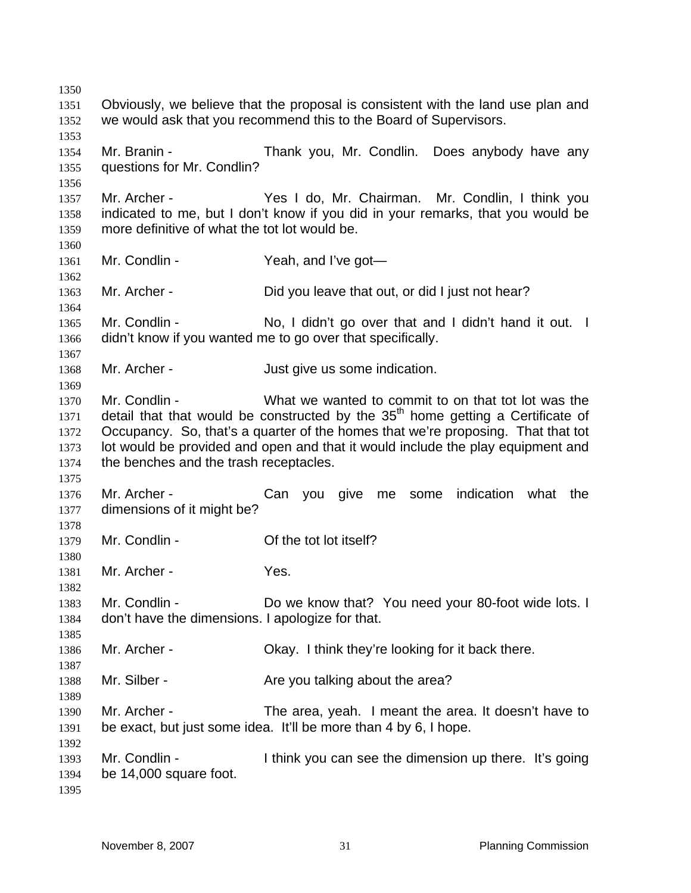Obviously, we believe that the proposal is consistent with the land use plan and we would ask that you recommend this to the Board of Supervisors. Mr. Branin - Thank you, Mr. Condlin. Does anybody have any questions for Mr. Condlin? Mr. Archer - Yes I do, Mr. Chairman. Mr. Condlin, I think you indicated to me, but I don't know if you did in your remarks, that you would be more definitive of what the tot lot would be. 1361 Mr. Condlin - Yeah, and I've got- Mr. Archer - Did you leave that out, or did I just not hear? 1365 Mr. Condlin - No, I didn't go over that and I didn't hand it out. I didn't know if you wanted me to go over that specifically. 1368 Mr. Archer - Just give us some indication. Mr. Condlin - What we wanted to commit to on that tot lot was the detail that that would be constructed by the  $35<sup>th</sup>$  home getting a Certificate of Occupancy. So, that's a quarter of the homes that we're proposing. That that tot lot would be provided and open and that it would include the play equipment and the benches and the trash receptacles. Mr. Archer - Can you give me some indication what the dimensions of it might be? 1379 Mr. Condlin - Contract Condition Condition Condition Condition Condition Condition Condition Condition Co Mr. Archer - Yes. 1383 Mr. Condlin - Do we know that? You need your 80-foot wide lots. I don't have the dimensions. I apologize for that. Mr. Archer - Okay. I think they're looking for it back there. 1388 Mr. Silber - Are you talking about the area? Mr. Archer - The area, yeah. I meant the area. It doesn't have to be exact, but just some idea. It'll be more than 4 by 6, I hope. Mr. Condlin - I think you can see the dimension up there. It's going be 14,000 square foot.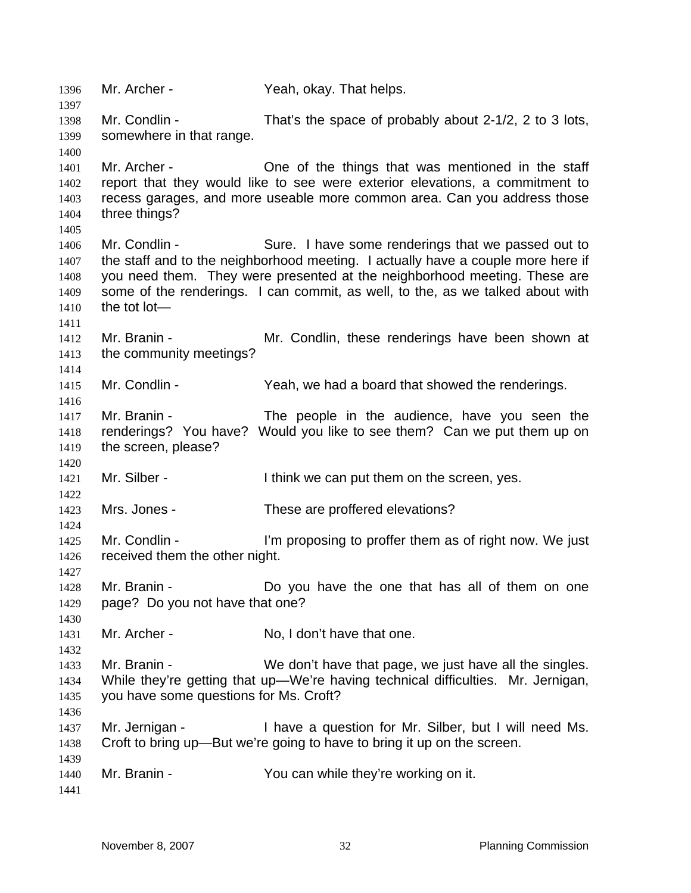Mr. Archer - Yeah, okay. That helps. Mr. Condlin - That's the space of probably about 2-1/2, 2 to 3 lots, somewhere in that range. 1401 Mr. Archer - **One of the things that was mentioned in the staff** report that they would like to see were exterior elevations, a commitment to recess garages, and more useable more common area. Can you address those three things? Mr. Condlin - Sure. I have some renderings that we passed out to 1407 the staff and to the neighborhood meeting. I actually have a couple more here if you need them. They were presented at the neighborhood meeting. These are some of the renderings. I can commit, as well, to the, as we talked about with the tot lot— Mr. Branin - Mr. Condlin, these renderings have been shown at 1413 the community meetings? 1415 Mr. Condlin - Yeah, we had a board that showed the renderings. Mr. Branin - The people in the audience, have you seen the renderings? You have? Would you like to see them? Can we put them up on the screen, please? 1421 Mr. Silber - Ithink we can put them on the screen, yes. Mrs. Jones - These are proffered elevations? 1425 Mr. Condlin - I'm proposing to proffer them as of right now. We just received them the other night. Mr. Branin - Do you have the one that has all of them on one page? Do you not have that one? Mr. Archer - No, I don't have that one. 1433 Mr. Branin - We don't have that page, we just have all the singles. While they're getting that up—We're having technical difficulties. Mr. Jernigan, you have some questions for Ms. Croft? Mr. Jernigan - I have a question for Mr. Silber, but I will need Ms. Croft to bring up—But we're going to have to bring it up on the screen. 1440 Mr. Branin - You can while they're working on it.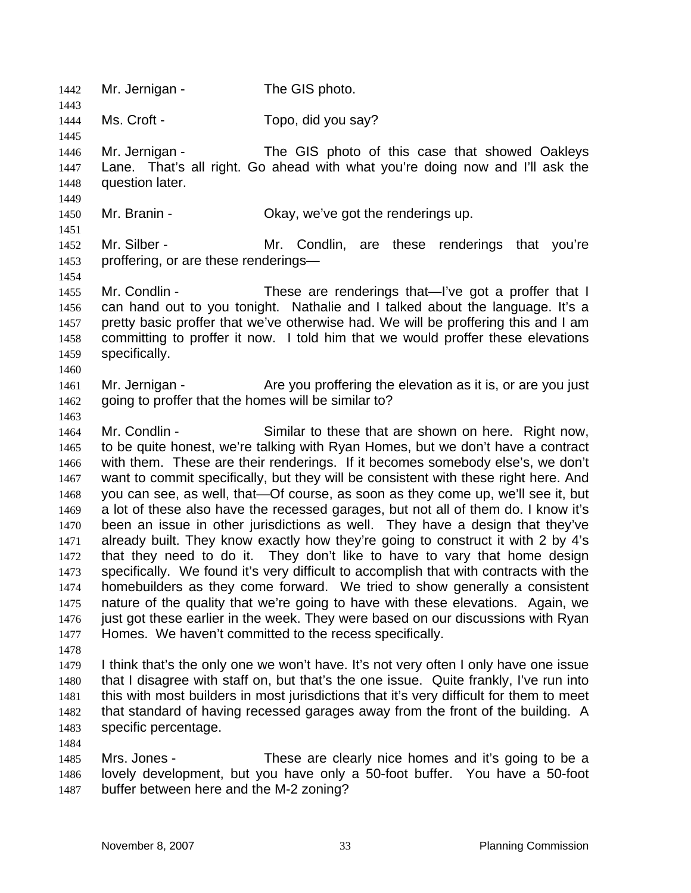1442 Mr. Jernigan - The GIS photo. Ms. Croft - Topo, did you say? Mr. Jernigan - The GIS photo of this case that showed Oakleys Lane. That's all right. Go ahead with what you're doing now and I'll ask the question later. Mr. Branin - Okay, we've got the renderings up. Mr. Silber - Mr. Condlin, are these renderings that you're proffering, or are these renderings— 1455 Mr. Condlin - These are renderings that—I've got a proffer that I can hand out to you tonight. Nathalie and I talked about the language. It's a pretty basic proffer that we've otherwise had. We will be proffering this and I am committing to proffer it now. I told him that we would proffer these elevations specifically. 1461 Mr. Jernigan - Are you proffering the elevation as it is, or are you just going to proffer that the homes will be similar to? Mr. Condlin - Similar to these that are shown on here. Right now, to be quite honest, we're talking with Ryan Homes, but we don't have a contract with them. These are their renderings. If it becomes somebody else's, we don't want to commit specifically, but they will be consistent with these right here. And you can see, as well, that—Of course, as soon as they come up, we'll see it, but a lot of these also have the recessed garages, but not all of them do. I know it's been an issue in other jurisdictions as well. They have a design that they've already built. They know exactly how they're going to construct it with 2 by 4's that they need to do it. They don't like to have to vary that home design specifically. We found it's very difficult to accomplish that with contracts with the homebuilders as they come forward. We tried to show generally a consistent nature of the quality that we're going to have with these elevations. Again, we 1476 just got these earlier in the week. They were based on our discussions with Ryan Homes. We haven't committed to the recess specifically. I think that's the only one we won't have. It's not very often I only have one issue that I disagree with staff on, but that's the one issue. Quite frankly, I've run into this with most builders in most jurisdictions that it's very difficult for them to meet that standard of having recessed garages away from the front of the building. A specific percentage. Mrs. Jones - These are clearly nice homes and it's going to be a lovely development, but you have only a 50-foot buffer. You have a 50-foot buffer between here and the M-2 zoning?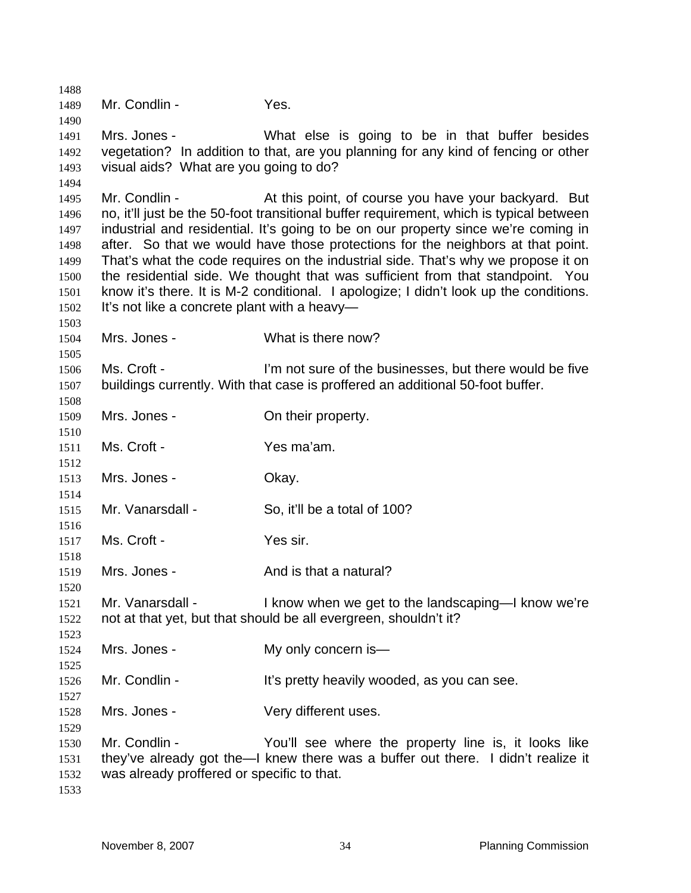Mr. Condlin - Yes. Mrs. Jones - What else is going to be in that buffer besides vegetation? In addition to that, are you planning for any kind of fencing or other visual aids? What are you going to do? 1495 Mr. Condlin - At this point, of course you have your backyard. But no, it'll just be the 50-foot transitional buffer requirement, which is typical between industrial and residential. It's going to be on our property since we're coming in after. So that we would have those protections for the neighbors at that point. That's what the code requires on the industrial side. That's why we propose it on the residential side. We thought that was sufficient from that standpoint. You know it's there. It is M-2 conditional. I apologize; I didn't look up the conditions. 1502 It's not like a concrete plant with a heavy- Mrs. Jones - What is there now? Ms. Croft - I'm not sure of the businesses, but there would be five buildings currently. With that case is proffered an additional 50-foot buffer. 1509 Mrs. Jones - Chatheir property. Ms. Croft - Yes ma'am. 1513 Mrs. Jones - Okay. Mr. Vanarsdall - So, it'll be a total of 100? 1517 Ms. Croft - Yes sir. 1519 Mrs. Jones - And is that a natural? Mr. Vanarsdall - I know when we get to the landscaping—I know we're not at that yet, but that should be all evergreen, shouldn't it? 1524 Mrs. Jones - My only concern is- Mr. Condlin - It's pretty heavily wooded, as you can see. 1528 Mrs. Jones - Very different uses. Mr. Condlin - You'll see where the property line is, it looks like they've already got the—I knew there was a buffer out there. I didn't realize it was already proffered or specific to that.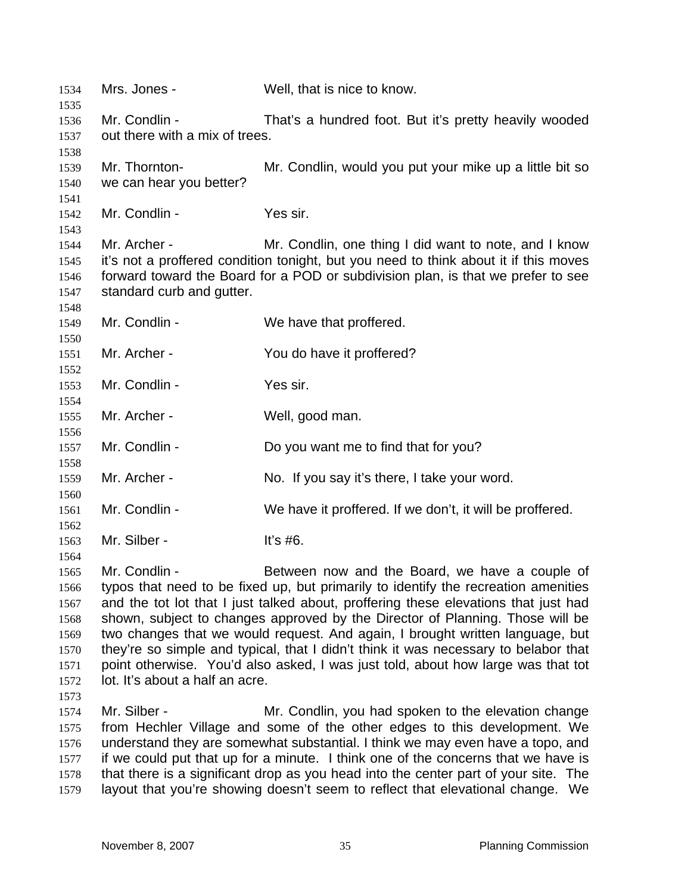Mrs. Jones - Well, that is nice to know. Mr. Condlin - That's a hundred foot. But it's pretty heavily wooded out there with a mix of trees. Mr. Thornton- Mr. Condlin, would you put your mike up a little bit so we can hear you better? Mr. Condlin - Yes sir. Mr. Archer - Mr. Condlin, one thing I did want to note, and I know it's not a proffered condition tonight, but you need to think about it if this moves forward toward the Board for a POD or subdivision plan, is that we prefer to see standard curb and gutter. 1549 Mr. Condlin - We have that proffered. 1551 Mr. Archer - You do have it proffered? Mr. Condlin - Yes sir. 1555 Mr. Archer - Well, good man. Mr. Condlin - Do you want me to find that for you? Mr. Archer - No. If you say it's there, I take your word. Mr. Condlin - We have it proffered. If we don't, it will be proffered. 1563 Mr. Silber - It's #6. Mr. Condlin - Between now and the Board, we have a couple of typos that need to be fixed up, but primarily to identify the recreation amenities and the tot lot that I just talked about, proffering these elevations that just had shown, subject to changes approved by the Director of Planning. Those will be two changes that we would request. And again, I brought written language, but they're so simple and typical, that I didn't think it was necessary to belabor that point otherwise. You'd also asked, I was just told, about how large was that tot lot. It's about a half an acre. 1574 Mr. Silber - Mr. Condlin, you had spoken to the elevation change from Hechler Village and some of the other edges to this development. We understand they are somewhat substantial. I think we may even have a topo, and if we could put that up for a minute. I think one of the concerns that we have is that there is a significant drop as you head into the center part of your site. The layout that you're showing doesn't seem to reflect that elevational change. We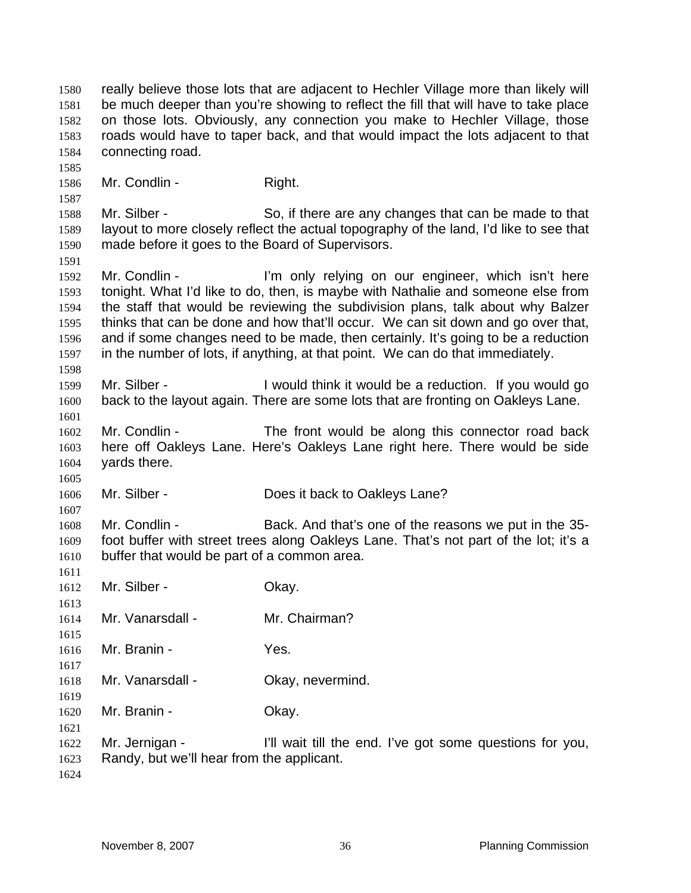really believe those lots that are adjacent to Hechler Village more than likely will be much deeper than you're showing to reflect the fill that will have to take place on those lots. Obviously, any connection you make to Hechler Village, those roads would have to taper back, and that would impact the lots adjacent to that connecting road.

1586 Mr. Condlin - Right.

Mr. Silber - So, if there are any changes that can be made to that layout to more closely reflect the actual topography of the land, I'd like to see that made before it goes to the Board of Supervisors.

1592 Mr. Condlin - I'm only relying on our engineer, which isn't here tonight. What I'd like to do, then, is maybe with Nathalie and someone else from the staff that would be reviewing the subdivision plans, talk about why Balzer thinks that can be done and how that'll occur. We can sit down and go over that, and if some changes need to be made, then certainly. It's going to be a reduction in the number of lots, if anything, at that point. We can do that immediately.

Mr. Silber - I would think it would be a reduction. If you would go back to the layout again. There are some lots that are fronting on Oakleys Lane. 

Mr. Condlin - The front would be along this connector road back here off Oakleys Lane. Here's Oakleys Lane right here. There would be side yards there.

1606 Mr. Silber - Does it back to Oakleys Lane?

Mr. Condlin - Back. And that's one of the reasons we put in the 35- foot buffer with street trees along Oakleys Lane. That's not part of the lot; it's a buffer that would be part of a common area.

- 1612 Mr. Silber Ckay.
- Mr. Vanarsdall Mr. Chairman?

Mr. Branin - Yes.

- 1618 Mr. Vanarsdall Okay, nevermind.
- 1620 Mr. Branin Ckay.
- Mr. Jernigan I'll wait till the end. I've got some questions for you, Randy, but we'll hear from the applicant.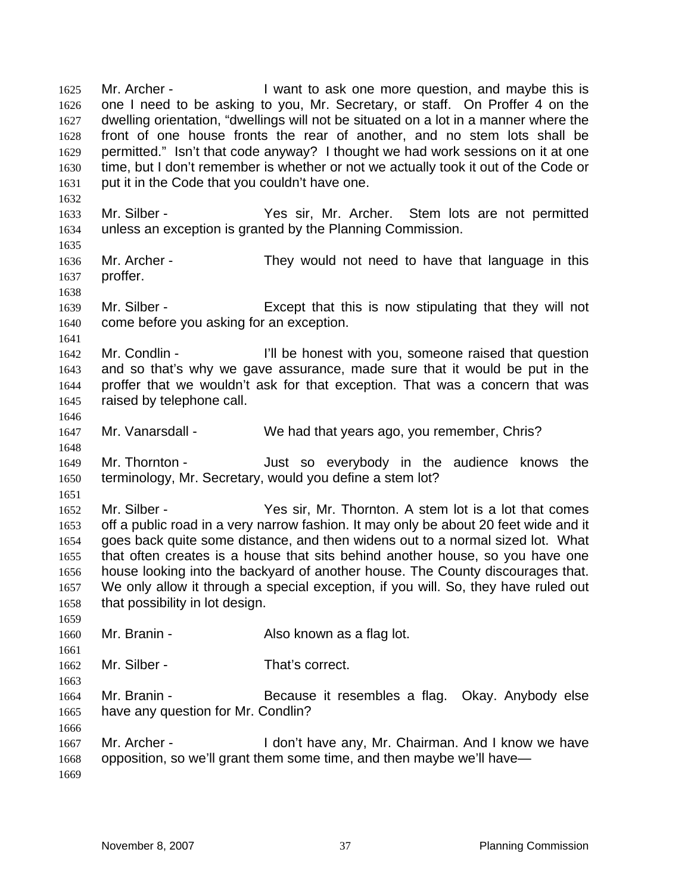1625 Mr. Archer - I want to ask one more question, and maybe this is one I need to be asking to you, Mr. Secretary, or staff. On Proffer 4 on the dwelling orientation, "dwellings will not be situated on a lot in a manner where the front of one house fronts the rear of another, and no stem lots shall be permitted." Isn't that code anyway? I thought we had work sessions on it at one time, but I don't remember is whether or not we actually took it out of the Code or put it in the Code that you couldn't have one. Mr. Silber - Yes sir, Mr. Archer. Stem lots are not permitted unless an exception is granted by the Planning Commission. Mr. Archer - They would not need to have that language in this proffer. Mr. Silber - Except that this is now stipulating that they will not come before you asking for an exception. Mr. Condlin - I'll be honest with you, someone raised that question and so that's why we gave assurance, made sure that it would be put in the proffer that we wouldn't ask for that exception. That was a concern that was raised by telephone call. Mr. Vanarsdall - We had that years ago, you remember, Chris? Mr. Thornton - Just so everybody in the audience knows the terminology, Mr. Secretary, would you define a stem lot? Mr. Silber - Yes sir, Mr. Thornton. A stem lot is a lot that comes off a public road in a very narrow fashion. It may only be about 20 feet wide and it goes back quite some distance, and then widens out to a normal sized lot. What that often creates is a house that sits behind another house, so you have one house looking into the backyard of another house. The County discourages that. We only allow it through a special exception, if you will. So, they have ruled out that possibility in lot design. 1660 Mr. Branin - Also known as a flag lot. Mr. Silber - That's correct. Mr. Branin - Because it resembles a flag. Okay. Anybody else have any question for Mr. Condlin? Mr. Archer - I don't have any, Mr. Chairman. And I know we have opposition, so we'll grant them some time, and then maybe we'll have—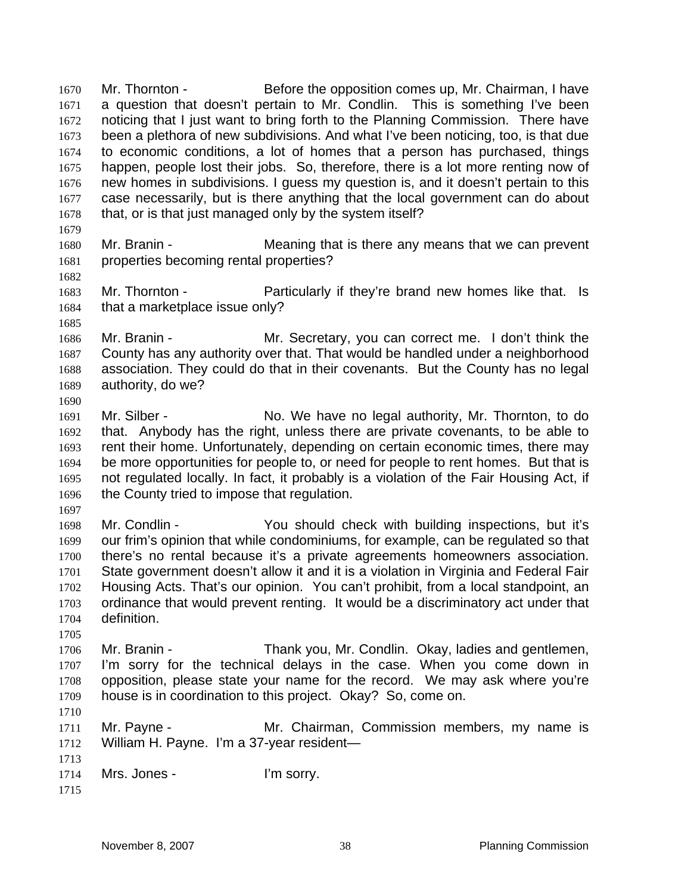Mr. Thornton - Before the opposition comes up, Mr. Chairman, I have a question that doesn't pertain to Mr. Condlin. This is something I've been noticing that I just want to bring forth to the Planning Commission. There have been a plethora of new subdivisions. And what I've been noticing, too, is that due to economic conditions, a lot of homes that a person has purchased, things happen, people lost their jobs. So, therefore, there is a lot more renting now of new homes in subdivisions. I guess my question is, and it doesn't pertain to this case necessarily, but is there anything that the local government can do about 1678 that, or is that just managed only by the system itself? Mr. Branin - Meaning that is there any means that we can prevent

- properties becoming rental properties?
- Mr. Thornton Particularly if they're brand new homes like that. Is 1684 that a marketplace issue only?

Mr. Branin - Mr. Secretary, you can correct me. I don't think the County has any authority over that. That would be handled under a neighborhood association. They could do that in their covenants. But the County has no legal authority, do we?

- 1691 Mr. Silber No. We have no legal authority, Mr. Thornton, to do that. Anybody has the right, unless there are private covenants, to be able to rent their home. Unfortunately, depending on certain economic times, there may be more opportunities for people to, or need for people to rent homes. But that is not regulated locally. In fact, it probably is a violation of the Fair Housing Act, if 1696 the County tried to impose that regulation.
- 

Mr. Condlin - You should check with building inspections, but it's our frim's opinion that while condominiums, for example, can be regulated so that there's no rental because it's a private agreements homeowners association. State government doesn't allow it and it is a violation in Virginia and Federal Fair Housing Acts. That's our opinion. You can't prohibit, from a local standpoint, an ordinance that would prevent renting. It would be a discriminatory act under that definition.

Mr. Branin - Thank you, Mr. Condlin. Okay, ladies and gentlemen, I'm sorry for the technical delays in the case. When you come down in opposition, please state your name for the record. We may ask where you're house is in coordination to this project. Okay? So, come on.

Mr. Payne - Mr. Chairman, Commission members, my name is William H. Payne. I'm a 37-year resident—

```
1713 
1714 Mrs. Jones - I'm sorry.
```

```
1715
```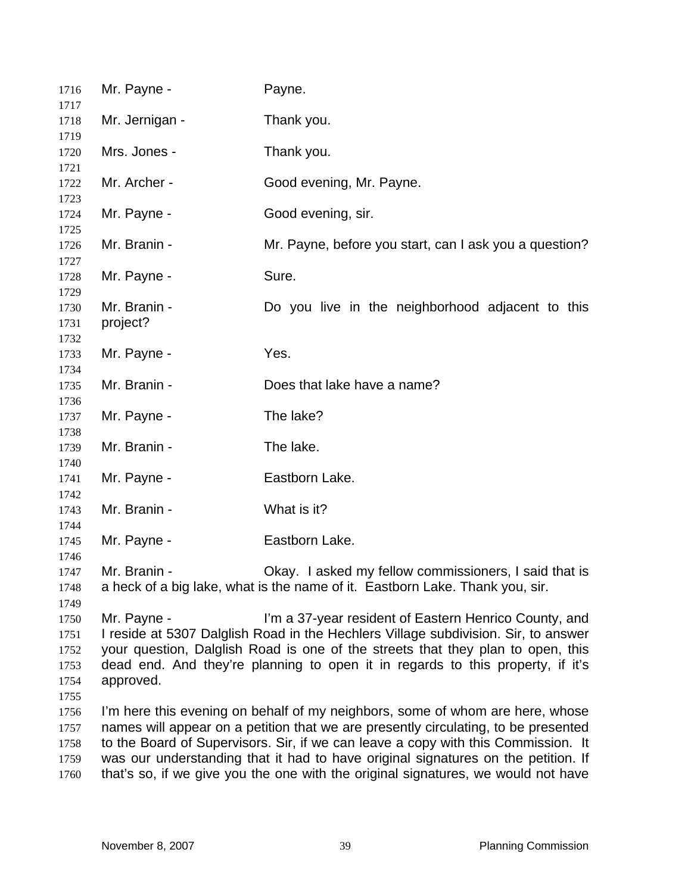| 1716                                         | Mr. Payne -                                                                                                                                                                                                                                                                                                                                                                                                                        | Payne.                                                                                                                                |  |
|----------------------------------------------|------------------------------------------------------------------------------------------------------------------------------------------------------------------------------------------------------------------------------------------------------------------------------------------------------------------------------------------------------------------------------------------------------------------------------------|---------------------------------------------------------------------------------------------------------------------------------------|--|
| 1717<br>1718                                 | Mr. Jernigan -                                                                                                                                                                                                                                                                                                                                                                                                                     | Thank you.                                                                                                                            |  |
| 1719<br>1720                                 | Mrs. Jones -                                                                                                                                                                                                                                                                                                                                                                                                                       | Thank you.                                                                                                                            |  |
| 1721<br>1722<br>1723                         | Mr. Archer -                                                                                                                                                                                                                                                                                                                                                                                                                       | Good evening, Mr. Payne.                                                                                                              |  |
| 1724<br>1725                                 | Mr. Payne -                                                                                                                                                                                                                                                                                                                                                                                                                        | Good evening, sir.                                                                                                                    |  |
| 1726<br>1727                                 | Mr. Branin -                                                                                                                                                                                                                                                                                                                                                                                                                       | Mr. Payne, before you start, can I ask you a question?                                                                                |  |
| 1728<br>1729                                 | Mr. Payne -                                                                                                                                                                                                                                                                                                                                                                                                                        | Sure.                                                                                                                                 |  |
| 1730<br>1731<br>1732                         | Mr. Branin -<br>project?                                                                                                                                                                                                                                                                                                                                                                                                           | Do you live in the neighborhood adjacent to this                                                                                      |  |
| 1733<br>1734                                 | Mr. Payne -                                                                                                                                                                                                                                                                                                                                                                                                                        | Yes.                                                                                                                                  |  |
| 1735                                         | Mr. Branin -                                                                                                                                                                                                                                                                                                                                                                                                                       | Does that lake have a name?                                                                                                           |  |
| 1736<br>1737                                 | Mr. Payne -                                                                                                                                                                                                                                                                                                                                                                                                                        | The lake?                                                                                                                             |  |
| 1738<br>1739                                 | Mr. Branin -                                                                                                                                                                                                                                                                                                                                                                                                                       | The lake.                                                                                                                             |  |
| 1740<br>1741                                 | Mr. Payne -                                                                                                                                                                                                                                                                                                                                                                                                                        | Eastborn Lake.                                                                                                                        |  |
| 1742<br>1743                                 | Mr. Branin -                                                                                                                                                                                                                                                                                                                                                                                                                       | What is it?                                                                                                                           |  |
| 1744<br>1745<br>1746                         | Mr. Payne -                                                                                                                                                                                                                                                                                                                                                                                                                        | Eastborn Lake.                                                                                                                        |  |
| 1747<br>1748<br>1749                         | Mr. Branin -                                                                                                                                                                                                                                                                                                                                                                                                                       | Okay. I asked my fellow commissioners, I said that is<br>a heck of a big lake, what is the name of it. Eastborn Lake. Thank you, sir. |  |
| 1750<br>1751<br>1752<br>1753<br>1754<br>1755 | Mr. Payne -<br>I'm a 37-year resident of Eastern Henrico County, and<br>I reside at 5307 Dalglish Road in the Hechlers Village subdivision. Sir, to answer<br>your question, Dalglish Road is one of the streets that they plan to open, this<br>dead end. And they're planning to open it in regards to this property, if it's<br>approved.                                                                                       |                                                                                                                                       |  |
| 1756<br>1757<br>1758<br>1759<br>1760         | I'm here this evening on behalf of my neighbors, some of whom are here, whose<br>names will appear on a petition that we are presently circulating, to be presented<br>to the Board of Supervisors. Sir, if we can leave a copy with this Commission. It<br>was our understanding that it had to have original signatures on the petition. If<br>that's so, if we give you the one with the original signatures, we would not have |                                                                                                                                       |  |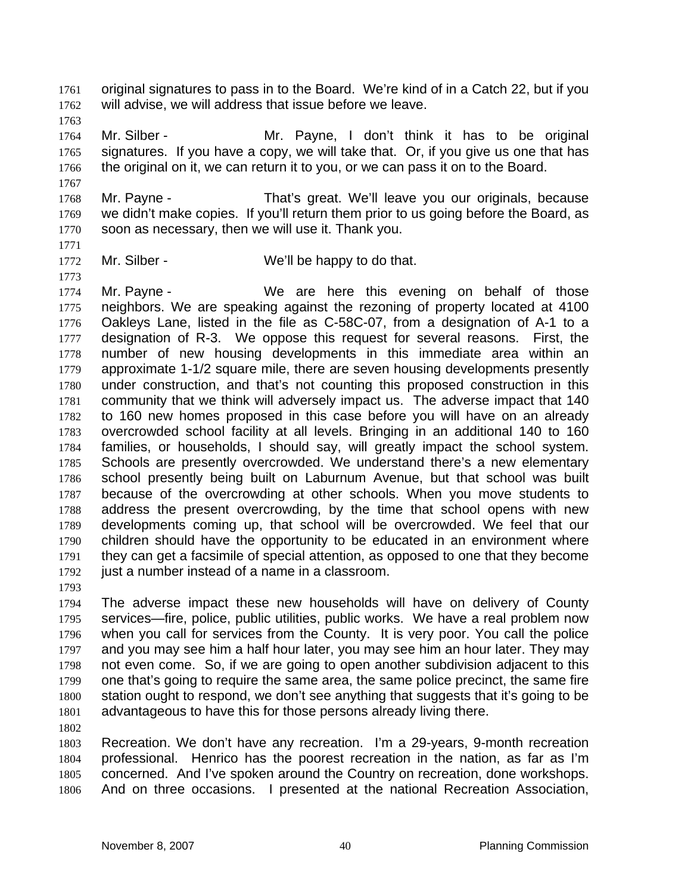original signatures to pass in to the Board. We're kind of in a Catch 22, but if you will advise, we will address that issue before we leave.

Mr. Silber - Mr. Payne, I don't think it has to be original signatures. If you have a copy, we will take that. Or, if you give us one that has the original on it, we can return it to you, or we can pass it on to the Board.

Mr. Payne - That's great. We'll leave you our originals, because we didn't make copies. If you'll return them prior to us going before the Board, as soon as necessary, then we will use it. Thank you.

1772 Mr. Silber - We'll be happy to do that.

1774 Mr. Payne - We are here this evening on behalf of those neighbors. We are speaking against the rezoning of property located at 4100 Oakleys Lane, listed in the file as C-58C-07, from a designation of A-1 to a designation of R-3. We oppose this request for several reasons. First, the number of new housing developments in this immediate area within an approximate 1-1/2 square mile, there are seven housing developments presently under construction, and that's not counting this proposed construction in this community that we think will adversely impact us. The adverse impact that 140 to 160 new homes proposed in this case before you will have on an already overcrowded school facility at all levels. Bringing in an additional 140 to 160 families, or households, I should say, will greatly impact the school system. Schools are presently overcrowded. We understand there's a new elementary school presently being built on Laburnum Avenue, but that school was built because of the overcrowding at other schools. When you move students to address the present overcrowding, by the time that school opens with new developments coming up, that school will be overcrowded. We feel that our children should have the opportunity to be educated in an environment where they can get a facsimile of special attention, as opposed to one that they become just a number instead of a name in a classroom.

The adverse impact these new households will have on delivery of County services—fire, police, public utilities, public works. We have a real problem now when you call for services from the County. It is very poor. You call the police and you may see him a half hour later, you may see him an hour later. They may not even come. So, if we are going to open another subdivision adjacent to this one that's going to require the same area, the same police precinct, the same fire station ought to respond, we don't see anything that suggests that it's going to be advantageous to have this for those persons already living there.

Recreation. We don't have any recreation. I'm a 29-years, 9-month recreation professional. Henrico has the poorest recreation in the nation, as far as I'm concerned. And I've spoken around the Country on recreation, done workshops. And on three occasions. I presented at the national Recreation Association,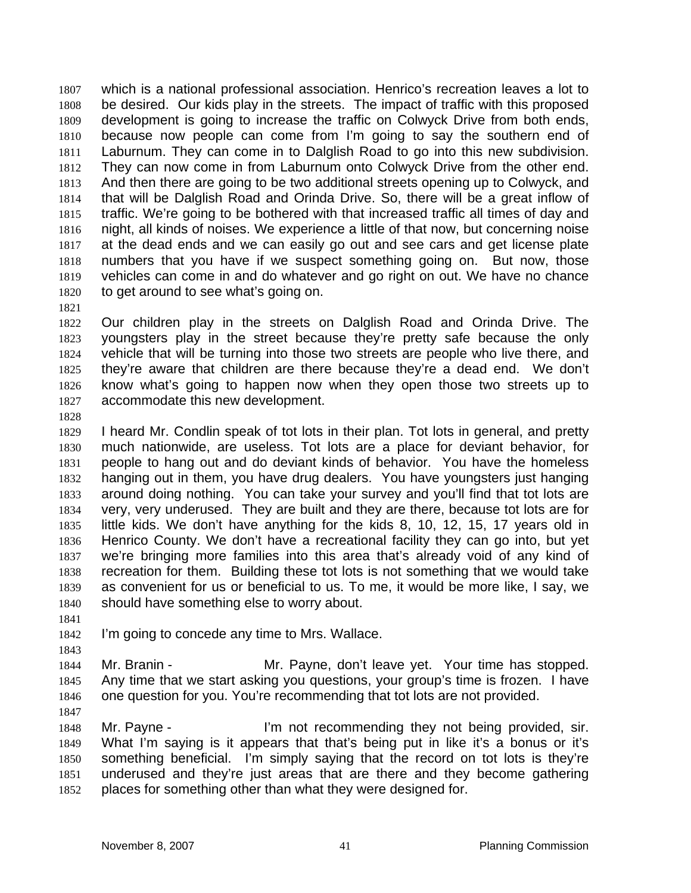which is a national professional association. Henrico's recreation leaves a lot to be desired. Our kids play in the streets. The impact of traffic with this proposed development is going to increase the traffic on Colwyck Drive from both ends, because now people can come from I'm going to say the southern end of Laburnum. They can come in to Dalglish Road to go into this new subdivision. They can now come in from Laburnum onto Colwyck Drive from the other end. And then there are going to be two additional streets opening up to Colwyck, and that will be Dalglish Road and Orinda Drive. So, there will be a great inflow of traffic. We're going to be bothered with that increased traffic all times of day and night, all kinds of noises. We experience a little of that now, but concerning noise at the dead ends and we can easily go out and see cars and get license plate numbers that you have if we suspect something going on. But now, those vehicles can come in and do whatever and go right on out. We have no chance to get around to see what's going on.

Our children play in the streets on Dalglish Road and Orinda Drive. The youngsters play in the street because they're pretty safe because the only vehicle that will be turning into those two streets are people who live there, and they're aware that children are there because they're a dead end. We don't know what's going to happen now when they open those two streets up to accommodate this new development.

I heard Mr. Condlin speak of tot lots in their plan. Tot lots in general, and pretty much nationwide, are useless. Tot lots are a place for deviant behavior, for people to hang out and do deviant kinds of behavior. You have the homeless hanging out in them, you have drug dealers. You have youngsters just hanging around doing nothing. You can take your survey and you'll find that tot lots are very, very underused. They are built and they are there, because tot lots are for little kids. We don't have anything for the kids 8, 10, 12, 15, 17 years old in Henrico County. We don't have a recreational facility they can go into, but yet we're bringing more families into this area that's already void of any kind of recreation for them. Building these tot lots is not something that we would take as convenient for us or beneficial to us. To me, it would be more like, I say, we should have something else to worry about.

I'm going to concede any time to Mrs. Wallace.

Mr. Branin - Mr. Payne, don't leave yet. Your time has stopped. Any time that we start asking you questions, your group's time is frozen. I have one question for you. You're recommending that tot lots are not provided.

Mr. Payne - I'm not recommending they not being provided, sir. What I'm saying is it appears that that's being put in like it's a bonus or it's something beneficial. I'm simply saying that the record on tot lots is they're underused and they're just areas that are there and they become gathering places for something other than what they were designed for.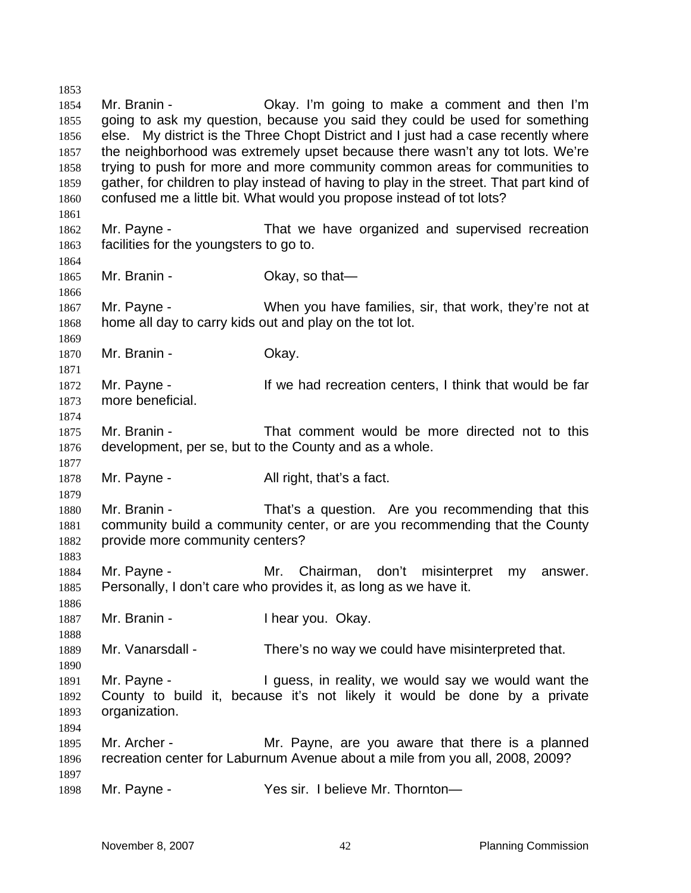Mr. Branin - Okay. I'm going to make a comment and then I'm going to ask my question, because you said they could be used for something else. My district is the Three Chopt District and I just had a case recently where the neighborhood was extremely upset because there wasn't any tot lots. We're trying to push for more and more community common areas for communities to gather, for children to play instead of having to play in the street. That part kind of confused me a little bit. What would you propose instead of tot lots? Mr. Payne - That we have organized and supervised recreation facilities for the youngsters to go to. 1865 Mr. Branin - Chay, so that- Mr. Payne - When you have families, sir, that work, they're not at home all day to carry kids out and play on the tot lot. 1870 Mr. Branin - Ckay. 1872 Mr. Payne - If we had recreation centers, I think that would be far more beneficial. Mr. Branin - That comment would be more directed not to this development, per se, but to the County and as a whole. 1878 Mr. Payne - All right, that's a fact. Mr. Branin - That's a question. Are you recommending that this community build a community center, or are you recommending that the County provide more community centers? Mr. Payne - Mr. Chairman, don't misinterpret my answer. Personally, I don't care who provides it, as long as we have it. 1887 Mr. Branin - **I hear you. Okay.**  Mr. Vanarsdall - There's no way we could have misinterpreted that. Mr. Payne - I guess, in reality, we would say we would want the County to build it, because it's not likely it would be done by a private organization. Mr. Archer - Mr. Payne, are you aware that there is a planned recreation center for Laburnum Avenue about a mile from you all, 2008, 2009? 1898 Mr. Payne - Yes sir. I believe Mr. Thornton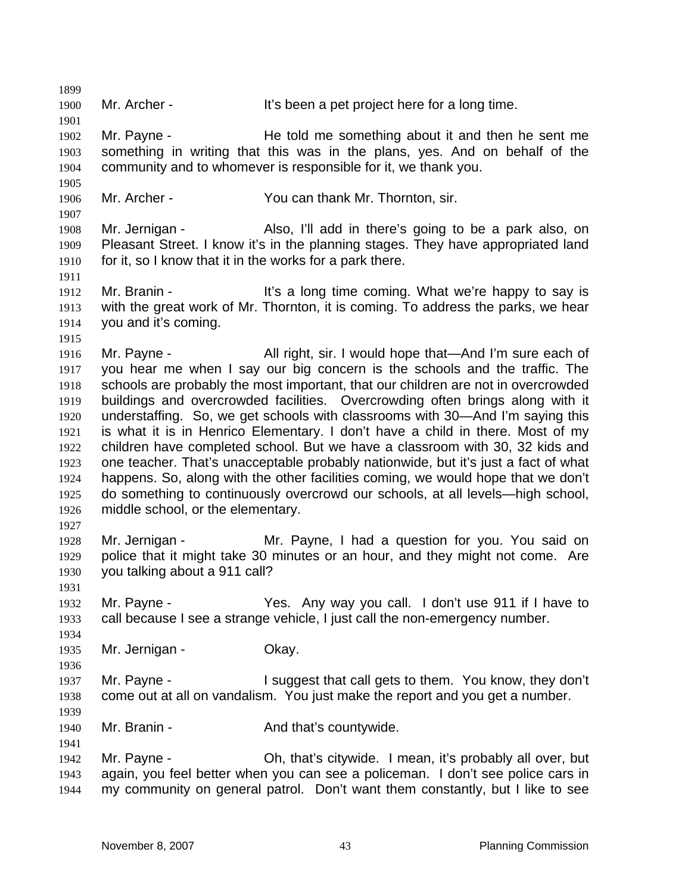Mr. Archer - It's been a pet project here for a long time. Mr. Payne - He told me something about it and then he sent me something in writing that this was in the plans, yes. And on behalf of the community and to whomever is responsible for it, we thank you. Mr. Archer - You can thank Mr. Thornton, sir. Mr. Jernigan - Also, I'll add in there's going to be a park also, on Pleasant Street. I know it's in the planning stages. They have appropriated land for it, so I know that it in the works for a park there. 1912 Mr. Branin - It's a long time coming. What we're happy to say is with the great work of Mr. Thornton, it is coming. To address the parks, we hear you and it's coming. 1916 Mr. Payne - All right, sir. I would hope that—And I'm sure each of you hear me when I say our big concern is the schools and the traffic. The schools are probably the most important, that our children are not in overcrowded buildings and overcrowded facilities. Overcrowding often brings along with it understaffing. So, we get schools with classrooms with 30—And I'm saying this is what it is in Henrico Elementary. I don't have a child in there. Most of my children have completed school. But we have a classroom with 30, 32 kids and one teacher. That's unacceptable probably nationwide, but it's just a fact of what happens. So, along with the other facilities coming, we would hope that we don't do something to continuously overcrowd our schools, at all levels—high school, middle school, or the elementary. Mr. Jernigan - Mr. Payne, I had a question for you. You said on police that it might take 30 minutes or an hour, and they might not come. Are you talking about a 911 call? Mr. Payne - Yes. Any way you call. I don't use 911 if I have to call because I see a strange vehicle, I just call the non-emergency number. Mr. Jernigan - Okay. Mr. Payne - I suggest that call gets to them. You know, they don't come out at all on vandalism. You just make the report and you get a number. 1940 Mr. Branin - **And that's countywide.**  Mr. Payne - Oh, that's citywide. I mean, it's probably all over, but again, you feel better when you can see a policeman. I don't see police cars in my community on general patrol. Don't want them constantly, but I like to see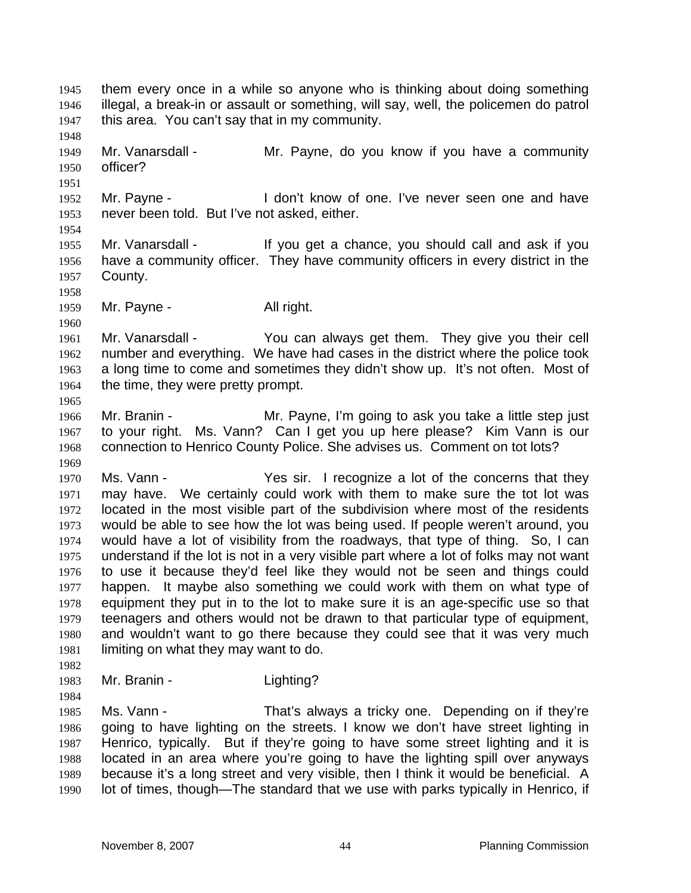them every once in a while so anyone who is thinking about doing something illegal, a break-in or assault or something, will say, well, the policemen do patrol this area. You can't say that in my community. Mr. Vanarsdall - Mr. Payne, do you know if you have a community officer? Mr. Payne - I don't know of one. I've never seen one and have never been told. But I've not asked, either. Mr. Vanarsdall - If you get a chance, you should call and ask if you have a community officer. They have community officers in every district in the County. 1959 Mr. Payne - All right. Mr. Vanarsdall - You can always get them. They give you their cell number and everything. We have had cases in the district where the police took a long time to come and sometimes they didn't show up. It's not often. Most of 1964 the time, they were pretty prompt. Mr. Branin - Mr. Payne, I'm going to ask you take a little step just to your right. Ms. Vann? Can I get you up here please? Kim Vann is our connection to Henrico County Police. She advises us. Comment on tot lots? Ms. Vann - Yes sir. I recognize a lot of the concerns that they may have. We certainly could work with them to make sure the tot lot was located in the most visible part of the subdivision where most of the residents would be able to see how the lot was being used. If people weren't around, you would have a lot of visibility from the roadways, that type of thing. So, I can understand if the lot is not in a very visible part where a lot of folks may not want to use it because they'd feel like they would not be seen and things could happen. It maybe also something we could work with them on what type of equipment they put in to the lot to make sure it is an age-specific use so that teenagers and others would not be drawn to that particular type of equipment, and wouldn't want to go there because they could see that it was very much limiting on what they may want to do. 1983 Mr. Branin - Lighting? Ms. Vann - That's always a tricky one. Depending on if they're going to have lighting on the streets. I know we don't have street lighting in Henrico, typically. But if they're going to have some street lighting and it is located in an area where you're going to have the lighting spill over anyways because it's a long street and very visible, then I think it would be beneficial. A

lot of times, though—The standard that we use with parks typically in Henrico, if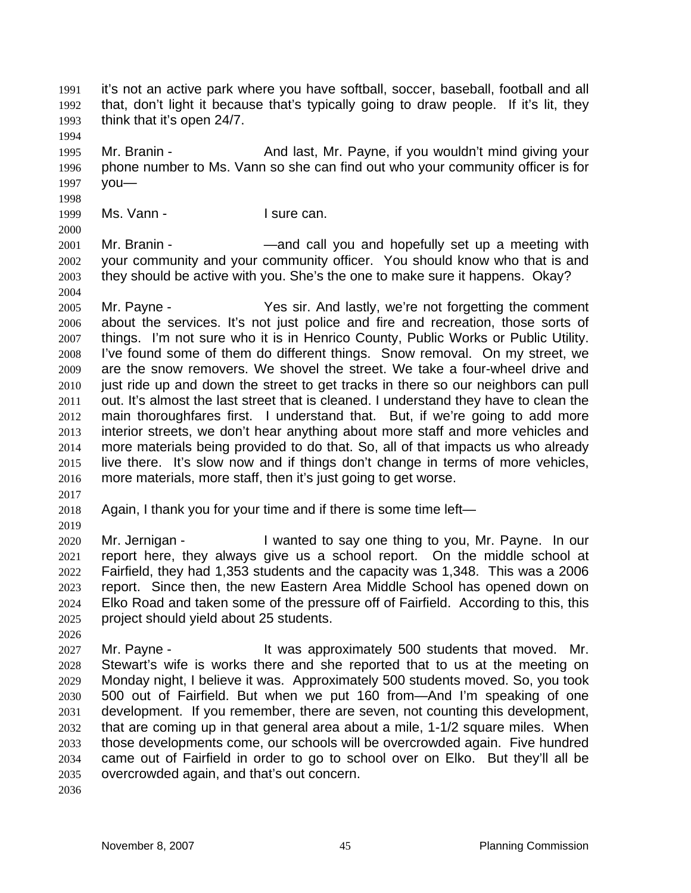it's not an active park where you have softball, soccer, baseball, football and all that, don't light it because that's typically going to draw people. If it's lit, they think that it's open 24/7.

Mr. Branin - And last, Mr. Payne, if you wouldn't mind giving your phone number to Ms. Vann so she can find out who your community officer is for you—

1999 Ms. Vann - I sure can.

Mr. Branin - —and call you and hopefully set up a meeting with your community and your community officer. You should know who that is and they should be active with you. She's the one to make sure it happens. Okay? 

Mr. Payne - Yes sir. And lastly, we're not forgetting the comment about the services. It's not just police and fire and recreation, those sorts of things. I'm not sure who it is in Henrico County, Public Works or Public Utility. I've found some of them do different things. Snow removal. On my street, we are the snow removers. We shovel the street. We take a four-wheel drive and just ride up and down the street to get tracks in there so our neighbors can pull out. It's almost the last street that is cleaned. I understand they have to clean the main thoroughfares first. I understand that. But, if we're going to add more interior streets, we don't hear anything about more staff and more vehicles and more materials being provided to do that. So, all of that impacts us who already live there. It's slow now and if things don't change in terms of more vehicles, more materials, more staff, then it's just going to get worse.

Again, I thank you for your time and if there is some time left—

Mr. Jernigan - I wanted to say one thing to you, Mr. Payne. In our report here, they always give us a school report. On the middle school at Fairfield, they had 1,353 students and the capacity was 1,348. This was a 2006 report. Since then, the new Eastern Area Middle School has opened down on Elko Road and taken some of the pressure off of Fairfield. According to this, this project should yield about 25 students.

Mr. Payne - It was approximately 500 students that moved. Mr. Stewart's wife is works there and she reported that to us at the meeting on Monday night, I believe it was. Approximately 500 students moved. So, you took 500 out of Fairfield. But when we put 160 from—And I'm speaking of one development. If you remember, there are seven, not counting this development, that are coming up in that general area about a mile, 1-1/2 square miles. When those developments come, our schools will be overcrowded again. Five hundred came out of Fairfield in order to go to school over on Elko. But they'll all be overcrowded again, and that's out concern.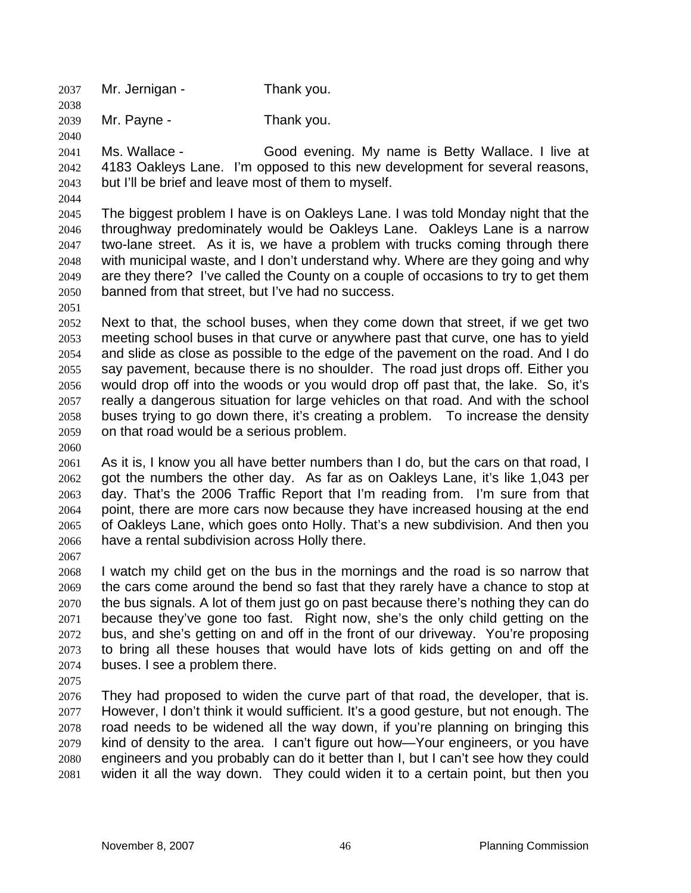Mr. Jernigan - Thank you.

Mr. Payne - Thank you.

Ms. Wallace - Good evening. My name is Betty Wallace. I live at 4183 Oakleys Lane. I'm opposed to this new development for several reasons, but I'll be brief and leave most of them to myself.

The biggest problem I have is on Oakleys Lane. I was told Monday night that the throughway predominately would be Oakleys Lane. Oakleys Lane is a narrow two-lane street. As it is, we have a problem with trucks coming through there with municipal waste, and I don't understand why. Where are they going and why are they there? I've called the County on a couple of occasions to try to get them banned from that street, but I've had no success.

Next to that, the school buses, when they come down that street, if we get two meeting school buses in that curve or anywhere past that curve, one has to yield and slide as close as possible to the edge of the pavement on the road. And I do say pavement, because there is no shoulder. The road just drops off. Either you would drop off into the woods or you would drop off past that, the lake. So, it's really a dangerous situation for large vehicles on that road. And with the school buses trying to go down there, it's creating a problem. To increase the density on that road would be a serious problem.

As it is, I know you all have better numbers than I do, but the cars on that road, I got the numbers the other day. As far as on Oakleys Lane, it's like 1,043 per day. That's the 2006 Traffic Report that I'm reading from. I'm sure from that point, there are more cars now because they have increased housing at the end of Oakleys Lane, which goes onto Holly. That's a new subdivision. And then you have a rental subdivision across Holly there.

I watch my child get on the bus in the mornings and the road is so narrow that the cars come around the bend so fast that they rarely have a chance to stop at the bus signals. A lot of them just go on past because there's nothing they can do because they've gone too fast. Right now, she's the only child getting on the bus, and she's getting on and off in the front of our driveway. You're proposing to bring all these houses that would have lots of kids getting on and off the buses. I see a problem there.

They had proposed to widen the curve part of that road, the developer, that is. However, I don't think it would sufficient. It's a good gesture, but not enough. The road needs to be widened all the way down, if you're planning on bringing this kind of density to the area. I can't figure out how—Your engineers, or you have engineers and you probably can do it better than I, but I can't see how they could widen it all the way down. They could widen it to a certain point, but then you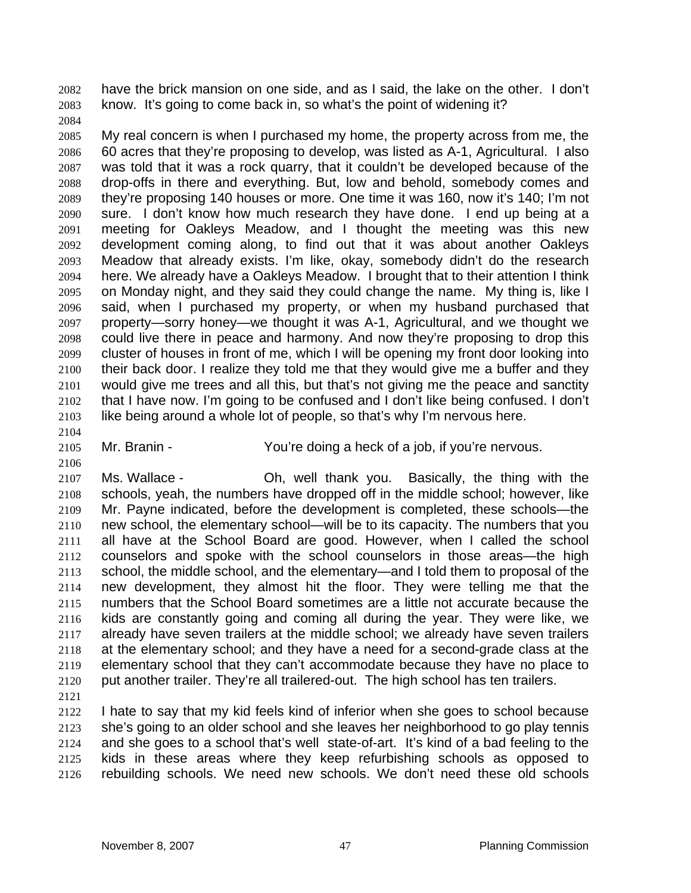have the brick mansion on one side, and as I said, the lake on the other. I don't know. It's going to come back in, so what's the point of widening it?

My real concern is when I purchased my home, the property across from me, the 60 acres that they're proposing to develop, was listed as A-1, Agricultural. I also was told that it was a rock quarry, that it couldn't be developed because of the drop-offs in there and everything. But, low and behold, somebody comes and they're proposing 140 houses or more. One time it was 160, now it's 140; I'm not sure. I don't know how much research they have done. I end up being at a meeting for Oakleys Meadow, and I thought the meeting was this new development coming along, to find out that it was about another Oakleys Meadow that already exists. I'm like, okay, somebody didn't do the research here. We already have a Oakleys Meadow. I brought that to their attention I think on Monday night, and they said they could change the name. My thing is, like I said, when I purchased my property, or when my husband purchased that property—sorry honey—we thought it was A-1, Agricultural, and we thought we could live there in peace and harmony. And now they're proposing to drop this cluster of houses in front of me, which I will be opening my front door looking into their back door. I realize they told me that they would give me a buffer and they would give me trees and all this, but that's not giving me the peace and sanctity that I have now. I'm going to be confused and I don't like being confused. I don't like being around a whole lot of people, so that's why I'm nervous here.

Mr. Branin - You're doing a heck of a job, if you're nervous.

Ms. Wallace - Oh, well thank you. Basically, the thing with the schools, yeah, the numbers have dropped off in the middle school; however, like Mr. Payne indicated, before the development is completed, these schools—the new school, the elementary school—will be to its capacity. The numbers that you all have at the School Board are good. However, when I called the school counselors and spoke with the school counselors in those areas—the high school, the middle school, and the elementary—and I told them to proposal of the new development, they almost hit the floor. They were telling me that the numbers that the School Board sometimes are a little not accurate because the kids are constantly going and coming all during the year. They were like, we already have seven trailers at the middle school; we already have seven trailers at the elementary school; and they have a need for a second-grade class at the elementary school that they can't accommodate because they have no place to put another trailer. They're all trailered-out. The high school has ten trailers.

I hate to say that my kid feels kind of inferior when she goes to school because she's going to an older school and she leaves her neighborhood to go play tennis and she goes to a school that's well state-of-art. It's kind of a bad feeling to the kids in these areas where they keep refurbishing schools as opposed to rebuilding schools. We need new schools. We don't need these old schools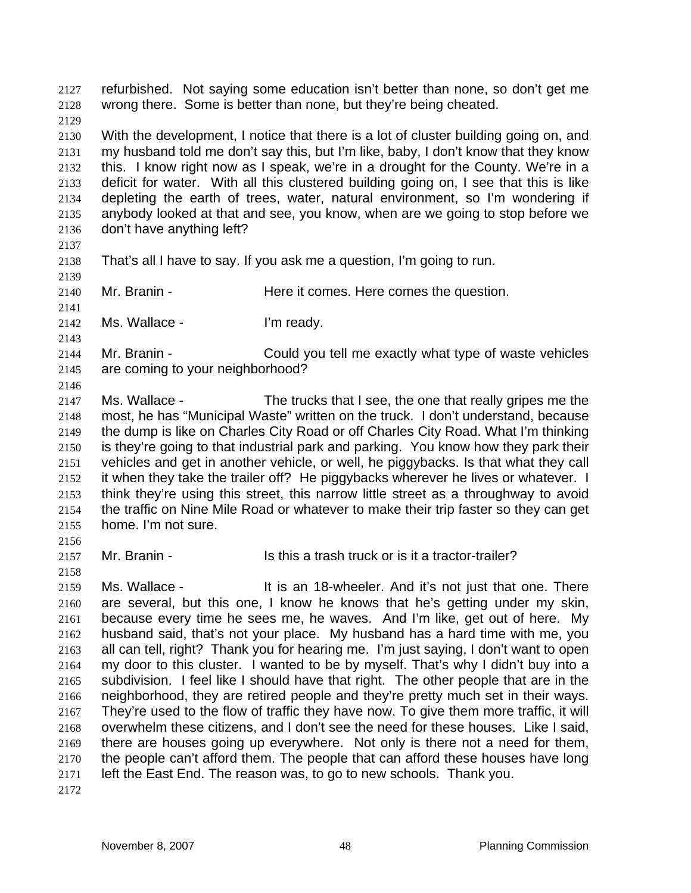refurbished. Not saying some education isn't better than none, so don't get me wrong there. Some is better than none, but they're being cheated.

With the development, I notice that there is a lot of cluster building going on, and my husband told me don't say this, but I'm like, baby, I don't know that they know this. I know right now as I speak, we're in a drought for the County. We're in a deficit for water. With all this clustered building going on, I see that this is like depleting the earth of trees, water, natural environment, so I'm wondering if anybody looked at that and see, you know, when are we going to stop before we don't have anything left?

That's all I have to say. If you ask me a question, I'm going to run.

2140 Mr. Branin - Here it comes. Here comes the question.

Ms. Wallace - I'm ready.

Mr. Branin - Could you tell me exactly what type of waste vehicles are coming to your neighborhood?

Ms. Wallace - The trucks that I see, the one that really gripes me the most, he has "Municipal Waste" written on the truck. I don't understand, because the dump is like on Charles City Road or off Charles City Road. What I'm thinking is they're going to that industrial park and parking. You know how they park their vehicles and get in another vehicle, or well, he piggybacks. Is that what they call it when they take the trailer off? He piggybacks wherever he lives or whatever. I think they're using this street, this narrow little street as a throughway to avoid the traffic on Nine Mile Road or whatever to make their trip faster so they can get home. I'm not sure.

Mr. Branin - Is this a trash truck or is it a tractor-trailer?

Ms. Wallace - It is an 18-wheeler. And it's not just that one. There are several, but this one, I know he knows that he's getting under my skin, because every time he sees me, he waves. And I'm like, get out of here. My husband said, that's not your place. My husband has a hard time with me, you all can tell, right? Thank you for hearing me. I'm just saying, I don't want to open my door to this cluster. I wanted to be by myself. That's why I didn't buy into a subdivision. I feel like I should have that right. The other people that are in the neighborhood, they are retired people and they're pretty much set in their ways. They're used to the flow of traffic they have now. To give them more traffic, it will overwhelm these citizens, and I don't see the need for these houses. Like I said, there are houses going up everywhere. Not only is there not a need for them, the people can't afford them. The people that can afford these houses have long left the East End. The reason was, to go to new schools. Thank you.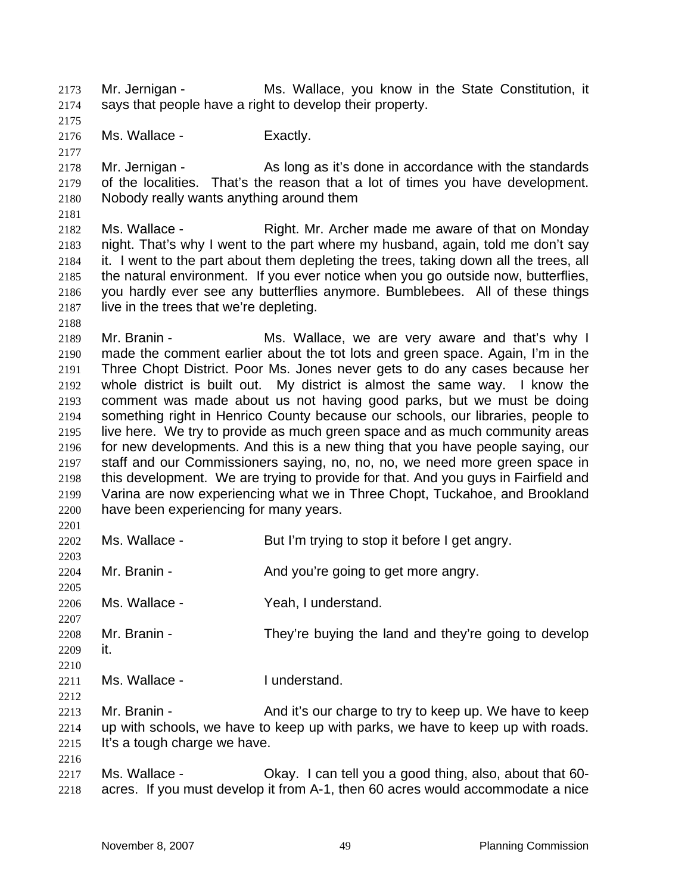Mr. Jernigan - Ms. Wallace, you know in the State Constitution, it says that people have a right to develop their property.

Ms. Wallace - Exactly.

2178 Mr. Jernigan - As long as it's done in accordance with the standards of the localities. That's the reason that a lot of times you have development. Nobody really wants anything around them

Ms. Wallace - Right. Mr. Archer made me aware of that on Monday night. That's why I went to the part where my husband, again, told me don't say it. I went to the part about them depleting the trees, taking down all the trees, all the natural environment. If you ever notice when you go outside now, butterflies, you hardly ever see any butterflies anymore. Bumblebees. All of these things live in the trees that we're depleting.

Mr. Branin - Ms. Wallace, we are very aware and that's why I made the comment earlier about the tot lots and green space. Again, I'm in the Three Chopt District. Poor Ms. Jones never gets to do any cases because her whole district is built out. My district is almost the same way. I know the comment was made about us not having good parks, but we must be doing something right in Henrico County because our schools, our libraries, people to live here. We try to provide as much green space and as much community areas for new developments. And this is a new thing that you have people saying, our staff and our Commissioners saying, no, no, no, we need more green space in this development. We are trying to provide for that. And you guys in Fairfield and Varina are now experiencing what we in Three Chopt, Tuckahoe, and Brookland have been experiencing for many years.

Ms. Wallace - But I'm trying to stop it before I get angry. 

2204 Mr. Branin - And you're going to get more angry. 

Ms. Wallace - Yeah, I understand.

 Mr. Branin - They're buying the land and they're going to develop it. 

Ms. Wallace - I understand.

Mr. Branin - And it's our charge to try to keep up. We have to keep up with schools, we have to keep up with parks, we have to keep up with roads. It's a tough charge we have.

Ms. Wallace - Okay. I can tell you a good thing, also, about that 60- acres. If you must develop it from A-1, then 60 acres would accommodate a nice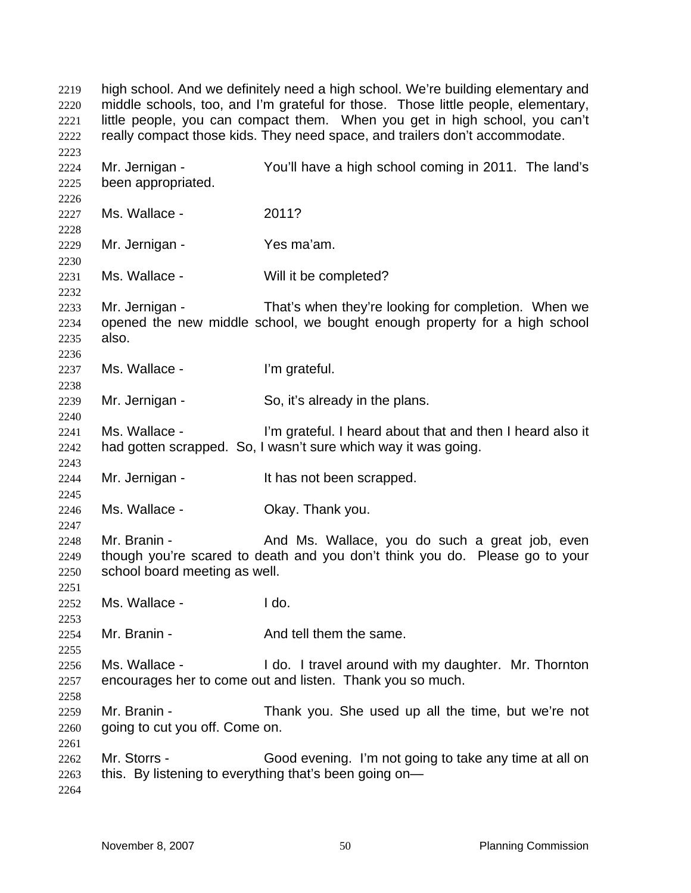high school. And we definitely need a high school. We're building elementary and middle schools, too, and I'm grateful for those. Those little people, elementary, little people, you can compact them. When you get in high school, you can't really compact those kids. They need space, and trailers don't accommodate. Mr. Jernigan - You'll have a high school coming in 2011. The land's been appropriated. Ms. Wallace - 2011? Mr. Jernigan - Yes ma'am. Ms. Wallace - Will it be completed? Mr. Jernigan - That's when they're looking for completion. When we opened the new middle school, we bought enough property for a high school also. Ms. Wallace - I'm grateful. Mr. Jernigan - So, it's already in the plans. Ms. Wallace - I'm grateful. I heard about that and then I heard also it had gotten scrapped. So, I wasn't sure which way it was going. Mr. Jernigan - It has not been scrapped. Ms. Wallace - Okay. Thank you. 2248 Mr. Branin - And Ms. Wallace, you do such a great job, even though you're scared to death and you don't think you do. Please go to your school board meeting as well. Ms. Wallace - I do. 2254 Mr. Branin - And tell them the same. 2256 Ms. Wallace - I do. I travel around with my daughter. Mr. Thornton encourages her to come out and listen. Thank you so much. Mr. Branin - Thank you. She used up all the time, but we're not going to cut you off. Come on. Mr. Storrs - Good evening. I'm not going to take any time at all on this. By listening to everything that's been going on—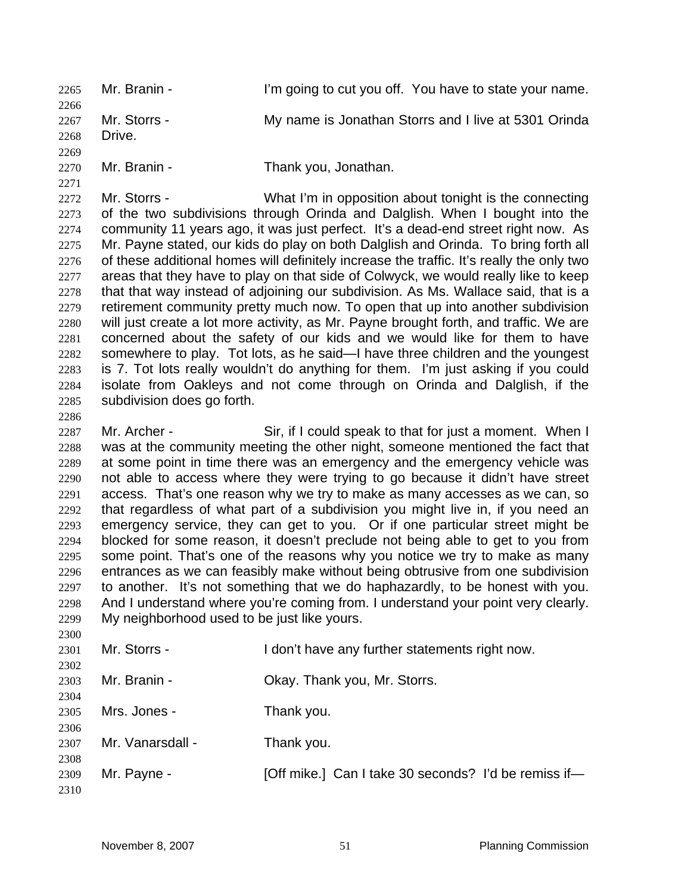Mr. Branin - I'm going to cut you off. You have to state your name. 2267 Mr. Storrs - My name is Jonathan Storrs and I live at 5301 Orinda Drive. 

Mr. Branin - Thank you, Jonathan.

2272 Mr. Storrs - What I'm in opposition about tonight is the connecting of the two subdivisions through Orinda and Dalglish. When I bought into the community 11 years ago, it was just perfect. It's a dead-end street right now. As Mr. Payne stated, our kids do play on both Dalglish and Orinda. To bring forth all 2276 of these additional homes will definitely increase the traffic. It's really the only two areas that they have to play on that side of Colwyck, we would really like to keep that that way instead of adjoining our subdivision. As Ms. Wallace said, that is a retirement community pretty much now. To open that up into another subdivision will just create a lot more activity, as Mr. Payne brought forth, and traffic. We are concerned about the safety of our kids and we would like for them to have somewhere to play. Tot lots, as he said—I have three children and the youngest is 7. Tot lots really wouldn't do anything for them. I'm just asking if you could isolate from Oakleys and not come through on Orinda and Dalglish, if the subdivision does go forth.

2287 Mr. Archer - Sir, if I could speak to that for just a moment. When I was at the community meeting the other night, someone mentioned the fact that at some point in time there was an emergency and the emergency vehicle was not able to access where they were trying to go because it didn't have street access. That's one reason why we try to make as many accesses as we can, so that regardless of what part of a subdivision you might live in, if you need an emergency service, they can get to you. Or if one particular street might be blocked for some reason, it doesn't preclude not being able to get to you from some point. That's one of the reasons why you notice we try to make as many entrances as we can feasibly make without being obtrusive from one subdivision to another. It's not something that we do haphazardly, to be honest with you. And I understand where you're coming from. I understand your point very clearly. My neighborhood used to be just like yours. 

| 2500 |                  |                                                      |
|------|------------------|------------------------------------------------------|
| 2301 | Mr. Storrs -     | I don't have any further statements right now.       |
| 2302 |                  |                                                      |
| 2303 | Mr. Branin -     | Okay. Thank you, Mr. Storrs.                         |
| 2304 |                  |                                                      |
| 2305 | Mrs. Jones -     | Thank you.                                           |
| 2306 |                  |                                                      |
| 2307 | Mr. Vanarsdall - | Thank you.                                           |
| 2308 |                  |                                                      |
| 2309 | Mr. Payne -      | [Off mike.] Can I take 30 seconds? I'd be remiss if— |
| 2310 |                  |                                                      |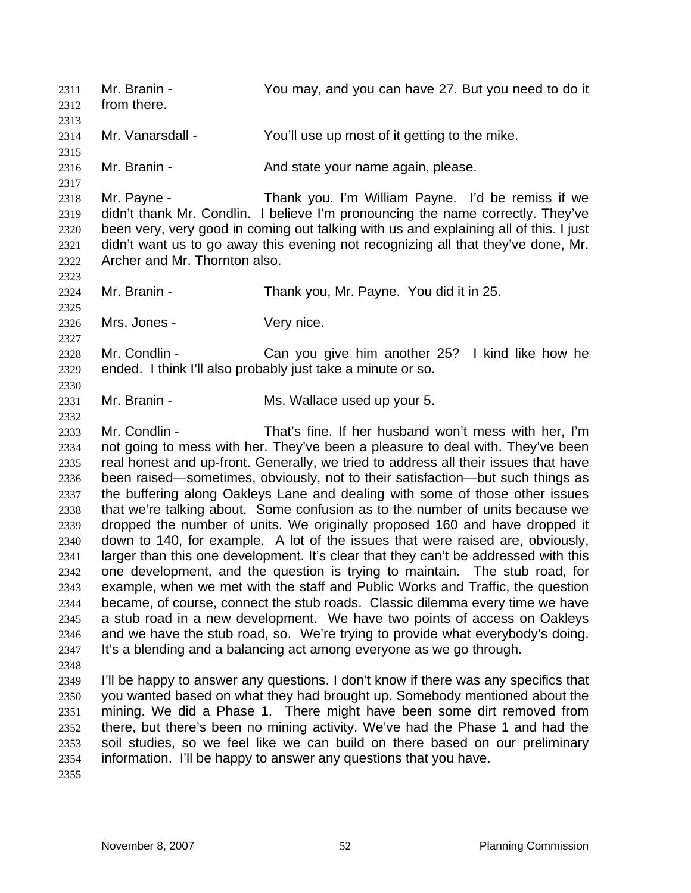Mr. Branin - You may, and you can have 27. But you need to do it from there. Mr. Vanarsdall - You'll use up most of it getting to the mike. 2316 Mr. Branin - **And state your name again, please.**  Mr. Payne - Thank you. I'm William Payne. I'd be remiss if we didn't thank Mr. Condlin. I believe I'm pronouncing the name correctly. They've been very, very good in coming out talking with us and explaining all of this. I just didn't want us to go away this evening not recognizing all that they've done, Mr. Archer and Mr. Thornton also. Mr. Branin - Thank you, Mr. Payne. You did it in 25. Mrs. Jones - Very nice. Mr. Condlin - Can you give him another 25? I kind like how he ended. I think I'll also probably just take a minute or so. Mr. Branin - Ms. Wallace used up your 5. Mr. Condlin - That's fine. If her husband won't mess with her, I'm not going to mess with her. They've been a pleasure to deal with. They've been real honest and up-front. Generally, we tried to address all their issues that have been raised—sometimes, obviously, not to their satisfaction—but such things as the buffering along Oakleys Lane and dealing with some of those other issues that we're talking about. Some confusion as to the number of units because we dropped the number of units. We originally proposed 160 and have dropped it down to 140, for example. A lot of the issues that were raised are, obviously, larger than this one development. It's clear that they can't be addressed with this one development, and the question is trying to maintain. The stub road, for example, when we met with the staff and Public Works and Traffic, the question became, of course, connect the stub roads. Classic dilemma every time we have a stub road in a new development. We have two points of access on Oakleys and we have the stub road, so. We're trying to provide what everybody's doing. It's a blending and a balancing act among everyone as we go through. I'll be happy to answer any questions. I don't know if there was any specifics that you wanted based on what they had brought up. Somebody mentioned about the mining. We did a Phase 1. There might have been some dirt removed from there, but there's been no mining activity. We've had the Phase 1 and had the soil studies, so we feel like we can build on there based on our preliminary information. I'll be happy to answer any questions that you have.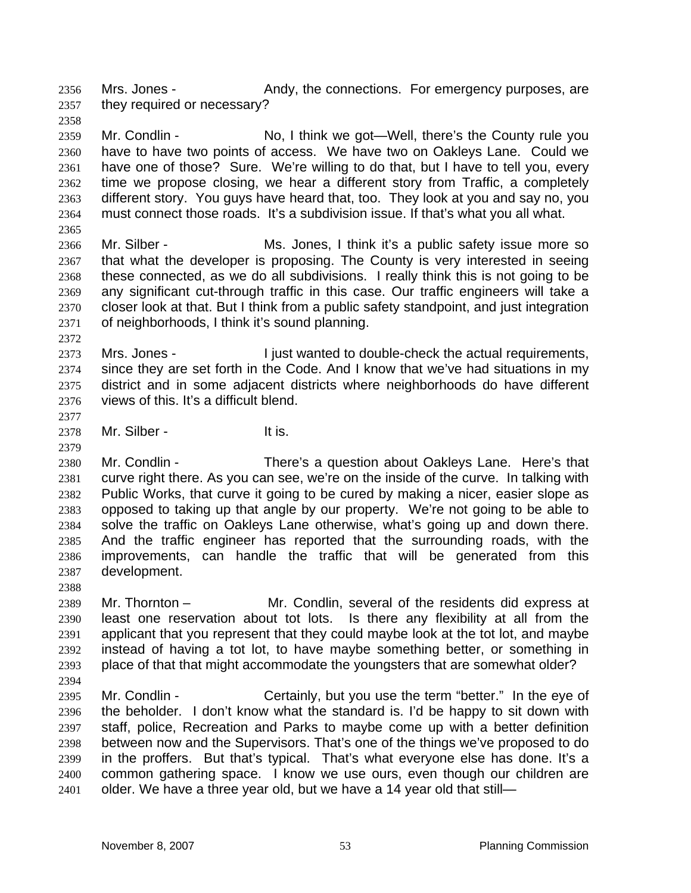2356 Mrs. Jones - Andy, the connections. For emergency purposes, are they required or necessary?

Mr. Condlin - No, I think we got—Well, there's the County rule you have to have two points of access. We have two on Oakleys Lane. Could we have one of those? Sure. We're willing to do that, but I have to tell you, every time we propose closing, we hear a different story from Traffic, a completely different story. You guys have heard that, too. They look at you and say no, you must connect those roads. It's a subdivision issue. If that's what you all what.

- Mr. Silber Ms. Jones, I think it's a public safety issue more so that what the developer is proposing. The County is very interested in seeing these connected, as we do all subdivisions. I really think this is not going to be any significant cut-through traffic in this case. Our traffic engineers will take a closer look at that. But I think from a public safety standpoint, and just integration of neighborhoods, I think it's sound planning.
- 2373 Mrs. Jones I just wanted to double-check the actual requirements, since they are set forth in the Code. And I know that we've had situations in my district and in some adjacent districts where neighborhoods do have different views of this. It's a difficult blend.
- 2378 Mr. Silber It is.
- 

Mr. Condlin - There's a question about Oakleys Lane. Here's that curve right there. As you can see, we're on the inside of the curve. In talking with Public Works, that curve it going to be cured by making a nicer, easier slope as opposed to taking up that angle by our property. We're not going to be able to solve the traffic on Oakleys Lane otherwise, what's going up and down there. And the traffic engineer has reported that the surrounding roads, with the improvements, can handle the traffic that will be generated from this development.

Mr. Thornton – Mr. Condlin, several of the residents did express at least one reservation about tot lots. Is there any flexibility at all from the applicant that you represent that they could maybe look at the tot lot, and maybe instead of having a tot lot, to have maybe something better, or something in place of that that might accommodate the youngsters that are somewhat older?

- 
- Mr. Condlin Certainly, but you use the term "better." In the eye of the beholder. I don't know what the standard is. I'd be happy to sit down with staff, police, Recreation and Parks to maybe come up with a better definition between now and the Supervisors. That's one of the things we've proposed to do in the proffers. But that's typical. That's what everyone else has done. It's a common gathering space. I know we use ours, even though our children are 2401 older. We have a three year old, but we have a 14 year old that still-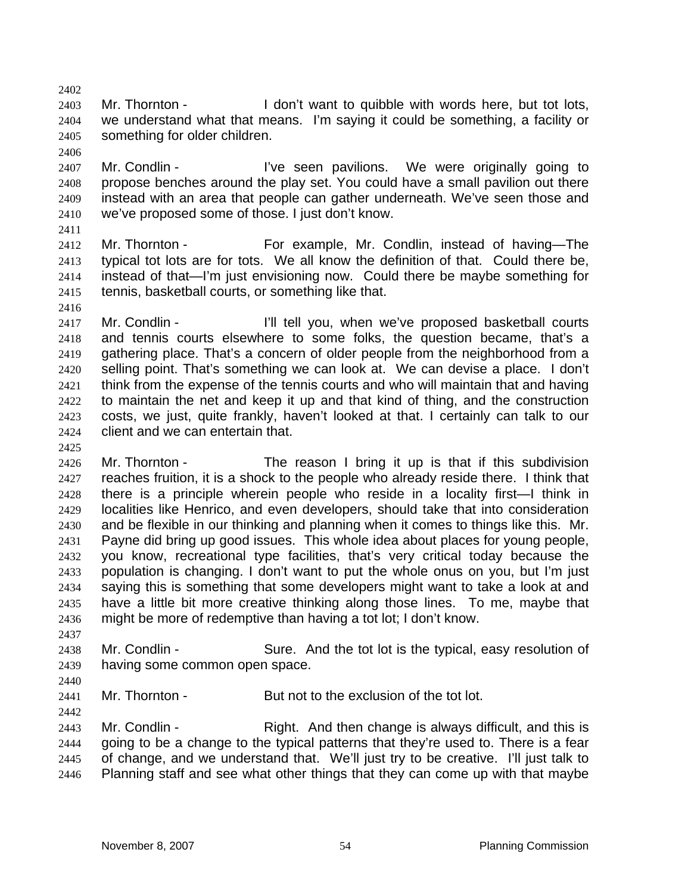2403 Mr. Thornton - I don't want to quibble with words here, but tot lots, we understand what that means. I'm saying it could be something, a facility or something for older children. 

- 2407 Mr. Condlin I've seen pavilions. We were originally going to propose benches around the play set. You could have a small pavilion out there instead with an area that people can gather underneath. We've seen those and we've proposed some of those. I just don't know.
- 

- Mr. Thornton For example, Mr. Condlin, instead of having—The typical tot lots are for tots. We all know the definition of that. Could there be, instead of that—I'm just envisioning now. Could there be maybe something for tennis, basketball courts, or something like that.
- 

2417 Mr. Condlin - I'll tell you, when we've proposed basketball courts and tennis courts elsewhere to some folks, the question became, that's a gathering place. That's a concern of older people from the neighborhood from a selling point. That's something we can look at. We can devise a place. I don't 2421 think from the expense of the tennis courts and who will maintain that and having to maintain the net and keep it up and that kind of thing, and the construction costs, we just, quite frankly, haven't looked at that. I certainly can talk to our client and we can entertain that.

2426 Mr. Thornton - The reason I bring it up is that if this subdivision reaches fruition, it is a shock to the people who already reside there. I think that there is a principle wherein people who reside in a locality first—I think in localities like Henrico, and even developers, should take that into consideration and be flexible in our thinking and planning when it comes to things like this. Mr. Payne did bring up good issues. This whole idea about places for young people, you know, recreational type facilities, that's very critical today because the population is changing. I don't want to put the whole onus on you, but I'm just saying this is something that some developers might want to take a look at and have a little bit more creative thinking along those lines. To me, maybe that might be more of redemptive than having a tot lot; I don't know.

Mr. Condlin - Sure. And the tot lot is the typical, easy resolution of having some common open space.

Mr. Thornton - But not to the exclusion of the tot lot.

2443 Mr. Condlin - Right. And then change is always difficult, and this is going to be a change to the typical patterns that they're used to. There is a fear of change, and we understand that. We'll just try to be creative. I'll just talk to Planning staff and see what other things that they can come up with that maybe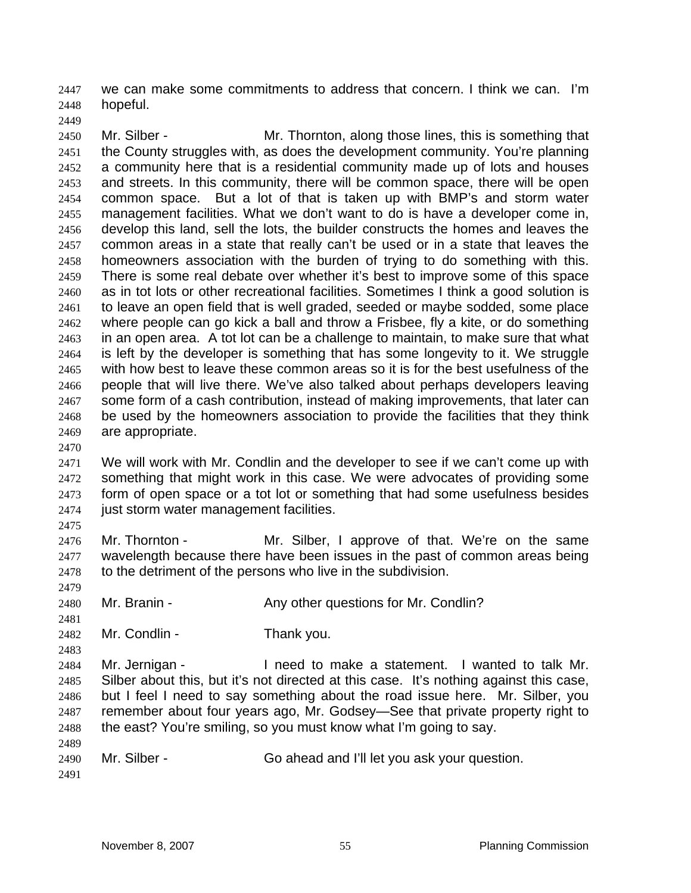we can make some commitments to address that concern. I think we can. I'm hopeful.

2450 Mr. Silber - Mr. Thornton, along those lines, this is something that the County struggles with, as does the development community. You're planning a community here that is a residential community made up of lots and houses and streets. In this community, there will be common space, there will be open common space. But a lot of that is taken up with BMP's and storm water management facilities. What we don't want to do is have a developer come in, develop this land, sell the lots, the builder constructs the homes and leaves the common areas in a state that really can't be used or in a state that leaves the homeowners association with the burden of trying to do something with this. There is some real debate over whether it's best to improve some of this space as in tot lots or other recreational facilities. Sometimes I think a good solution is to leave an open field that is well graded, seeded or maybe sodded, some place where people can go kick a ball and throw a Frisbee, fly a kite, or do something in an open area. A tot lot can be a challenge to maintain, to make sure that what is left by the developer is something that has some longevity to it. We struggle with how best to leave these common areas so it is for the best usefulness of the people that will live there. We've also talked about perhaps developers leaving some form of a cash contribution, instead of making improvements, that later can be used by the homeowners association to provide the facilities that they think are appropriate.

We will work with Mr. Condlin and the developer to see if we can't come up with something that might work in this case. We were advocates of providing some form of open space or a tot lot or something that had some usefulness besides just storm water management facilities.

2476 Mr. Thornton - Mr. Silber, I approve of that. We're on the same 2477 wavelength because there have been issues in the past of common areas being 2478 to the detriment of the persons who live in the subdivision.

2480 Mr. Branin - Any other questions for Mr. Condlin?

Mr. Condlin - Thank you.

Mr. Jernigan - I need to make a statement. I wanted to talk Mr. Silber about this, but it's not directed at this case. It's nothing against this case, but I feel I need to say something about the road issue here. Mr. Silber, you remember about four years ago, Mr. Godsey—See that private property right to the east? You're smiling, so you must know what I'm going to say.

Mr. Silber - Go ahead and I'll let you ask your question.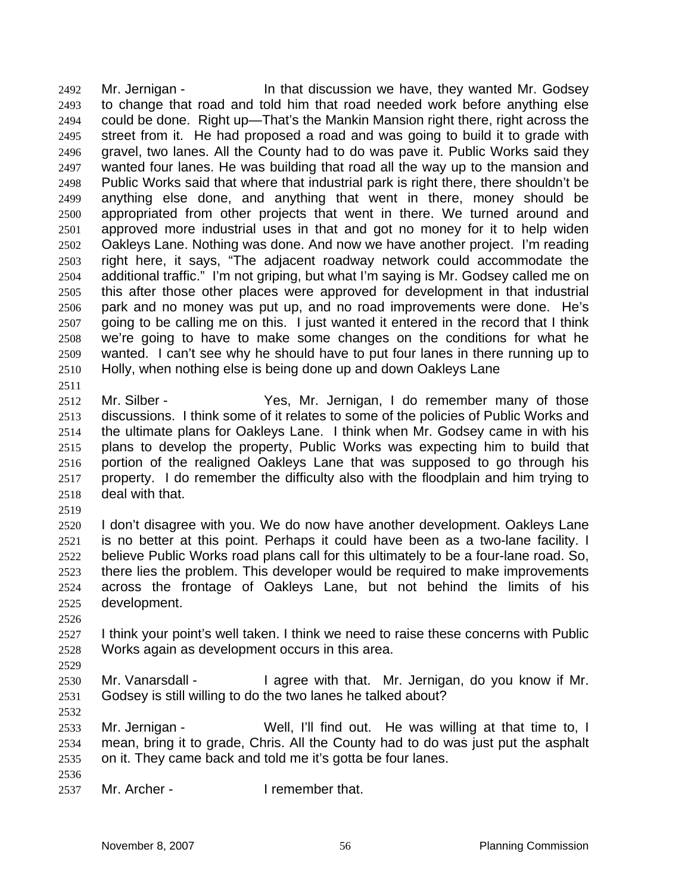Mr. Jernigan - In that discussion we have, they wanted Mr. Godsey to change that road and told him that road needed work before anything else could be done. Right up—That's the Mankin Mansion right there, right across the street from it. He had proposed a road and was going to build it to grade with gravel, two lanes. All the County had to do was pave it. Public Works said they wanted four lanes. He was building that road all the way up to the mansion and Public Works said that where that industrial park is right there, there shouldn't be anything else done, and anything that went in there, money should be appropriated from other projects that went in there. We turned around and approved more industrial uses in that and got no money for it to help widen Oakleys Lane. Nothing was done. And now we have another project. I'm reading right here, it says, "The adjacent roadway network could accommodate the additional traffic." I'm not griping, but what I'm saying is Mr. Godsey called me on this after those other places were approved for development in that industrial park and no money was put up, and no road improvements were done. He's going to be calling me on this. I just wanted it entered in the record that I think we're going to have to make some changes on the conditions for what he wanted. I can't see why he should have to put four lanes in there running up to Holly, when nothing else is being done up and down Oakleys Lane 

- Mr. Silber Yes, Mr. Jernigan, I do remember many of those discussions. I think some of it relates to some of the policies of Public Works and the ultimate plans for Oakleys Lane. I think when Mr. Godsey came in with his plans to develop the property, Public Works was expecting him to build that portion of the realigned Oakleys Lane that was supposed to go through his property. I do remember the difficulty also with the floodplain and him trying to deal with that.
- 

I don't disagree with you. We do now have another development. Oakleys Lane is no better at this point. Perhaps it could have been as a two-lane facility. I believe Public Works road plans call for this ultimately to be a four-lane road. So, there lies the problem. This developer would be required to make improvements across the frontage of Oakleys Lane, but not behind the limits of his development.

2527 I think your point's well taken. I think we need to raise these concerns with Public Works again as development occurs in this area.

Mr. Vanarsdall - I agree with that. Mr. Jernigan, do you know if Mr. Godsey is still willing to do the two lanes he talked about?

Mr. Jernigan - Well, I'll find out. He was willing at that time to, I mean, bring it to grade, Chris. All the County had to do was just put the asphalt on it. They came back and told me it's gotta be four lanes.

Mr. Archer - I remember that.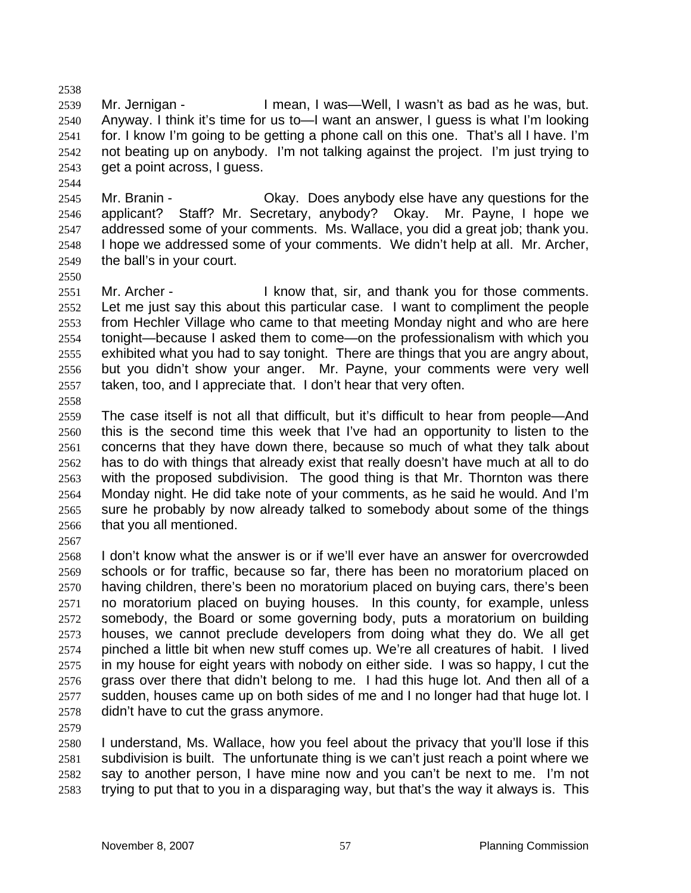Mr. Jernigan - I mean, I was—Well, I wasn't as bad as he was, but. Anyway. I think it's time for us to—I want an answer, I guess is what I'm looking for. I know I'm going to be getting a phone call on this one. That's all I have. I'm not beating up on anybody. I'm not talking against the project. I'm just trying to get a point across, I guess.

Mr. Branin - Okay. Does anybody else have any questions for the applicant? Staff? Mr. Secretary, anybody? Okay. Mr. Payne, I hope we addressed some of your comments. Ms. Wallace, you did a great job; thank you. I hope we addressed some of your comments. We didn't help at all. Mr. Archer, the ball's in your court.

2551 Mr. Archer - I know that, sir, and thank you for those comments. Let me just say this about this particular case. I want to compliment the people from Hechler Village who came to that meeting Monday night and who are here tonight—because I asked them to come—on the professionalism with which you exhibited what you had to say tonight. There are things that you are angry about, but you didn't show your anger. Mr. Payne, your comments were very well taken, too, and I appreciate that. I don't hear that very often.

The case itself is not all that difficult, but it's difficult to hear from people—And this is the second time this week that I've had an opportunity to listen to the concerns that they have down there, because so much of what they talk about has to do with things that already exist that really doesn't have much at all to do with the proposed subdivision. The good thing is that Mr. Thornton was there Monday night. He did take note of your comments, as he said he would. And I'm sure he probably by now already talked to somebody about some of the things that you all mentioned.

I don't know what the answer is or if we'll ever have an answer for overcrowded schools or for traffic, because so far, there has been no moratorium placed on having children, there's been no moratorium placed on buying cars, there's been no moratorium placed on buying houses. In this county, for example, unless somebody, the Board or some governing body, puts a moratorium on building houses, we cannot preclude developers from doing what they do. We all get pinched a little bit when new stuff comes up. We're all creatures of habit. I lived in my house for eight years with nobody on either side. I was so happy, I cut the grass over there that didn't belong to me. I had this huge lot. And then all of a sudden, houses came up on both sides of me and I no longer had that huge lot. I didn't have to cut the grass anymore.

I understand, Ms. Wallace, how you feel about the privacy that you'll lose if this subdivision is built. The unfortunate thing is we can't just reach a point where we say to another person, I have mine now and you can't be next to me. I'm not trying to put that to you in a disparaging way, but that's the way it always is. This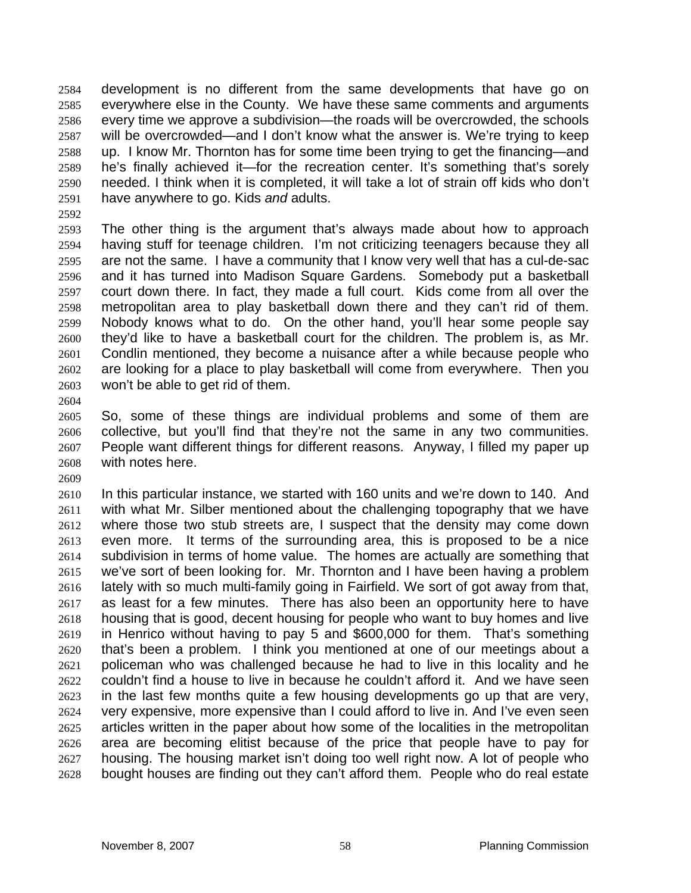development is no different from the same developments that have go on everywhere else in the County. We have these same comments and arguments every time we approve a subdivision—the roads will be overcrowded, the schools will be overcrowded—and I don't know what the answer is. We're trying to keep up. I know Mr. Thornton has for some time been trying to get the financing—and he's finally achieved it—for the recreation center. It's something that's sorely needed. I think when it is completed, it will take a lot of strain off kids who don't have anywhere to go. Kids *and* adults.

The other thing is the argument that's always made about how to approach having stuff for teenage children. I'm not criticizing teenagers because they all are not the same. I have a community that I know very well that has a cul-de-sac and it has turned into Madison Square Gardens. Somebody put a basketball court down there. In fact, they made a full court. Kids come from all over the metropolitan area to play basketball down there and they can't rid of them. Nobody knows what to do. On the other hand, you'll hear some people say they'd like to have a basketball court for the children. The problem is, as Mr. Condlin mentioned, they become a nuisance after a while because people who are looking for a place to play basketball will come from everywhere. Then you won't be able to get rid of them.

So, some of these things are individual problems and some of them are collective, but you'll find that they're not the same in any two communities. People want different things for different reasons. Anyway, I filled my paper up with notes here.

In this particular instance, we started with 160 units and we're down to 140. And with what Mr. Silber mentioned about the challenging topography that we have where those two stub streets are, I suspect that the density may come down even more. It terms of the surrounding area, this is proposed to be a nice subdivision in terms of home value. The homes are actually are something that we've sort of been looking for. Mr. Thornton and I have been having a problem lately with so much multi-family going in Fairfield. We sort of got away from that, as least for a few minutes. There has also been an opportunity here to have housing that is good, decent housing for people who want to buy homes and live in Henrico without having to pay 5 and \$600,000 for them. That's something that's been a problem. I think you mentioned at one of our meetings about a policeman who was challenged because he had to live in this locality and he couldn't find a house to live in because he couldn't afford it. And we have seen in the last few months quite a few housing developments go up that are very, very expensive, more expensive than I could afford to live in. And I've even seen articles written in the paper about how some of the localities in the metropolitan area are becoming elitist because of the price that people have to pay for housing. The housing market isn't doing too well right now. A lot of people who bought houses are finding out they can't afford them. People who do real estate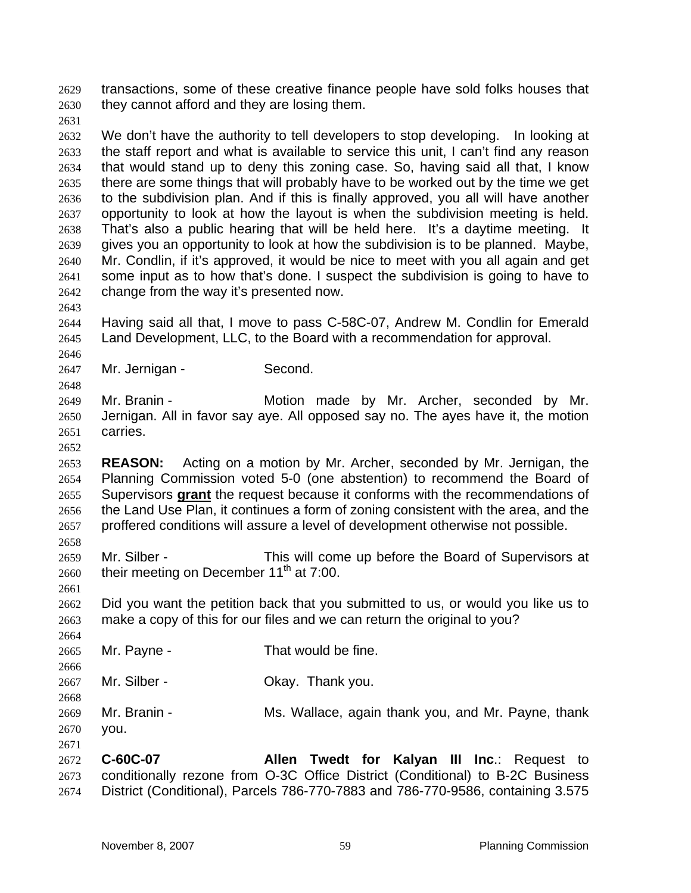transactions, some of these creative finance people have sold folks houses that they cannot afford and they are losing them.

We don't have the authority to tell developers to stop developing. In looking at the staff report and what is available to service this unit, I can't find any reason that would stand up to deny this zoning case. So, having said all that, I know there are some things that will probably have to be worked out by the time we get to the subdivision plan. And if this is finally approved, you all will have another opportunity to look at how the layout is when the subdivision meeting is held. That's also a public hearing that will be held here. It's a daytime meeting. It gives you an opportunity to look at how the subdivision is to be planned. Maybe, Mr. Condlin, if it's approved, it would be nice to meet with you all again and get some input as to how that's done. I suspect the subdivision is going to have to change from the way it's presented now.

Having said all that, I move to pass C-58C-07, Andrew M. Condlin for Emerald Land Development, LLC, to the Board with a recommendation for approval.

Mr. Jernigan - Second.

Mr. Branin - Motion made by Mr. Archer, seconded by Mr. Jernigan. All in favor say aye. All opposed say no. The ayes have it, the motion carries.

**REASON:** Acting on a motion by Mr. Archer, seconded by Mr. Jernigan, the Planning Commission voted 5-0 (one abstention) to recommend the Board of Supervisors **grant** the request because it conforms with the recommendations of the Land Use Plan, it continues a form of zoning consistent with the area, and the proffered conditions will assure a level of development otherwise not possible.

Mr. Silber - This will come up before the Board of Supervisors at their meeting on December 11<sup>th</sup> at 7:00.

Did you want the petition back that you submitted to us, or would you like us to make a copy of this for our files and we can return the original to you?

- 2665 Mr. Payne That would be fine.
- Mr. Silber Okay. Thank you.
- Mr. Branin Ms. Wallace, again thank you, and Mr. Payne, thank you.
- **C-60C-07 Allen Twedt for Kalyan III Inc**.: Request to conditionally rezone from O-3C Office District (Conditional) to B-2C Business District (Conditional), Parcels 786-770-7883 and 786-770-9586, containing 3.575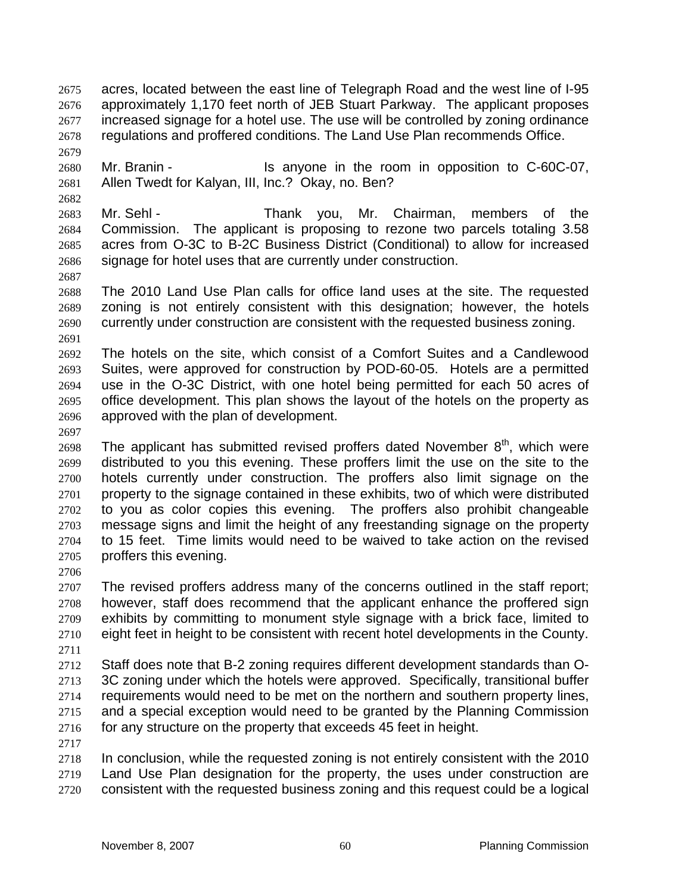acres, located between the east line of Telegraph Road and the west line of I-95 approximately 1,170 feet north of JEB Stuart Parkway. The applicant proposes increased signage for a hotel use. The use will be controlled by zoning ordinance regulations and proffered conditions. The Land Use Plan recommends Office.

Mr. Branin - Is anyone in the room in opposition to C-60C-07, Allen Twedt for Kalyan, III, Inc.? Okay, no. Ben?

Mr. Sehl - Thank you, Mr. Chairman, members of the Commission. The applicant is proposing to rezone two parcels totaling 3.58 acres from O-3C to B-2C Business District (Conditional) to allow for increased signage for hotel uses that are currently under construction.

The 2010 Land Use Plan calls for office land uses at the site. The requested zoning is not entirely consistent with this designation; however, the hotels currently under construction are consistent with the requested business zoning. 

The hotels on the site, which consist of a Comfort Suites and a Candlewood Suites, were approved for construction by POD-60-05. Hotels are a permitted use in the O-3C District, with one hotel being permitted for each 50 acres of office development. This plan shows the layout of the hotels on the property as approved with the plan of development.

2698 The applicant has submitted revised proffers dated November  $8<sup>th</sup>$ , which were distributed to you this evening. These proffers limit the use on the site to the hotels currently under construction. The proffers also limit signage on the property to the signage contained in these exhibits, two of which were distributed to you as color copies this evening. The proffers also prohibit changeable message signs and limit the height of any freestanding signage on the property to 15 feet. Time limits would need to be waived to take action on the revised proffers this evening.

The revised proffers address many of the concerns outlined in the staff report; however, staff does recommend that the applicant enhance the proffered sign exhibits by committing to monument style signage with a brick face, limited to eight feet in height to be consistent with recent hotel developments in the County. 

Staff does note that B-2 zoning requires different development standards than O-3C zoning under which the hotels were approved. Specifically, transitional buffer requirements would need to be met on the northern and southern property lines, and a special exception would need to be granted by the Planning Commission for any structure on the property that exceeds 45 feet in height.

In conclusion, while the requested zoning is not entirely consistent with the 2010 Land Use Plan designation for the property, the uses under construction are consistent with the requested business zoning and this request could be a logical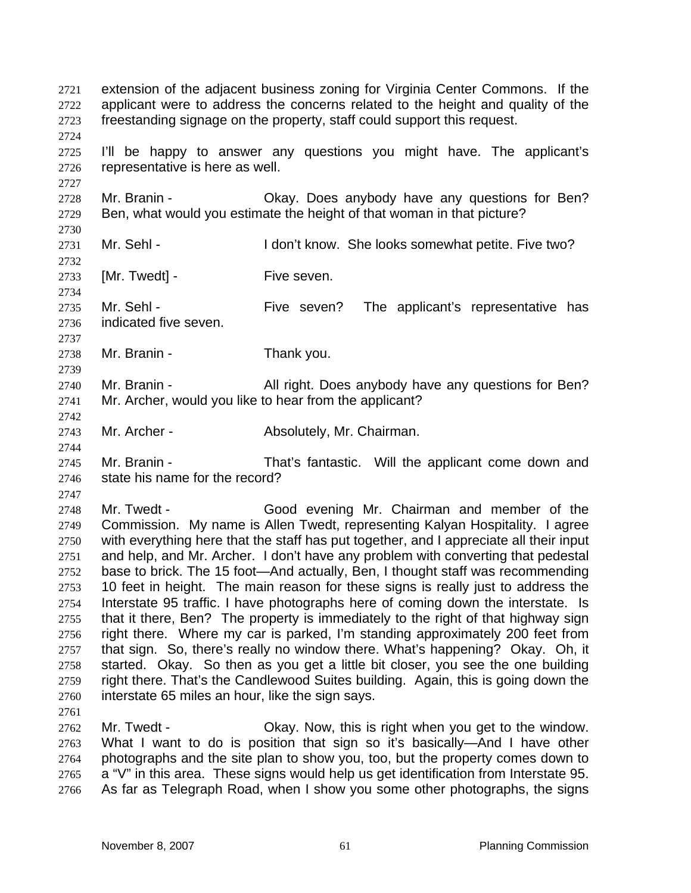| 2721<br>2722<br>2723<br>2724                                                                                 | extension of the adjacent business zoning for Virginia Center Commons. If the<br>applicant were to address the concerns related to the height and quality of the<br>freestanding signage on the property, staff could support this request.                                                                                                                                                                                                                                                                                                                                                                                                                                                                                                                                                                                                                                                                                                                                                                                                                           |                                                                                                                                                                                                                                                                                                              |  |
|--------------------------------------------------------------------------------------------------------------|-----------------------------------------------------------------------------------------------------------------------------------------------------------------------------------------------------------------------------------------------------------------------------------------------------------------------------------------------------------------------------------------------------------------------------------------------------------------------------------------------------------------------------------------------------------------------------------------------------------------------------------------------------------------------------------------------------------------------------------------------------------------------------------------------------------------------------------------------------------------------------------------------------------------------------------------------------------------------------------------------------------------------------------------------------------------------|--------------------------------------------------------------------------------------------------------------------------------------------------------------------------------------------------------------------------------------------------------------------------------------------------------------|--|
| 2725<br>2726<br>2727                                                                                         | I'll be happy to answer any questions you might have. The applicant's<br>representative is here as well.                                                                                                                                                                                                                                                                                                                                                                                                                                                                                                                                                                                                                                                                                                                                                                                                                                                                                                                                                              |                                                                                                                                                                                                                                                                                                              |  |
| 2728<br>2729<br>2730                                                                                         | Mr. Branin -                                                                                                                                                                                                                                                                                                                                                                                                                                                                                                                                                                                                                                                                                                                                                                                                                                                                                                                                                                                                                                                          | Okay. Does anybody have any questions for Ben?<br>Ben, what would you estimate the height of that woman in that picture?                                                                                                                                                                                     |  |
| 2731<br>2732                                                                                                 | Mr. Sehl -                                                                                                                                                                                                                                                                                                                                                                                                                                                                                                                                                                                                                                                                                                                                                                                                                                                                                                                                                                                                                                                            | I don't know. She looks somewhat petite. Five two?                                                                                                                                                                                                                                                           |  |
| 2733<br>2734                                                                                                 | [Mr. Twedt] -                                                                                                                                                                                                                                                                                                                                                                                                                                                                                                                                                                                                                                                                                                                                                                                                                                                                                                                                                                                                                                                         | Five seven.                                                                                                                                                                                                                                                                                                  |  |
| 2735<br>2736<br>2737                                                                                         | Mr. Sehl -<br>indicated five seven.                                                                                                                                                                                                                                                                                                                                                                                                                                                                                                                                                                                                                                                                                                                                                                                                                                                                                                                                                                                                                                   | Five seven?<br>The applicant's representative has                                                                                                                                                                                                                                                            |  |
| 2738<br>2739                                                                                                 | Mr. Branin -                                                                                                                                                                                                                                                                                                                                                                                                                                                                                                                                                                                                                                                                                                                                                                                                                                                                                                                                                                                                                                                          | Thank you.                                                                                                                                                                                                                                                                                                   |  |
| 2740<br>2741<br>2742                                                                                         | Mr. Branin -<br>All right. Does anybody have any questions for Ben?<br>Mr. Archer, would you like to hear from the applicant?                                                                                                                                                                                                                                                                                                                                                                                                                                                                                                                                                                                                                                                                                                                                                                                                                                                                                                                                         |                                                                                                                                                                                                                                                                                                              |  |
| 2743<br>2744                                                                                                 | Mr. Archer -                                                                                                                                                                                                                                                                                                                                                                                                                                                                                                                                                                                                                                                                                                                                                                                                                                                                                                                                                                                                                                                          | Absolutely, Mr. Chairman.                                                                                                                                                                                                                                                                                    |  |
| 2745<br>2746<br>2747                                                                                         | Mr. Branin -<br>state his name for the record?                                                                                                                                                                                                                                                                                                                                                                                                                                                                                                                                                                                                                                                                                                                                                                                                                                                                                                                                                                                                                        | That's fantastic. Will the applicant come down and                                                                                                                                                                                                                                                           |  |
| 2748<br>2749<br>2750<br>2751<br>2752<br>2753<br>2754<br>2755<br>2756<br>2757<br>2758<br>2759<br>2760<br>2761 | Mr. Twedt -<br>Good evening Mr. Chairman and member of the<br>Commission. My name is Allen Twedt, representing Kalyan Hospitality. I agree<br>with everything here that the staff has put together, and I appreciate all their input<br>and help, and Mr. Archer. I don't have any problem with converting that pedestal<br>base to brick. The 15 foot—And actually, Ben, I thought staff was recommending<br>10 feet in height. The main reason for these signs is really just to address the<br>Interstate 95 traffic. I have photographs here of coming down the interstate. Is<br>that it there, Ben? The property is immediately to the right of that highway sign<br>right there. Where my car is parked, I'm standing approximately 200 feet from<br>that sign. So, there's really no window there. What's happening? Okay. Oh, it<br>started. Okay. So then as you get a little bit closer, you see the one building<br>right there. That's the Candlewood Suites building. Again, this is going down the<br>interstate 65 miles an hour, like the sign says. |                                                                                                                                                                                                                                                                                                              |  |
| 2762<br>2763<br>2764<br>2765                                                                                 | Mr. Twedt -                                                                                                                                                                                                                                                                                                                                                                                                                                                                                                                                                                                                                                                                                                                                                                                                                                                                                                                                                                                                                                                           | Okay. Now, this is right when you get to the window.<br>What I want to do is position that sign so it's basically—And I have other<br>photographs and the site plan to show you, too, but the property comes down to<br>a "V" in this area. These signs would help us get identification from Interstate 95. |  |

As far as Telegraph Road, when I show you some other photographs, the signs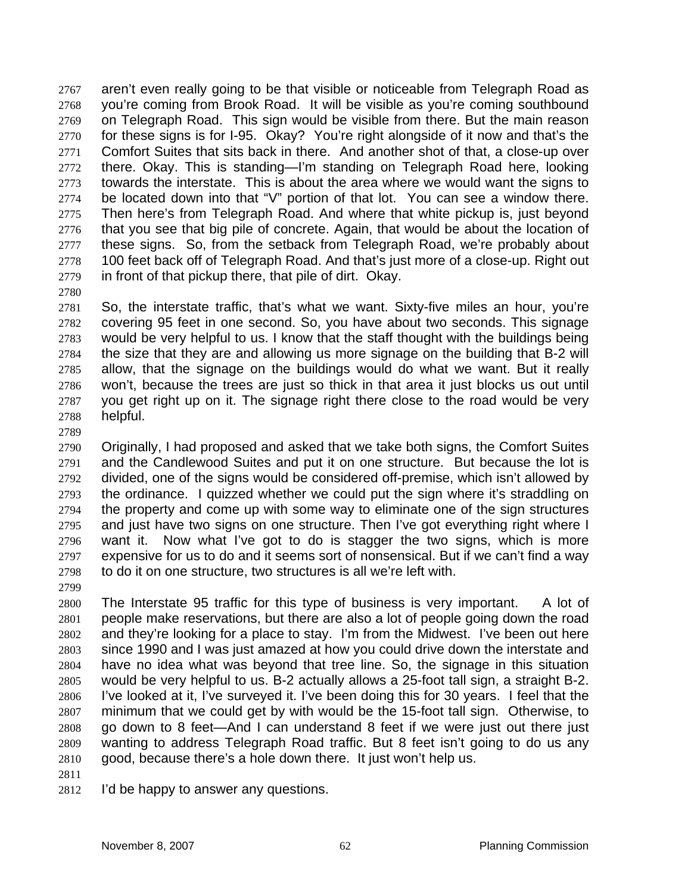aren't even really going to be that visible or noticeable from Telegraph Road as you're coming from Brook Road. It will be visible as you're coming southbound on Telegraph Road. This sign would be visible from there. But the main reason for these signs is for I-95. Okay? You're right alongside of it now and that's the Comfort Suites that sits back in there. And another shot of that, a close-up over there. Okay. This is standing—I'm standing on Telegraph Road here, looking towards the interstate. This is about the area where we would want the signs to be located down into that "V" portion of that lot. You can see a window there. Then here's from Telegraph Road. And where that white pickup is, just beyond that you see that big pile of concrete. Again, that would be about the location of these signs. So, from the setback from Telegraph Road, we're probably about 100 feet back off of Telegraph Road. And that's just more of a close-up. Right out in front of that pickup there, that pile of dirt. Okay.

So, the interstate traffic, that's what we want. Sixty-five miles an hour, you're covering 95 feet in one second. So, you have about two seconds. This signage would be very helpful to us. I know that the staff thought with the buildings being the size that they are and allowing us more signage on the building that B-2 will allow, that the signage on the buildings would do what we want. But it really won't, because the trees are just so thick in that area it just blocks us out until you get right up on it. The signage right there close to the road would be very helpful.

Originally, I had proposed and asked that we take both signs, the Comfort Suites and the Candlewood Suites and put it on one structure. But because the lot is divided, one of the signs would be considered off-premise, which isn't allowed by the ordinance. I quizzed whether we could put the sign where it's straddling on the property and come up with some way to eliminate one of the sign structures and just have two signs on one structure. Then I've got everything right where I want it. Now what I've got to do is stagger the two signs, which is more expensive for us to do and it seems sort of nonsensical. But if we can't find a way to do it on one structure, two structures is all we're left with.

The Interstate 95 traffic for this type of business is very important. A lot of people make reservations, but there are also a lot of people going down the road and they're looking for a place to stay. I'm from the Midwest. I've been out here since 1990 and I was just amazed at how you could drive down the interstate and have no idea what was beyond that tree line. So, the signage in this situation would be very helpful to us. B-2 actually allows a 25-foot tall sign, a straight B-2. I've looked at it, I've surveyed it. I've been doing this for 30 years. I feel that the minimum that we could get by with would be the 15-foot tall sign. Otherwise, to go down to 8 feet—And I can understand 8 feet if we were just out there just wanting to address Telegraph Road traffic. But 8 feet isn't going to do us any good, because there's a hole down there. It just won't help us.

- 
- I'd be happy to answer any questions.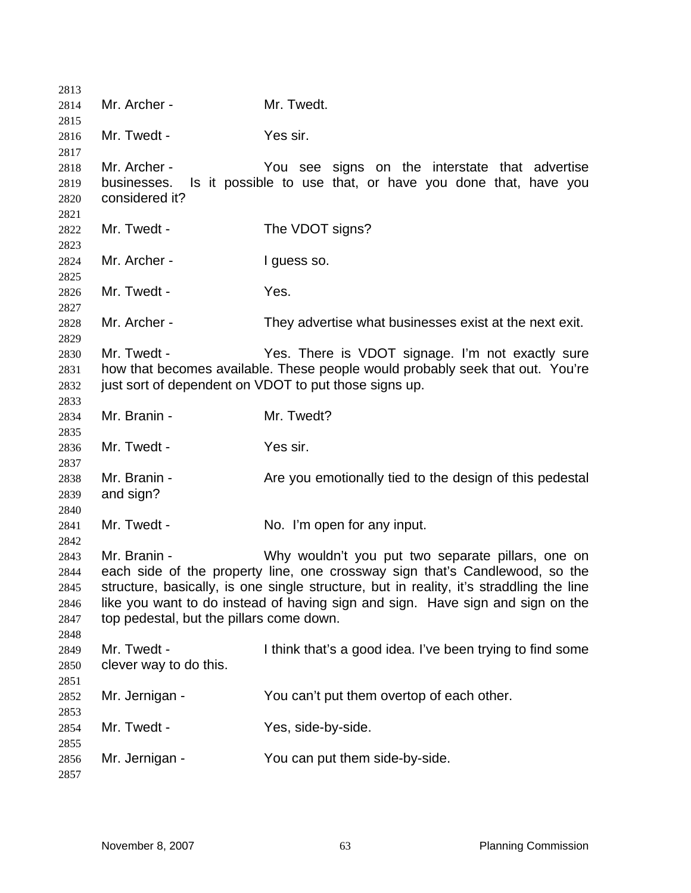| 2813         |                                          |                                                                                                                                   |
|--------------|------------------------------------------|-----------------------------------------------------------------------------------------------------------------------------------|
| 2814         | Mr. Archer -                             | Mr. Twedt.                                                                                                                        |
| 2815         |                                          |                                                                                                                                   |
| 2816         | Mr. Twedt -                              | Yes sir.                                                                                                                          |
| 2817         |                                          |                                                                                                                                   |
| 2818         | Mr. Archer -                             | You see signs on the interstate that advertise                                                                                    |
| 2819         | businesses.                              | Is it possible to use that, or have you done that, have you                                                                       |
| 2820         | considered it?                           |                                                                                                                                   |
| 2821         |                                          |                                                                                                                                   |
| 2822         | Mr. Twedt -                              | The VDOT signs?                                                                                                                   |
| 2823         |                                          |                                                                                                                                   |
| 2824         | Mr. Archer -                             | I guess so.                                                                                                                       |
| 2825         |                                          |                                                                                                                                   |
| 2826         | Mr. Twedt -                              | Yes.                                                                                                                              |
| 2827         |                                          |                                                                                                                                   |
| 2828         | Mr. Archer -                             | They advertise what businesses exist at the next exit.                                                                            |
| 2829         |                                          |                                                                                                                                   |
| 2830         | Mr. Twedt -                              | Yes. There is VDOT signage. I'm not exactly sure<br>how that becomes available. These people would probably seek that out. You're |
| 2831         |                                          |                                                                                                                                   |
| 2832         |                                          | just sort of dependent on VDOT to put those signs up.                                                                             |
| 2833         | Mr. Branin -                             | Mr. Twedt?                                                                                                                        |
| 2834<br>2835 |                                          |                                                                                                                                   |
| 2836         | Mr. Twedt -                              | Yes sir.                                                                                                                          |
| 2837         |                                          |                                                                                                                                   |
| 2838         | Mr. Branin -                             | Are you emotionally tied to the design of this pedestal                                                                           |
| 2839         | and sign?                                |                                                                                                                                   |
| 2840         |                                          |                                                                                                                                   |
| 2841         | Mr. Twedt -                              | No. I'm open for any input.                                                                                                       |
| 2842         |                                          |                                                                                                                                   |
| 2843         | Mr. Branin -                             | Why wouldn't you put two separate pillars, one on                                                                                 |
| 2844         |                                          | each side of the property line, one crossway sign that's Candlewood, so the                                                       |
| 2845         |                                          | structure, basically, is one single structure, but in reality, it's straddling the line                                           |
| 2846         |                                          | like you want to do instead of having sign and sign. Have sign and sign on the                                                    |
| 2847         | top pedestal, but the pillars come down. |                                                                                                                                   |
| 2848         |                                          |                                                                                                                                   |
| 2849         | Mr. Twedt -                              | I think that's a good idea. I've been trying to find some                                                                         |
| 2850         | clever way to do this.                   |                                                                                                                                   |
| 2851         |                                          |                                                                                                                                   |
| 2852         | Mr. Jernigan -                           | You can't put them overtop of each other.                                                                                         |
| 2853         |                                          |                                                                                                                                   |
| 2854         | Mr. Twedt -                              | Yes, side-by-side.                                                                                                                |
| 2855         |                                          |                                                                                                                                   |
| 2856         | Mr. Jernigan -                           | You can put them side-by-side.                                                                                                    |
| 2857         |                                          |                                                                                                                                   |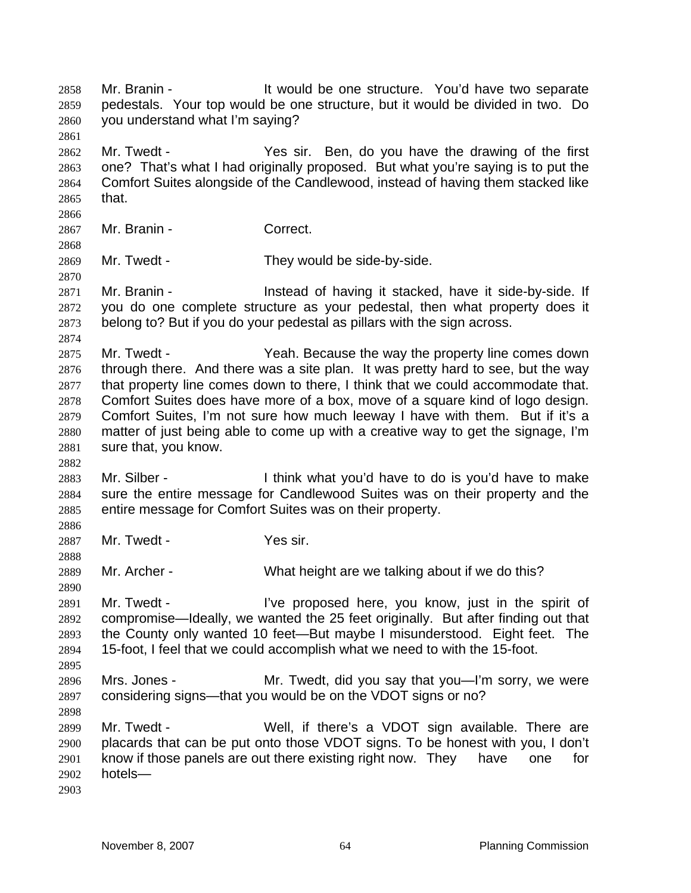Mr. Branin - It would be one structure. You'd have two separate pedestals. Your top would be one structure, but it would be divided in two. Do you understand what I'm saying? Mr. Twedt - Yes sir. Ben, do you have the drawing of the first one? That's what I had originally proposed. But what you're saying is to put the Comfort Suites alongside of the Candlewood, instead of having them stacked like that. Mr. Branin - Correct. Mr. Twedt - They would be side-by-side. 2871 Mr. Branin - Instead of having it stacked, have it side-by-side. If you do one complete structure as your pedestal, then what property does it belong to? But if you do your pedestal as pillars with the sign across. Mr. Twedt - Yeah. Because the way the property line comes down through there. And there was a site plan. It was pretty hard to see, but the way that property line comes down to there, I think that we could accommodate that. Comfort Suites does have more of a box, move of a square kind of logo design. Comfort Suites, I'm not sure how much leeway I have with them. But if it's a matter of just being able to come up with a creative way to get the signage, I'm sure that, you know. Mr. Silber - I think what you'd have to do is you'd have to make sure the entire message for Candlewood Suites was on their property and the entire message for Comfort Suites was on their property. 2887 Mr. Twedt - Yes sir. Mr. Archer - What height are we talking about if we do this? 2891 Mr. Twedt - I've proposed here, you know, just in the spirit of compromise—Ideally, we wanted the 25 feet originally. But after finding out that the County only wanted 10 feet—But maybe I misunderstood. Eight feet. The 15-foot, I feel that we could accomplish what we need to with the 15-foot. Mrs. Jones - Mr. Twedt, did you say that you—I'm sorry, we were considering signs—that you would be on the VDOT signs or no? Mr. Twedt - Well, if there's a VDOT sign available. There are placards that can be put onto those VDOT signs. To be honest with you, I don't know if those panels are out there existing right now. They have one for hotels—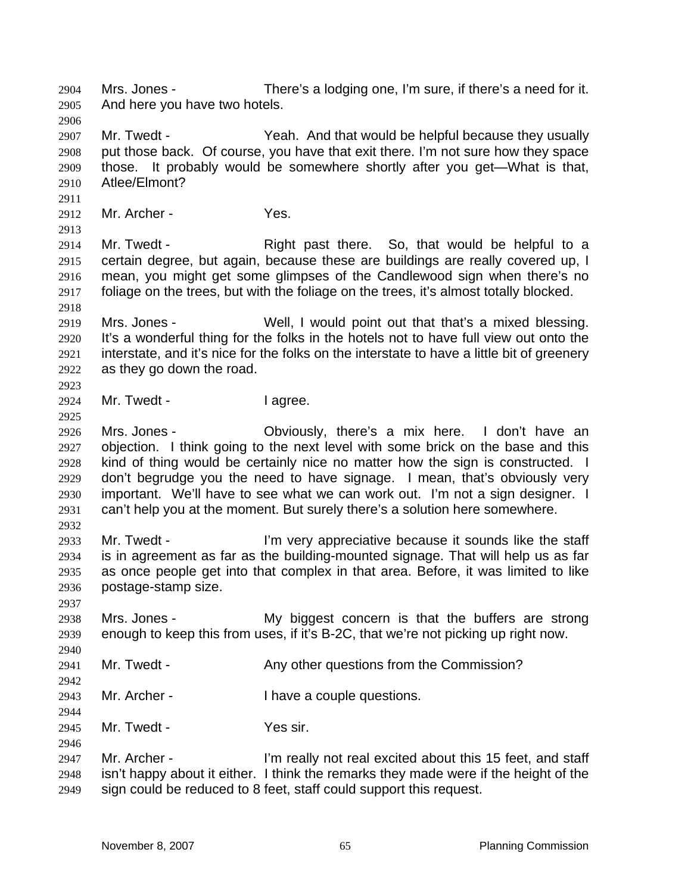Mrs. Jones - There's a lodging one, I'm sure, if there's a need for it. And here you have two hotels. Mr. Twedt - Yeah. And that would be helpful because they usually put those back. Of course, you have that exit there. I'm not sure how they space those. It probably would be somewhere shortly after you get—What is that, Atlee/Elmont? Mr. Archer - Yes. Mr. Twedt - Right past there. So, that would be helpful to a certain degree, but again, because these are buildings are really covered up, I mean, you might get some glimpses of the Candlewood sign when there's no foliage on the trees, but with the foliage on the trees, it's almost totally blocked. Mrs. Jones - Well, I would point out that that's a mixed blessing. It's a wonderful thing for the folks in the hotels not to have full view out onto the interstate, and it's nice for the folks on the interstate to have a little bit of greenery as they go down the road. 2924 Mr. Twedt - I agree. Mrs. Jones - Obviously, there's a mix here. I don't have an objection. I think going to the next level with some brick on the base and this kind of thing would be certainly nice no matter how the sign is constructed. I don't begrudge you the need to have signage. I mean, that's obviously very important. We'll have to see what we can work out. I'm not a sign designer. I can't help you at the moment. But surely there's a solution here somewhere. Mr. Twedt - I'm very appreciative because it sounds like the staff is in agreement as far as the building-mounted signage. That will help us as far as once people get into that complex in that area. Before, it was limited to like postage-stamp size. Mrs. Jones - My biggest concern is that the buffers are strong enough to keep this from uses, if it's B-2C, that we're not picking up right now. 2941 Mr. Twedt - Any other questions from the Commission? Mr. Archer - I have a couple questions. 2945 Mr. Twedt - Yes sir. Mr. Archer - I'm really not real excited about this 15 feet, and staff isn't happy about it either. I think the remarks they made were if the height of the sign could be reduced to 8 feet, staff could support this request.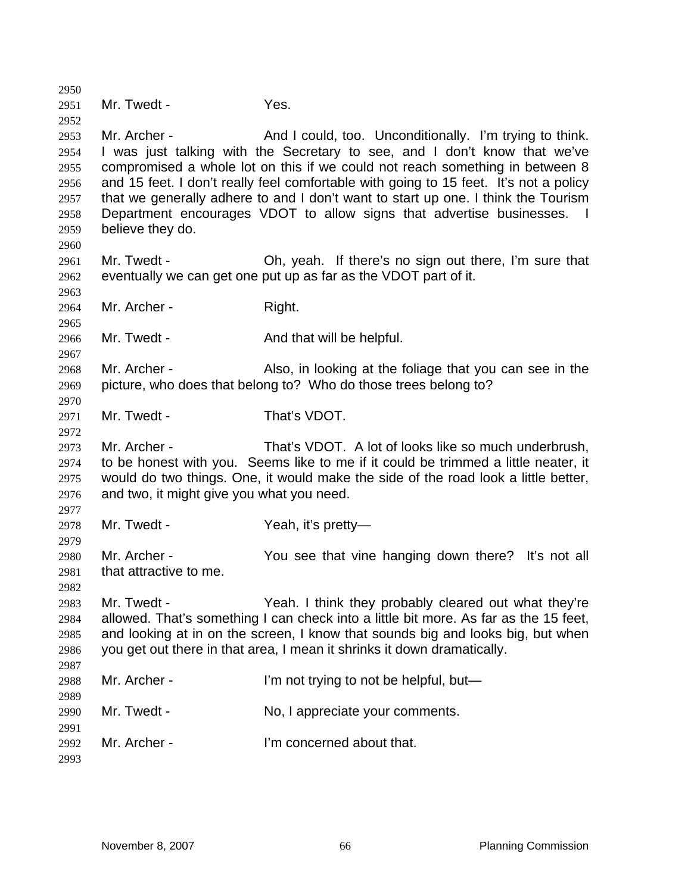| 2950         |                                                                                   |                                                                                       |  |
|--------------|-----------------------------------------------------------------------------------|---------------------------------------------------------------------------------------|--|
| 2951         | Mr. Twedt -                                                                       | Yes.                                                                                  |  |
| 2952         |                                                                                   |                                                                                       |  |
| 2953         | Mr. Archer -                                                                      | And I could, too. Unconditionally. I'm trying to think.                               |  |
| 2954         | I was just talking with the Secretary to see, and I don't know that we've         |                                                                                       |  |
| 2955         |                                                                                   | compromised a whole lot on this if we could not reach something in between 8          |  |
| 2956         |                                                                                   | and 15 feet. I don't really feel comfortable with going to 15 feet. It's not a policy |  |
| 2957         | that we generally adhere to and I don't want to start up one. I think the Tourism |                                                                                       |  |
| 2958         | Department encourages VDOT to allow signs that advertise businesses.              |                                                                                       |  |
| 2959         | believe they do.                                                                  |                                                                                       |  |
| 2960         |                                                                                   |                                                                                       |  |
| 2961         | Mr. Twedt -                                                                       | Oh, yeah. If there's no sign out there, I'm sure that                                 |  |
| 2962         |                                                                                   | eventually we can get one put up as far as the VDOT part of it.                       |  |
| 2963         |                                                                                   |                                                                                       |  |
| 2964         | Mr. Archer -                                                                      | Right.                                                                                |  |
| 2965         |                                                                                   |                                                                                       |  |
| 2966         | Mr. Twedt -                                                                       | And that will be helpful.                                                             |  |
| 2967         |                                                                                   |                                                                                       |  |
| 2968         | Mr. Archer -                                                                      | Also, in looking at the foliage that you can see in the                               |  |
| 2969         |                                                                                   | picture, who does that belong to? Who do those trees belong to?                       |  |
| 2970         |                                                                                   |                                                                                       |  |
| 2971         | Mr. Twedt -                                                                       | That's VDOT.                                                                          |  |
| 2972         | Mr. Archer -                                                                      | That's VDOT. A lot of looks like so much underbrush,                                  |  |
| 2973<br>2974 |                                                                                   | to be honest with you. Seems like to me if it could be trimmed a little neater, it    |  |
| 2975         |                                                                                   | would do two things. One, it would make the side of the road look a little better,    |  |
| 2976         | and two, it might give you what you need.                                         |                                                                                       |  |
| 2977         |                                                                                   |                                                                                       |  |
| 2978         | Mr. Twedt -                                                                       | Yeah, it's pretty—                                                                    |  |
| 2979         |                                                                                   |                                                                                       |  |
| 2980         | Mr. Archer -                                                                      | You see that vine hanging down there? It's not all                                    |  |
| 2981         | that attractive to me.                                                            |                                                                                       |  |
| 2982         |                                                                                   |                                                                                       |  |
| 2983         | Mr. Twedt -                                                                       | Yeah. I think they probably cleared out what they're                                  |  |
| 2984         |                                                                                   | allowed. That's something I can check into a little bit more. As far as the 15 feet,  |  |
| 2985         | and looking at in on the screen, I know that sounds big and looks big, but when   |                                                                                       |  |
| 2986         |                                                                                   | you get out there in that area, I mean it shrinks it down dramatically.               |  |
| 2987         |                                                                                   |                                                                                       |  |
| 2988         | Mr. Archer -                                                                      | I'm not trying to not be helpful, but-                                                |  |
| 2989         |                                                                                   |                                                                                       |  |
| 2990         | Mr. Twedt -                                                                       | No, I appreciate your comments.                                                       |  |
| 2991         |                                                                                   |                                                                                       |  |
| 2992         | Mr. Archer -                                                                      | I'm concerned about that.                                                             |  |
| 2993         |                                                                                   |                                                                                       |  |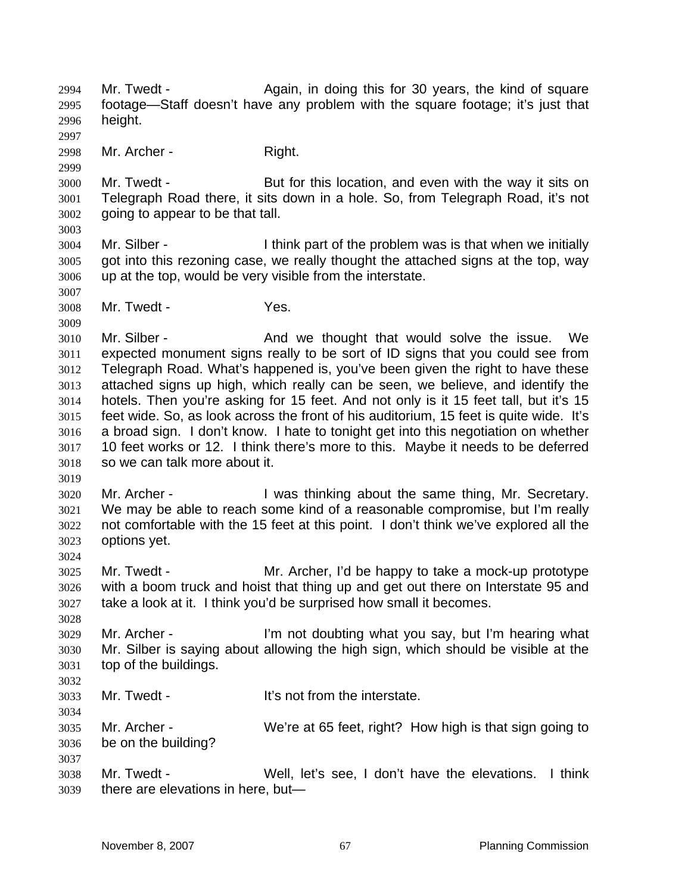2994 Mr. Twedt - Again, in doing this for 30 years, the kind of square footage—Staff doesn't have any problem with the square footage; it's just that height. 2998 Mr. Archer - Right. Mr. Twedt - But for this location, and even with the way it sits on Telegraph Road there, it sits down in a hole. So, from Telegraph Road, it's not going to appear to be that tall. Mr. Silber - I think part of the problem was is that when we initially got into this rezoning case, we really thought the attached signs at the top, way up at the top, would be very visible from the interstate. Mr. Twedt - Yes. Mr. Silber - And we thought that would solve the issue. We expected monument signs really to be sort of ID signs that you could see from Telegraph Road. What's happened is, you've been given the right to have these attached signs up high, which really can be seen, we believe, and identify the hotels. Then you're asking for 15 feet. And not only is it 15 feet tall, but it's 15 feet wide. So, as look across the front of his auditorium, 15 feet is quite wide. It's a broad sign. I don't know. I hate to tonight get into this negotiation on whether 10 feet works or 12. I think there's more to this. Maybe it needs to be deferred so we can talk more about it. Mr. Archer - I was thinking about the same thing, Mr. Secretary. We may be able to reach some kind of a reasonable compromise, but I'm really not comfortable with the 15 feet at this point. I don't think we've explored all the options yet. Mr. Twedt - Mr. Archer, I'd be happy to take a mock-up prototype with a boom truck and hoist that thing up and get out there on Interstate 95 and take a look at it. I think you'd be surprised how small it becomes. Mr. Archer - I'm not doubting what you say, but I'm hearing what Mr. Silber is saying about allowing the high sign, which should be visible at the top of the buildings. Mr. Twedt - It's not from the interstate. Mr. Archer - We're at 65 feet, right? How high is that sign going to be on the building? Mr. Twedt - Well, let's see, I don't have the elevations. I think there are elevations in here, but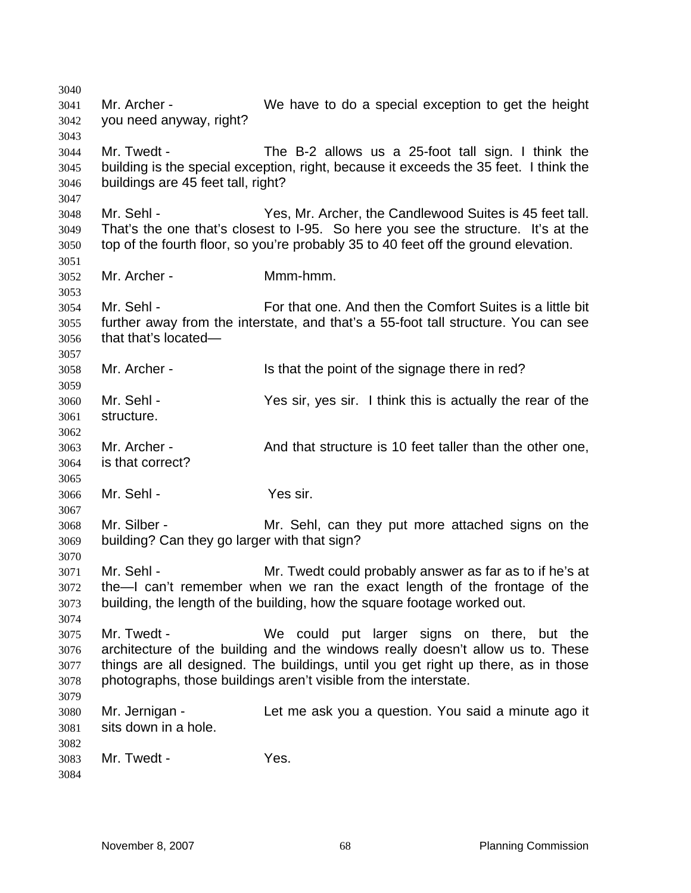Mr. Archer - We have to do a special exception to get the height you need anyway, right? Mr. Twedt - The B-2 allows us a 25-foot tall sign. I think the building is the special exception, right, because it exceeds the 35 feet. I think the buildings are 45 feet tall, right? Mr. Sehl - Yes, Mr. Archer, the Candlewood Suites is 45 feet tall. That's the one that's closest to I-95. So here you see the structure. It's at the top of the fourth floor, so you're probably 35 to 40 feet off the ground elevation. Mr. Archer - Mmm-hmm. Mr. Sehl - For that one. And then the Comfort Suites is a little bit further away from the interstate, and that's a 55-foot tall structure. You can see that that's located— Mr. Archer - Is that the point of the signage there in red? Mr. Sehl - Yes sir, yes sir. I think this is actually the rear of the structure. Mr. Archer - And that structure is 10 feet taller than the other one, is that correct? Mr. Sehl - Yes sir. Mr. Silber - Mr. Sehl, can they put more attached signs on the building? Can they go larger with that sign? Mr. Sehl - Mr. Twedt could probably answer as far as to if he's at the—I can't remember when we ran the exact length of the frontage of the building, the length of the building, how the square footage worked out. Mr. Twedt - We could put larger signs on there, but the architecture of the building and the windows really doesn't allow us to. These things are all designed. The buildings, until you get right up there, as in those photographs, those buildings aren't visible from the interstate. Mr. Jernigan - Let me ask you a question. You said a minute ago it sits down in a hole. Mr. Twedt - Yes.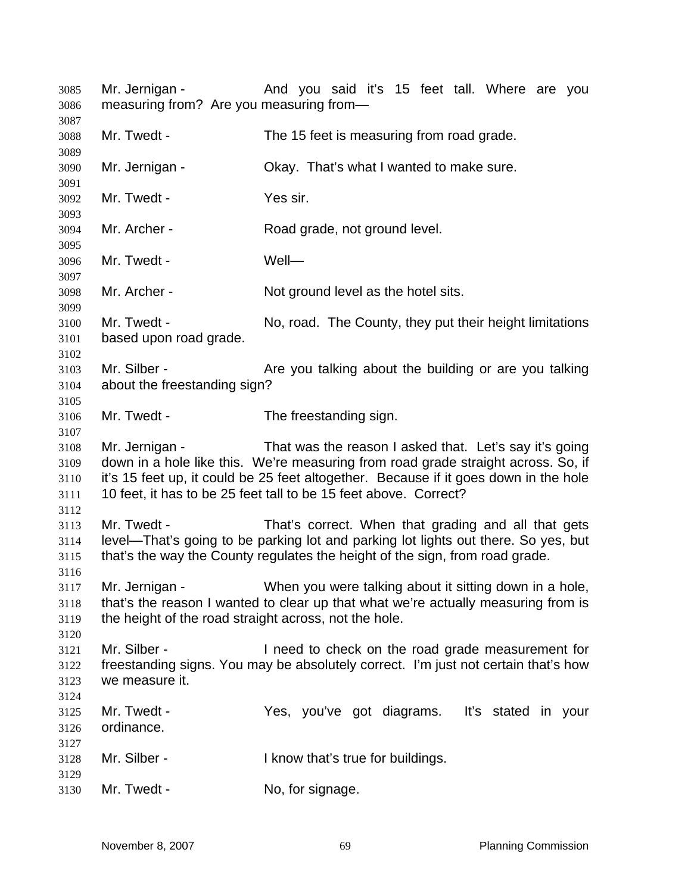Mr. Jernigan - And you said it's 15 feet tall. Where are you measuring from? Are you measuring from— Mr. Twedt - The 15 feet is measuring from road grade. Mr. Jernigan - Okay. That's what I wanted to make sure. Mr. Twedt - Yes sir. Mr. Archer - Road grade, not ground level. Mr. Twedt - Well— Mr. Archer - Not ground level as the hotel sits. Mr. Twedt - No, road. The County, they put their height limitations based upon road grade. 3103 Mr. Silber - Are you talking about the building or are you talking about the freestanding sign? Mr. Twedt - The freestanding sign. Mr. Jernigan - That was the reason I asked that. Let's say it's going down in a hole like this. We're measuring from road grade straight across. So, if it's 15 feet up, it could be 25 feet altogether. Because if it goes down in the hole 10 feet, it has to be 25 feet tall to be 15 feet above. Correct? Mr. Twedt - That's correct. When that grading and all that gets level—That's going to be parking lot and parking lot lights out there. So yes, but that's the way the County regulates the height of the sign, from road grade. Mr. Jernigan - When you were talking about it sitting down in a hole, that's the reason I wanted to clear up that what we're actually measuring from is the height of the road straight across, not the hole. Mr. Silber - I need to check on the road grade measurement for freestanding signs. You may be absolutely correct. I'm just not certain that's how we measure it. Mr. Twedt - Yes, you've got diagrams. It's stated in your ordinance. Mr. Silber - I know that's true for buildings. 3130 Mr. Twedt - No, for signage.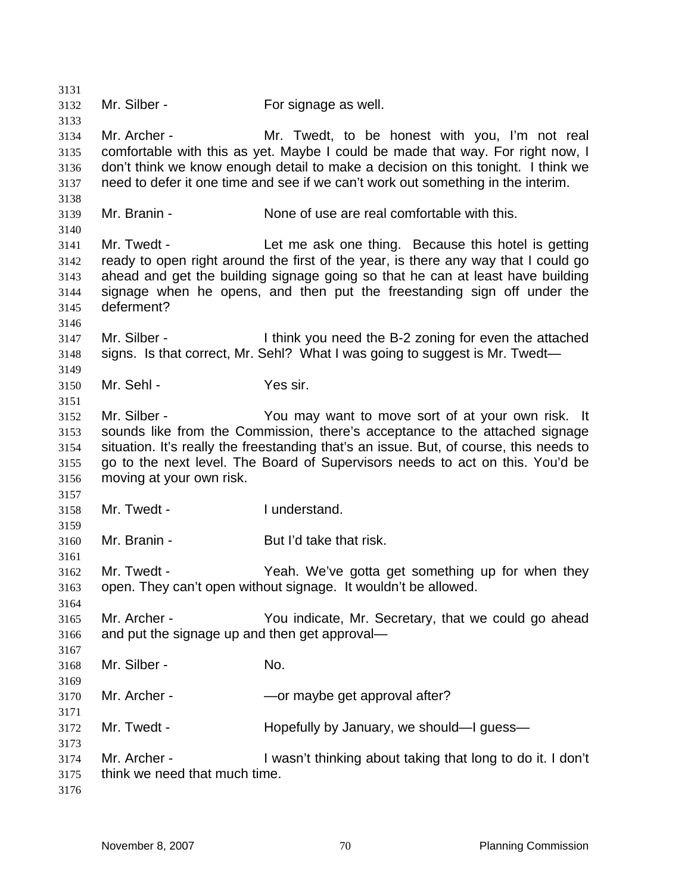Mr. Silber - For signage as well. Mr. Archer - Mr. Twedt, to be honest with you, I'm not real comfortable with this as yet. Maybe I could be made that way. For right now, I don't think we know enough detail to make a decision on this tonight. I think we need to defer it one time and see if we can't work out something in the interim. Mr. Branin - None of use are real comfortable with this. Mr. Twedt - Let me ask one thing. Because this hotel is getting ready to open right around the first of the year, is there any way that I could go ahead and get the building signage going so that he can at least have building signage when he opens, and then put the freestanding sign off under the deferment? Mr. Silber - I think you need the B-2 zoning for even the attached signs. Is that correct, Mr. Sehl? What I was going to suggest is Mr. Twedt— Mr. Sehl - Yes sir. Mr. Silber - You may want to move sort of at your own risk. It sounds like from the Commission, there's acceptance to the attached signage situation. It's really the freestanding that's an issue. But, of course, this needs to go to the next level. The Board of Supervisors needs to act on this. You'd be moving at your own risk. Mr. Twedt - I understand. Mr. Branin - But I'd take that risk. Mr. Twedt - Yeah. We've gotta get something up for when they open. They can't open without signage. It wouldn't be allowed. Mr. Archer - You indicate, Mr. Secretary, that we could go ahead and put the signage up and then get approval— 3168 Mr. Silber - No. Mr. Archer - —or maybe get approval after? Mr. Twedt - Hopefully by January, we should—I guess— Mr. Archer - I wasn't thinking about taking that long to do it. I don't think we need that much time.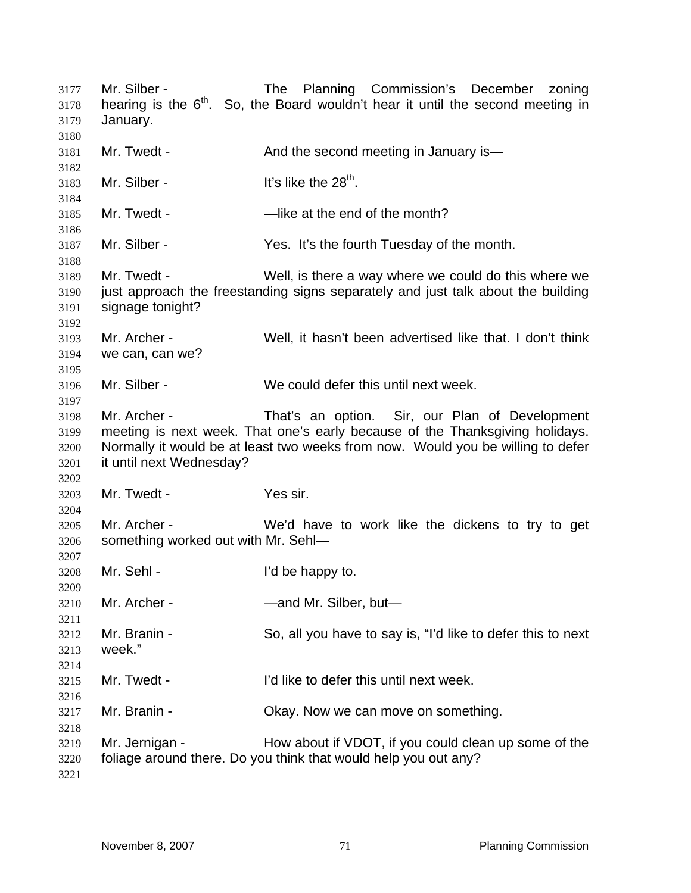Mr. Silber - The Planning Commission's December zoning 3178 hearing is the  $6<sup>th</sup>$ . So, the Board wouldn't hear it until the second meeting in January. 3181 Mr. Twedt - And the second meeting in January is— 3183 Mr. Silber -  $\frac{1}{3}$  lt's like the  $28<sup>th</sup>$ . Mr. Twedt - —like at the end of the month? Mr. Silber - Yes. It's the fourth Tuesday of the month. Mr. Twedt - Well, is there a way where we could do this where we just approach the freestanding signs separately and just talk about the building signage tonight? Mr. Archer - Well, it hasn't been advertised like that. I don't think we can, can we? Mr. Silber - We could defer this until next week. Mr. Archer - That's an option. Sir, our Plan of Development meeting is next week. That one's early because of the Thanksgiving holidays. Normally it would be at least two weeks from now. Would you be willing to defer it until next Wednesday? Mr. Twedt - Yes sir. Mr. Archer - We'd have to work like the dickens to try to get something worked out with Mr. Sehl— Mr. Sehl - I'd be happy to. Mr. Archer - —and Mr. Silber, but— Mr. Branin - So, all you have to say is, "I'd like to defer this to next week." Mr. Twedt - I'd like to defer this until next week. Mr. Branin - Okay. Now we can move on something. Mr. Jernigan - How about if VDOT, if you could clean up some of the foliage around there. Do you think that would help you out any?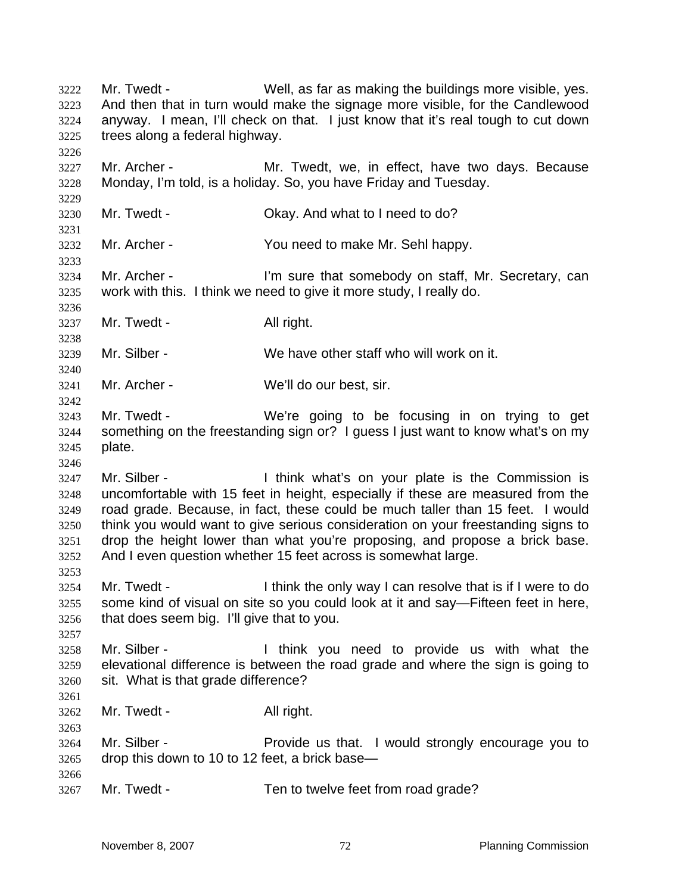Mr. Twedt - Well, as far as making the buildings more visible, yes. And then that in turn would make the signage more visible, for the Candlewood anyway. I mean, I'll check on that. I just know that it's real tough to cut down trees along a federal highway. Mr. Archer - Mr. Twedt, we, in effect, have two days. Because Monday, I'm told, is a holiday. So, you have Friday and Tuesday. Mr. Twedt - Okay. And what to I need to do? Mr. Archer - You need to make Mr. Sehl happy. Mr. Archer - I'm sure that somebody on staff, Mr. Secretary, can work with this. I think we need to give it more study, I really do. 3237 Mr. Twedt - All right. Mr. Silber - We have other staff who will work on it. Mr. Archer - We'll do our best, sir. Mr. Twedt - We're going to be focusing in on trying to get something on the freestanding sign or? I guess I just want to know what's on my plate. Mr. Silber - I think what's on your plate is the Commission is uncomfortable with 15 feet in height, especially if these are measured from the road grade. Because, in fact, these could be much taller than 15 feet. I would think you would want to give serious consideration on your freestanding signs to drop the height lower than what you're proposing, and propose a brick base. And I even question whether 15 feet across is somewhat large. Mr. Twedt - I think the only way I can resolve that is if I were to do some kind of visual on site so you could look at it and say—Fifteen feet in here, that does seem big. I'll give that to you. Mr. Silber - I think you need to provide us with what the elevational difference is between the road grade and where the sign is going to sit. What is that grade difference? 3262 Mr. Twedt - All right. Mr. Silber - Provide us that. I would strongly encourage you to drop this down to 10 to 12 feet, a brick base— 3267 Mr. Twedt - Ten to twelve feet from road grade?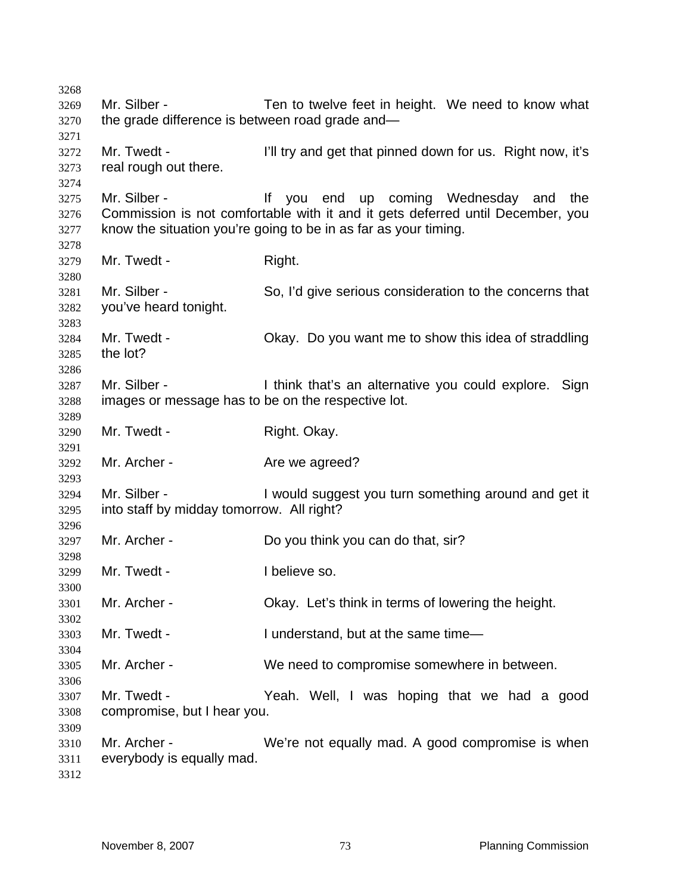Mr. Silber - Ten to twelve feet in height. We need to know what the grade difference is between road grade and— Mr. Twedt - I'll try and get that pinned down for us. Right now, it's real rough out there. Mr. Silber - If you end up coming Wednesday and the Commission is not comfortable with it and it gets deferred until December, you know the situation you're going to be in as far as your timing. 3279 Mr. Twedt - Right. Mr. Silber - So, I'd give serious consideration to the concerns that you've heard tonight. Mr. Twedt - Okay. Do you want me to show this idea of straddling the lot? Mr. Silber - I think that's an alternative you could explore. Sign images or message has to be on the respective lot. Mr. Twedt - Right. Okay. 3292 Mr. Archer - Are we agreed? Mr. Silber - I would suggest you turn something around and get it into staff by midday tomorrow. All right? Mr. Archer - Do you think you can do that, sir? Mr. Twedt - I believe so. Mr. Archer - Okay. Let's think in terms of lowering the height. Mr. Twedt - I understand, but at the same time— Mr. Archer - We need to compromise somewhere in between. Mr. Twedt - Yeah. Well, I was hoping that we had a good compromise, but I hear you. Mr. Archer - We're not equally mad. A good compromise is when everybody is equally mad.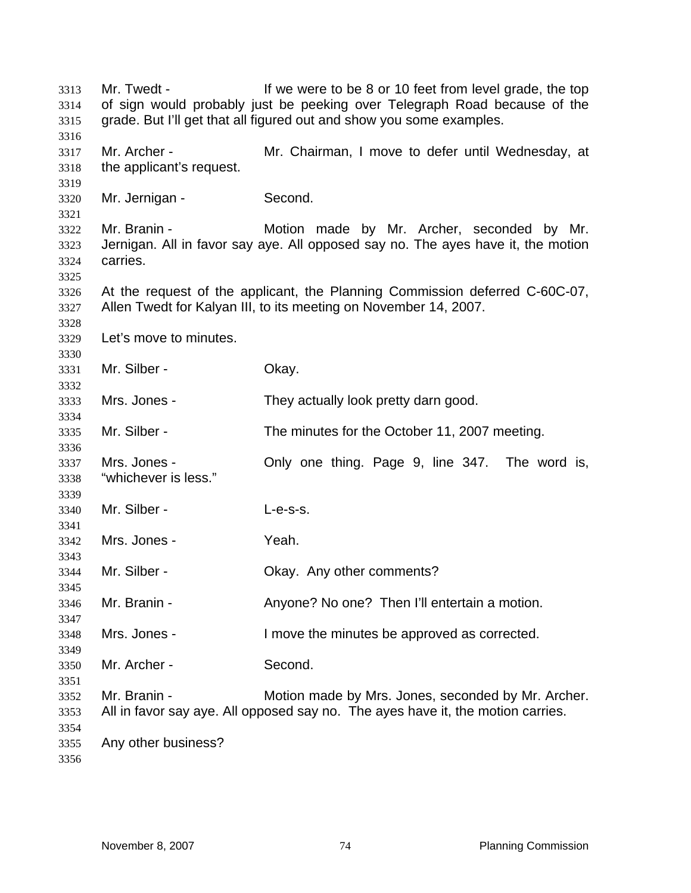Mr. Twedt - If we were to be 8 or 10 feet from level grade, the top of sign would probably just be peeking over Telegraph Road because of the grade. But I'll get that all figured out and show you some examples. Mr. Archer - Mr. Chairman, I move to defer until Wednesday, at the applicant's request. Mr. Jernigan - Second. Mr. Branin - Motion made by Mr. Archer, seconded by Mr. Jernigan. All in favor say aye. All opposed say no. The ayes have it, the motion carries. At the request of the applicant, the Planning Commission deferred C-60C-07, Allen Twedt for Kalyan III, to its meeting on November 14, 2007. Let's move to minutes. Mr. Silber - Okay. Mrs. Jones - They actually look pretty darn good. Mr. Silber - The minutes for the October 11, 2007 meeting. Mrs. Jones - Only one thing. Page 9, line 347. The word is, "whichever is less." Mr. Silber - L-e-s-s. Mrs. Jones - Yeah. Mr. Silber - Okay. Any other comments? Mr. Branin - Anyone? No one? Then I'll entertain a motion. Mrs. Jones - I move the minutes be approved as corrected. Mr. Archer - Second. Mr. Branin - Motion made by Mrs. Jones, seconded by Mr. Archer. All in favor say aye. All opposed say no. The ayes have it, the motion carries. Any other business?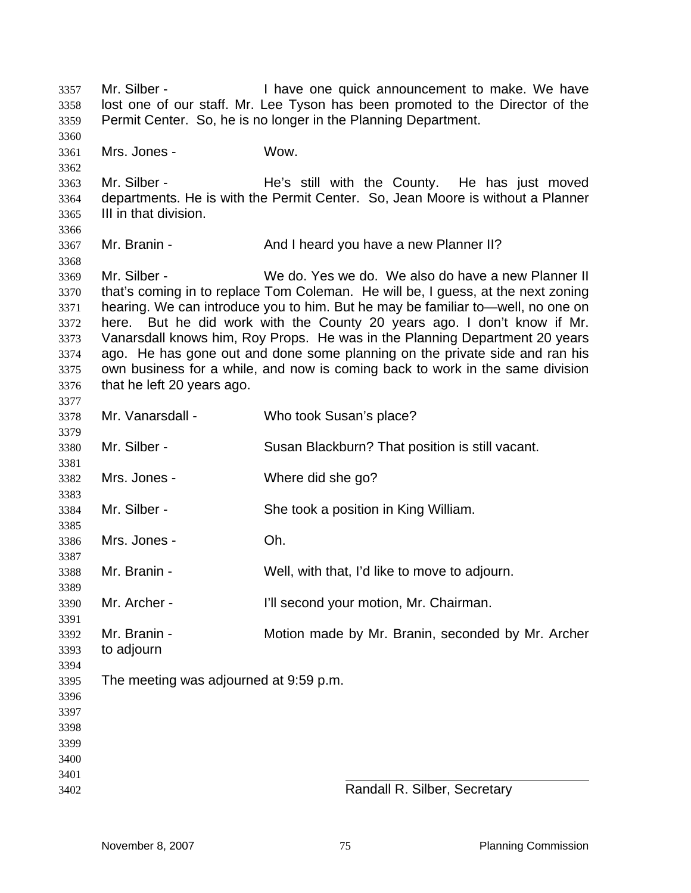Mr. Silber - I have one quick announcement to make. We have lost one of our staff. Mr. Lee Tyson has been promoted to the Director of the Permit Center. So, he is no longer in the Planning Department. Mrs. Jones - Wow. Mr. Silber - He's still with the County. He has just moved departments. He is with the Permit Center. So, Jean Moore is without a Planner III in that division. Mr. Branin - And I heard you have a new Planner II? Mr. Silber - We do. Yes we do. We also do have a new Planner II that's coming in to replace Tom Coleman. He will be, I guess, at the next zoning hearing. We can introduce you to him. But he may be familiar to—well, no one on here. But he did work with the County 20 years ago. I don't know if Mr. Vanarsdall knows him, Roy Props. He was in the Planning Department 20 years ago. He has gone out and done some planning on the private side and ran his own business for a while, and now is coming back to work in the same division that he left 20 years ago. Mr. Vanarsdall - Who took Susan's place? Mr. Silber - Susan Blackburn? That position is still vacant. Mrs. Jones - Where did she go? 3384 Mr. Silber - She took a position in King William. Mrs. Jones - Oh. Mr. Branin - Well, with that, I'd like to move to adjourn. Mr. Archer - I'll second your motion, Mr. Chairman. Mr. Branin - Motion made by Mr. Branin, seconded by Mr. Archer to adjourn The meeting was adjourned at 9:59 p.m. Randall R. Silber, Secretary